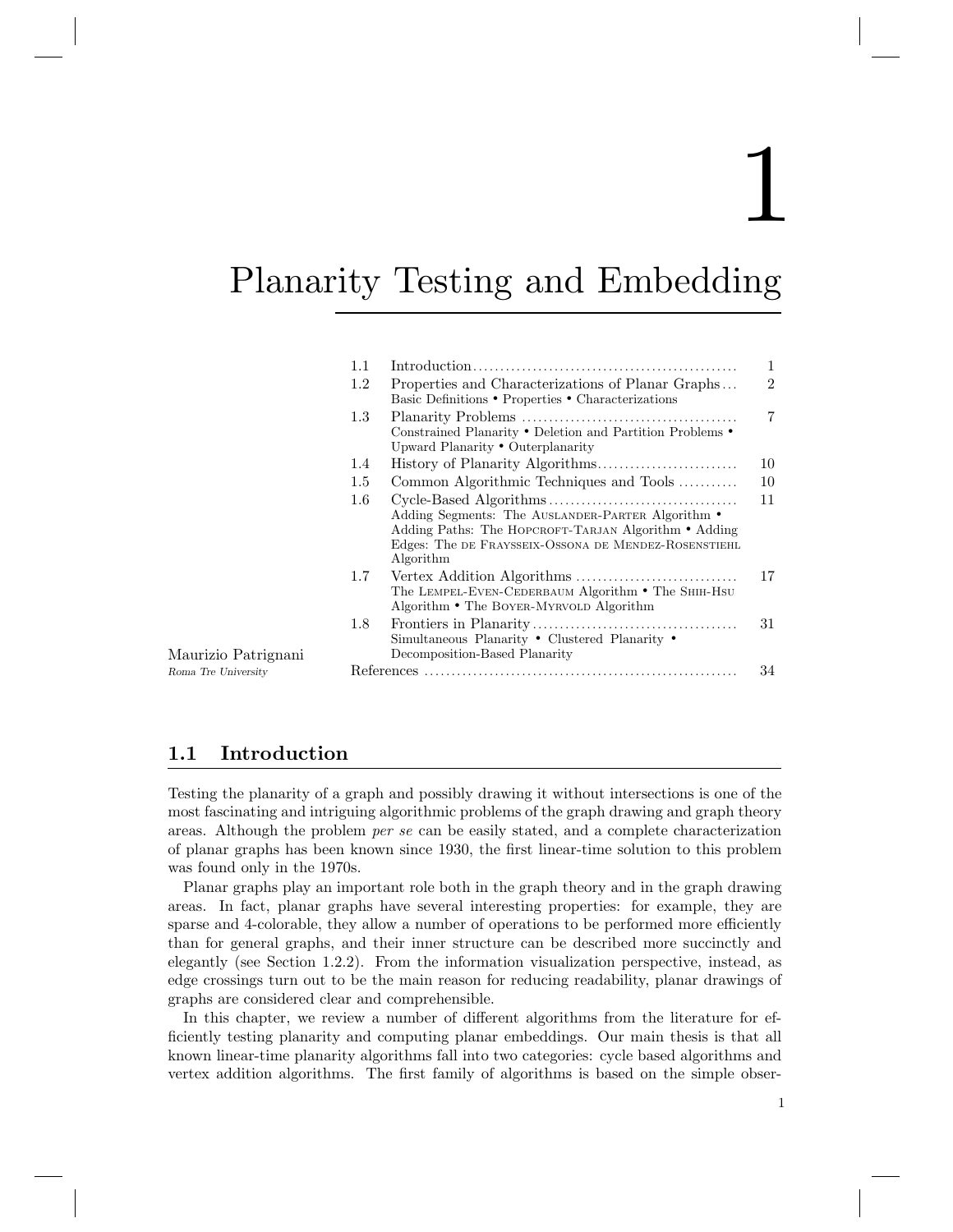# 1

## Planarity Testing and Embedding

|                     | $1.1\,$ |                                                                                                                                                                                | 1              |
|---------------------|---------|--------------------------------------------------------------------------------------------------------------------------------------------------------------------------------|----------------|
|                     | 1.2     | Properties and Characterizations of Planar Graphs<br>Basic Definitions • Properties • Characterizations                                                                        | $\overline{2}$ |
|                     | 1.3     | Constrained Planarity • Deletion and Partition Problems •<br>Upward Planarity • Outerplanarity                                                                                 | $\overline{7}$ |
|                     | 1.4     |                                                                                                                                                                                | 10             |
|                     | 1.5     | Common Algorithmic Techniques and Tools                                                                                                                                        | 10             |
|                     | $1.6\,$ | Adding Segments: The AUSLANDER-PARTER Algorithm •<br>Adding Paths: The HOPCROFT-TARJAN Algorithm • Adding<br>Edges: The DE FRAYSSEIX-OSSONA DE MENDEZ-ROSENSTIEHL<br>Algorithm | 11             |
|                     | 1.7     | The LEMPEL-EVEN-CEDERBAUM Algorithm • The SHIH-HSU<br>Algorithm $\bullet$ The BOYER-MYRVOLD Algorithm                                                                          | 17             |
| Maurizio Patrignani | 1.8     | Simultaneous Planarity • Clustered Planarity •<br>Decomposition-Based Planarity                                                                                                | 31             |
| Roma Tre University |         |                                                                                                                                                                                | 34             |

## 1.1 Introduction

Testing the planarity of a graph and possibly drawing it without intersections is one of the most fascinating and intriguing algorithmic problems of the graph drawing and graph theory areas. Although the problem per se can be easily stated, and a complete characterization of planar graphs has been known since 1930, the first linear-time solution to this problem was found only in the 1970s.

Planar graphs play an important role both in the graph theory and in the graph drawing areas. In fact, planar graphs have several interesting properties: for example, they are sparse and 4-colorable, they allow a number of operations to be performed more efficiently than for general graphs, and their inner structure can be described more succinctly and elegantly (see Section 1.2.2). From the information visualization perspective, instead, as edge crossings turn out to be the main reason for reducing readability, planar drawings of graphs are considered clear and comprehensible.

In this chapter, we review a number of different algorithms from the literature for efficiently testing planarity and computing planar embeddings. Our main thesis is that all known linear-time planarity algorithms fall into two categories: cycle based algorithms and vertex addition algorithms. The first family of algorithms is based on the simple obser-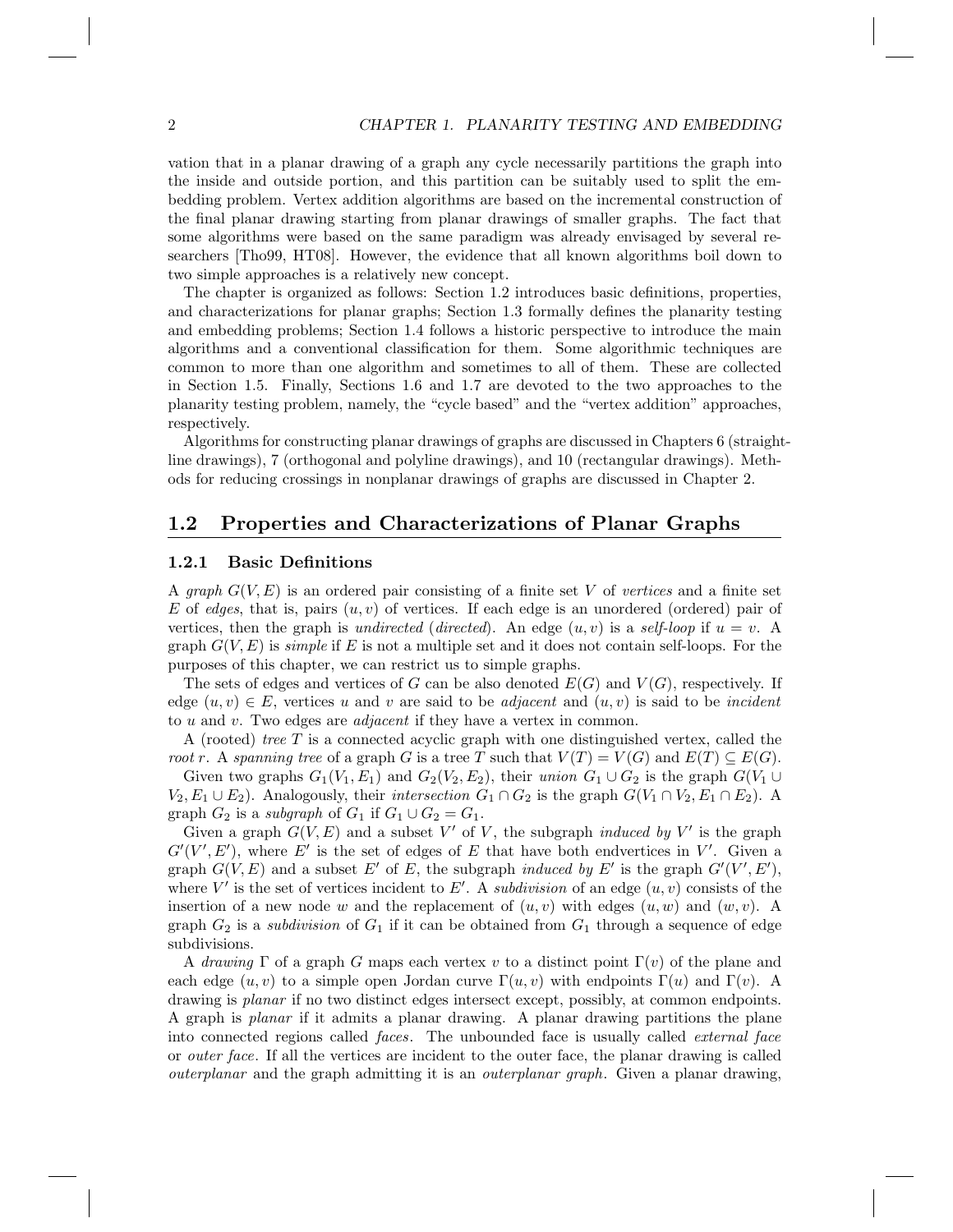vation that in a planar drawing of a graph any cycle necessarily partitions the graph into the inside and outside portion, and this partition can be suitably used to split the embedding problem. Vertex addition algorithms are based on the incremental construction of the final planar drawing starting from planar drawings of smaller graphs. The fact that some algorithms were based on the same paradigm was already envisaged by several researchers [Tho99, HT08]. However, the evidence that all known algorithms boil down to two simple approaches is a relatively new concept.

The chapter is organized as follows: Section 1.2 introduces basic definitions, properties, and characterizations for planar graphs; Section 1.3 formally defines the planarity testing and embedding problems; Section 1.4 follows a historic perspective to introduce the main algorithms and a conventional classification for them. Some algorithmic techniques are common to more than one algorithm and sometimes to all of them. These are collected in Section 1.5. Finally, Sections 1.6 and 1.7 are devoted to the two approaches to the planarity testing problem, namely, the "cycle based" and the "vertex addition" approaches, respectively.

Algorithms for constructing planar drawings of graphs are discussed in Chapters 6 (straightline drawings), 7 (orthogonal and polyline drawings), and 10 (rectangular drawings). Methods for reducing crossings in nonplanar drawings of graphs are discussed in Chapter 2.

#### 1.2 Properties and Characterizations of Planar Graphs

#### 1.2.1 Basic Definitions

A graph  $G(V, E)$  is an ordered pair consisting of a finite set V of vertices and a finite set E of edges, that is, pairs  $(u, v)$  of vertices. If each edge is an unordered (ordered) pair of vertices, then the graph is *undirected (directed)*. An edge  $(u, v)$  is a self-loop if  $u = v$ . graph  $G(V, E)$  is *simple* if E is not a multiple set and it does not contain self-loops. For the purposes of this chapter, we can restrict us to simple graphs.

The sets of edges and vertices of G can be also denoted  $E(G)$  and  $V(G)$ , respectively. If edge  $(u, v) \in E$ , vertices u and v are said to be *adjacent* and  $(u, v)$  is said to be *incident* to u and v. Two edges are *adjacent* if they have a vertex in common.

A (rooted) tree T is a connected acyclic graph with one distinguished vertex, called the root r. A spanning tree of a graph G is a tree T such that  $V(T) = V(G)$  and  $E(T) \subseteq E(G)$ .

Given two graphs  $G_1(V_1, E_1)$  and  $G_2(V_2, E_2)$ , their union  $G_1 \cup G_2$  is the graph  $G(V_1 \cup$  $V_2, E_1 \cup E_2$ ). Analogously, their *intersection*  $G_1 \cap G_2$  is the graph  $G(V_1 \cap V_2, E_1 \cap E_2)$ . A graph  $G_2$  is a subgraph of  $G_1$  if  $G_1 \cup G_2 = G_1$ .

Given a graph  $G(V, E)$  and a subset V' of V, the subgraph *induced by* V' is the graph  $G'(V', E')$ , where E' is the set of edges of E that have both endvertices in V'. Given a graph  $G(V, E)$  and a subset E' of E, the subgraph *induced by* E' is the graph  $G'(V', E')$ , where V' is the set of vertices incident to E'. A *subdivision* of an edge  $(u, v)$  consists of the insertion of a new node w and the replacement of  $(u, v)$  with edges  $(u, w)$  and  $(w, v)$ . A graph  $G_2$  is a subdivision of  $G_1$  if it can be obtained from  $G_1$  through a sequence of edge subdivisions.

A drawing  $\Gamma$  of a graph G maps each vertex v to a distinct point  $\Gamma(v)$  of the plane and each edge  $(u, v)$  to a simple open Jordan curve  $\Gamma(u, v)$  with endpoints  $\Gamma(u)$  and  $\Gamma(v)$ . A drawing is *planar* if no two distinct edges intersect except, possibly, at common endpoints. A graph is planar if it admits a planar drawing. A planar drawing partitions the plane into connected regions called faces. The unbounded face is usually called external face or outer face. If all the vertices are incident to the outer face, the planar drawing is called outerplanar and the graph admitting it is an outerplanar graph. Given a planar drawing,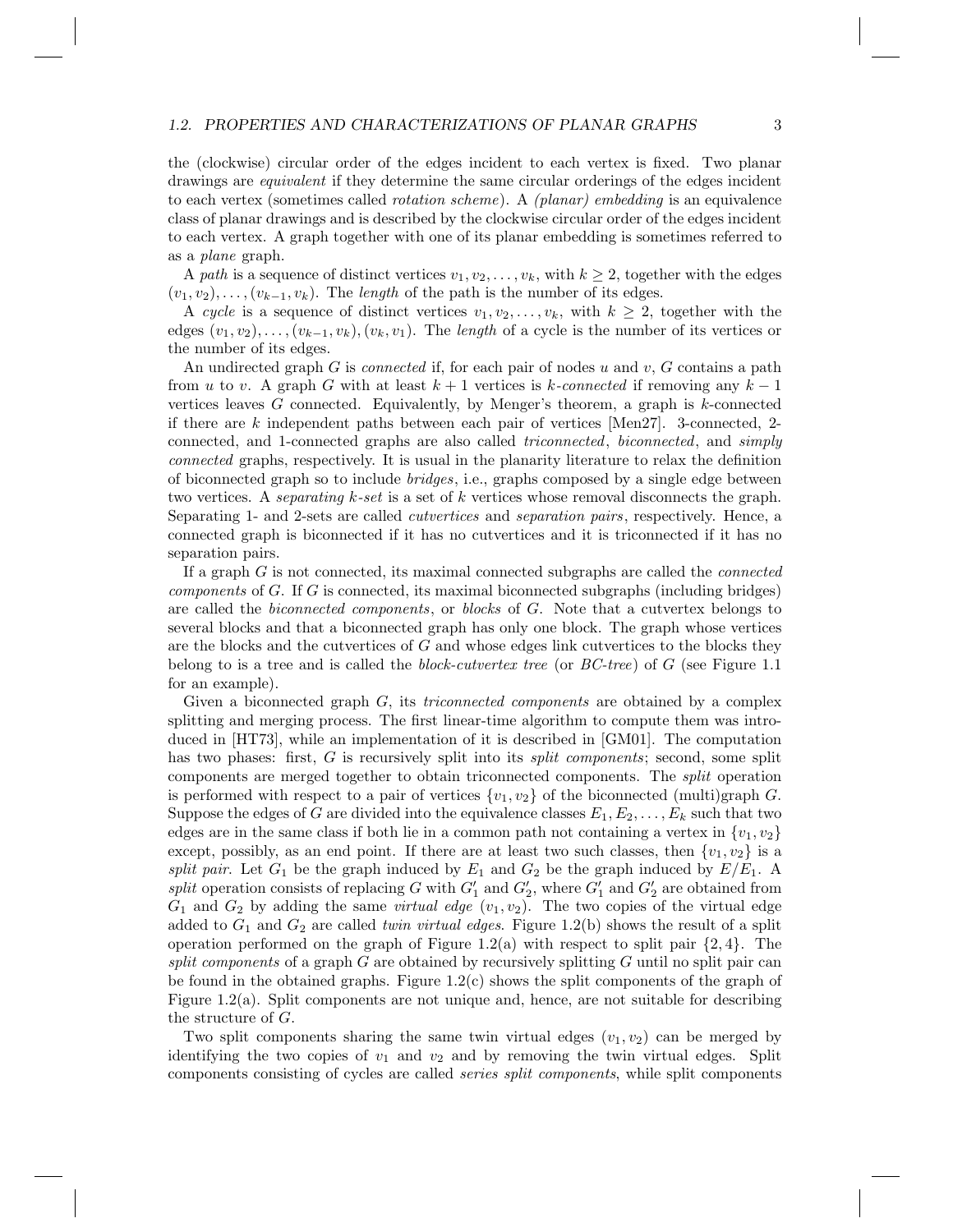the (clockwise) circular order of the edges incident to each vertex is fixed. Two planar drawings are *equivalent* if they determine the same circular orderings of the edges incident to each vertex (sometimes called *rotation scheme*). A *(planar)* embedding is an equivalence class of planar drawings and is described by the clockwise circular order of the edges incident to each vertex. A graph together with one of its planar embedding is sometimes referred to as a plane graph.

A path is a sequence of distinct vertices  $v_1, v_2, \ldots, v_k$ , with  $k \geq 2$ , together with the edges  $(v_1, v_2), \ldots, (v_{k-1}, v_k)$ . The length of the path is the number of its edges.

A cycle is a sequence of distinct vertices  $v_1, v_2, \ldots, v_k$ , with  $k \geq 2$ , together with the edges  $(v_1, v_2), \ldots, (v_{k-1}, v_k), (v_k, v_1)$ . The length of a cycle is the number of its vertices or the number of its edges.

An undirected graph G is *connected* if, for each pair of nodes u and v, G contains a path from u to v. A graph G with at least  $k + 1$  vertices is k-connected if removing any  $k - 1$ vertices leaves G connected. Equivalently, by Menger's theorem, a graph is k-connected if there are k independent paths between each pair of vertices  $\text{[Men27]}$ . 3-connected, 2connected, and 1-connected graphs are also called triconnected, biconnected, and simply connected graphs, respectively. It is usual in the planarity literature to relax the definition of biconnected graph so to include bridges, i.e., graphs composed by a single edge between two vertices. A separating k-set is a set of k vertices whose removal disconnects the graph. Separating 1- and 2-sets are called *cutvertices* and *separation pairs*, respectively. Hence, a connected graph is biconnected if it has no cutvertices and it is triconnected if it has no separation pairs.

If a graph  $G$  is not connected, its maximal connected subgraphs are called the *connected* components of G. If G is connected, its maximal biconnected subgraphs (including bridges) are called the *biconnected components*, or *blocks* of G. Note that a cutvertex belongs to several blocks and that a biconnected graph has only one block. The graph whose vertices are the blocks and the cutvertices of G and whose edges link cutvertices to the blocks they belong to is a tree and is called the *block-cutvertex tree* (or  $BC$ -tree) of  $G$  (see Figure 1.1 for an example).

Given a biconnected graph G, its *triconnected components* are obtained by a complex splitting and merging process. The first linear-time algorithm to compute them was introduced in [HT73], while an implementation of it is described in [GM01]. The computation has two phases: first, G is recursively split into its *split components*; second, some split components are merged together to obtain triconnected components. The split operation is performed with respect to a pair of vertices  $\{v_1, v_2\}$  of the biconnected (multi)graph G. Suppose the edges of G are divided into the equivalence classes  $E_1, E_2, \ldots, E_k$  such that two edges are in the same class if both lie in a common path not containing a vertex in  $\{v_1, v_2\}$ except, possibly, as an end point. If there are at least two such classes, then  $\{v_1, v_2\}$  is a split pair. Let  $G_1$  be the graph induced by  $E_1$  and  $G_2$  be the graph induced by  $E/E_1$ . A split operation consists of replacing G with  $G'_1$  and  $G'_2$ , where  $G'_1$  and  $G'_2$  are obtained from  $G_1$  and  $G_2$  by adding the same *virtual edge*  $(v_1, v_2)$ . The two copies of the virtual edge added to  $G_1$  and  $G_2$  are called twin virtual edges. Figure 1.2(b) shows the result of a split operation performed on the graph of Figure 1.2(a) with respect to split pair  $\{2,4\}$ . The split components of a graph  $G$  are obtained by recursively splitting  $G$  until no split pair can be found in the obtained graphs. Figure  $1.2(c)$  shows the split components of the graph of Figure 1.2(a). Split components are not unique and, hence, are not suitable for describing the structure of G.

Two split components sharing the same twin virtual edges  $(v_1, v_2)$  can be merged by identifying the two copies of  $v_1$  and  $v_2$  and by removing the twin virtual edges. Split components consisting of cycles are called series split components, while split components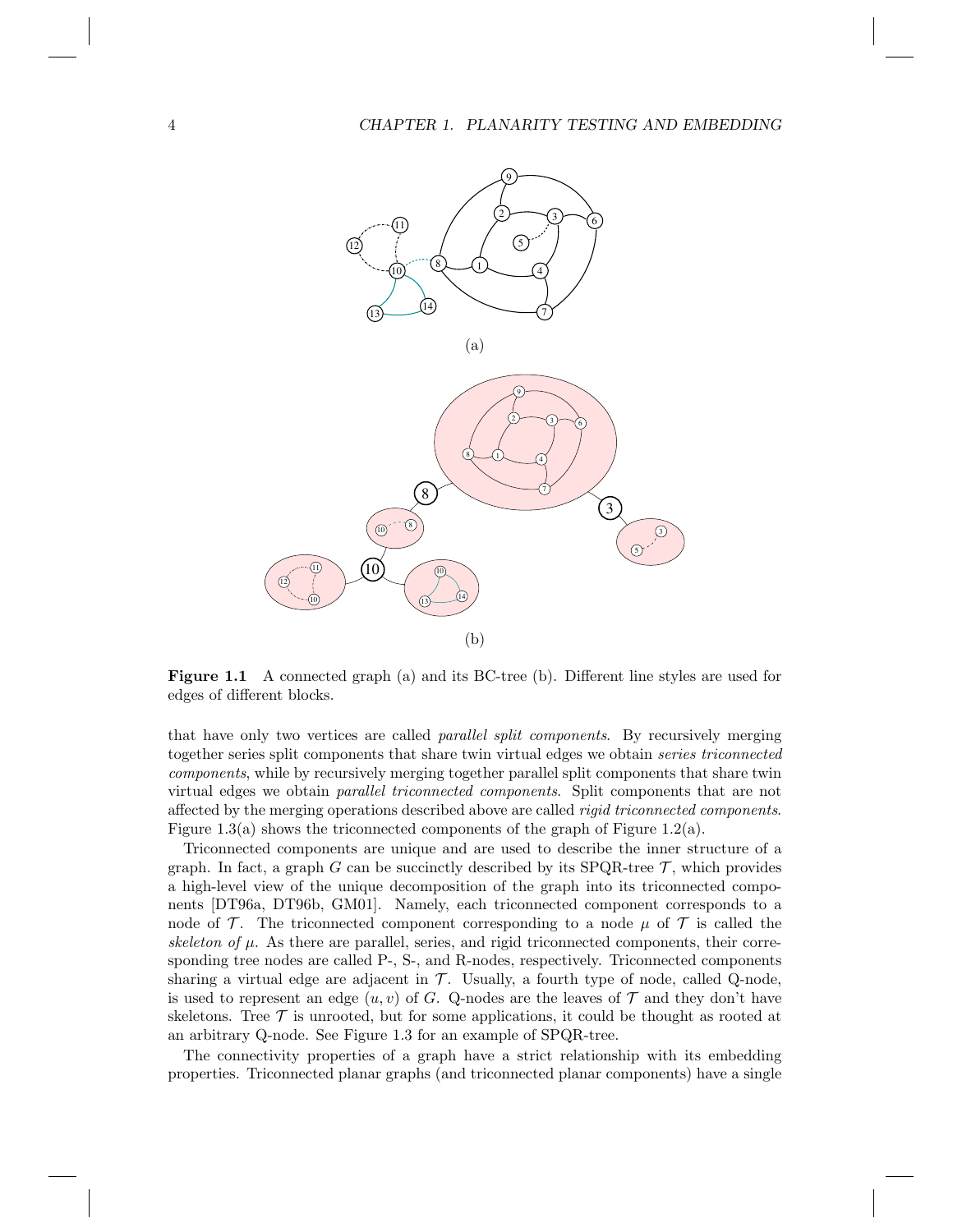#### 4 CHAPTER 1. PLANARITY TESTING AND EMBEDDING



Figure 1.1 A connected graph (a) and its BC-tree (b). Different line styles are used for edges of different blocks.

that have only two vertices are called parallel split components. By recursively merging together series split components that share twin virtual edges we obtain series triconnected components, while by recursively merging together parallel split components that share twin virtual edges we obtain parallel triconnected components. Split components that are not affected by the merging operations described above are called *rigid triconnected components*. Figure 1.3(a) shows the triconnected components of the graph of Figure 1.2(a).

Triconnected components are unique and are used to describe the inner structure of a graph. In fact, a graph G can be succinctly described by its SPQR-tree  $\mathcal{T}$ , which provides a high-level view of the unique decomposition of the graph into its triconnected components [DT96a, DT96b, GM01]. Namely, each triconnected component corresponds to a node of  $\mathcal T$ . The triconnected component corresponding to a node  $\mu$  of  $\mathcal T$  is called the skeleton of  $\mu$ . As there are parallel, series, and rigid triconnected components, their corresponding tree nodes are called P-, S-, and R-nodes, respectively. Triconnected components sharing a virtual edge are adjacent in  $\mathcal{T}$ . Usually, a fourth type of node, called Q-node, is used to represent an edge  $(u, v)$  of G. Q-nodes are the leaves of  $\mathcal T$  and they don't have skeletons. Tree  $\tau$  is unrooted, but for some applications, it could be thought as rooted at an arbitrary Q-node. See Figure 1.3 for an example of SPQR-tree.

The connectivity properties of a graph have a strict relationship with its embedding properties. Triconnected planar graphs (and triconnected planar components) have a single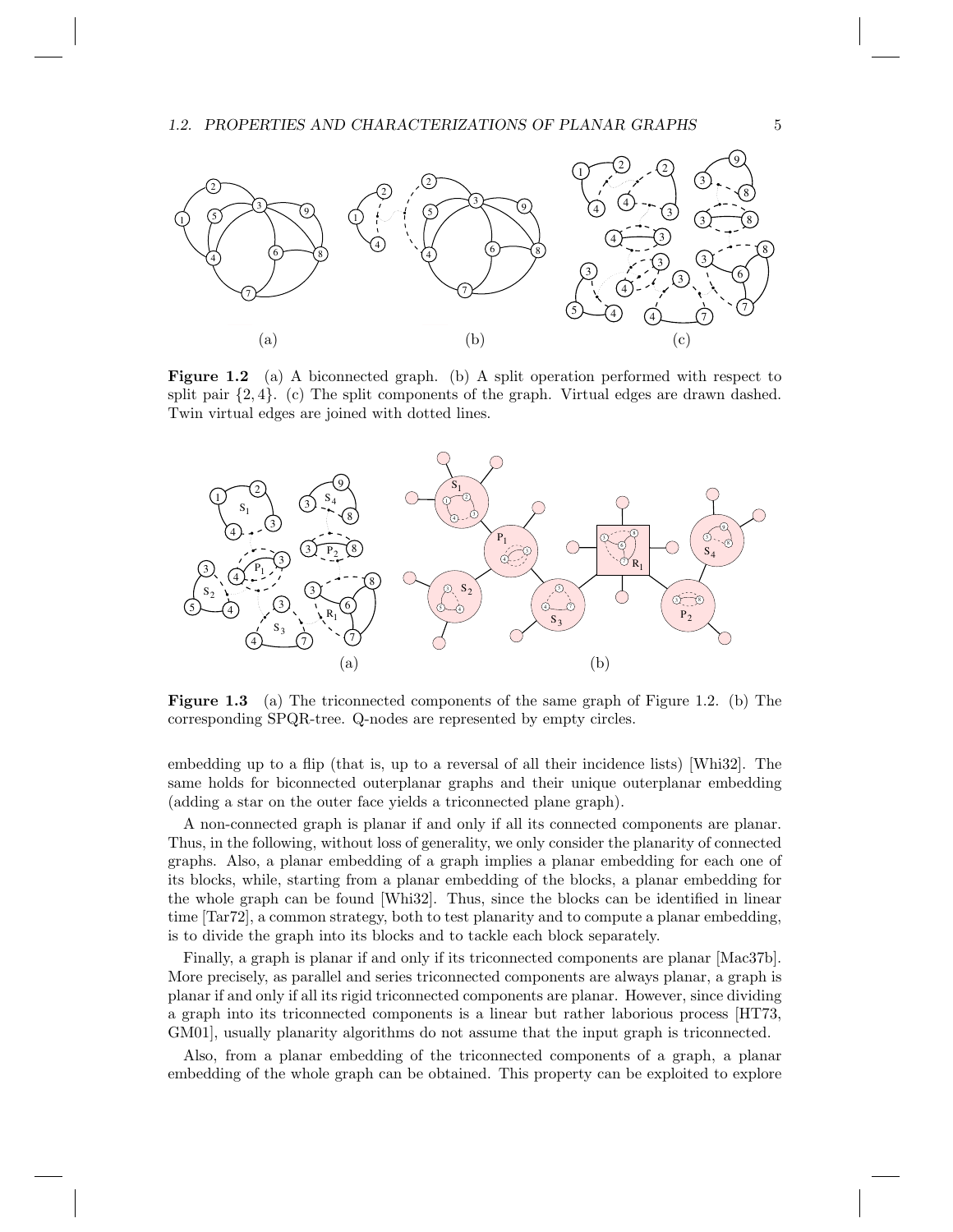

Figure 1.2 (a) A biconnected graph. (b) A split operation performed with respect to split pair  $\{2, 4\}$ . (c) The split components of the graph. Virtual edges are drawn dashed. Twin virtual edges are joined with dotted lines.



Figure 1.3 (a) The triconnected components of the same graph of Figure 1.2. (b) The corresponding SPQR-tree. Q-nodes are represented by empty circles.

embedding up to a flip (that is, up to a reversal of all their incidence lists) [Whi32]. The same holds for biconnected outerplanar graphs and their unique outerplanar embedding (adding a star on the outer face yields a triconnected plane graph).

A non-connected graph is planar if and only if all its connected components are planar. Thus, in the following, without loss of generality, we only consider the planarity of connected graphs. Also, a planar embedding of a graph implies a planar embedding for each one of its blocks, while, starting from a planar embedding of the blocks, a planar embedding for the whole graph can be found [Whi32]. Thus, since the blocks can be identified in linear time [Tar72], a common strategy, both to test planarity and to compute a planar embedding, is to divide the graph into its blocks and to tackle each block separately.

Finally, a graph is planar if and only if its triconnected components are planar [Mac37b]. More precisely, as parallel and series triconnected components are always planar, a graph is planar if and only if all its rigid triconnected components are planar. However, since dividing a graph into its triconnected components is a linear but rather laborious process [HT73, GM01], usually planarity algorithms do not assume that the input graph is triconnected.

Also, from a planar embedding of the triconnected components of a graph, a planar embedding of the whole graph can be obtained. This property can be exploited to explore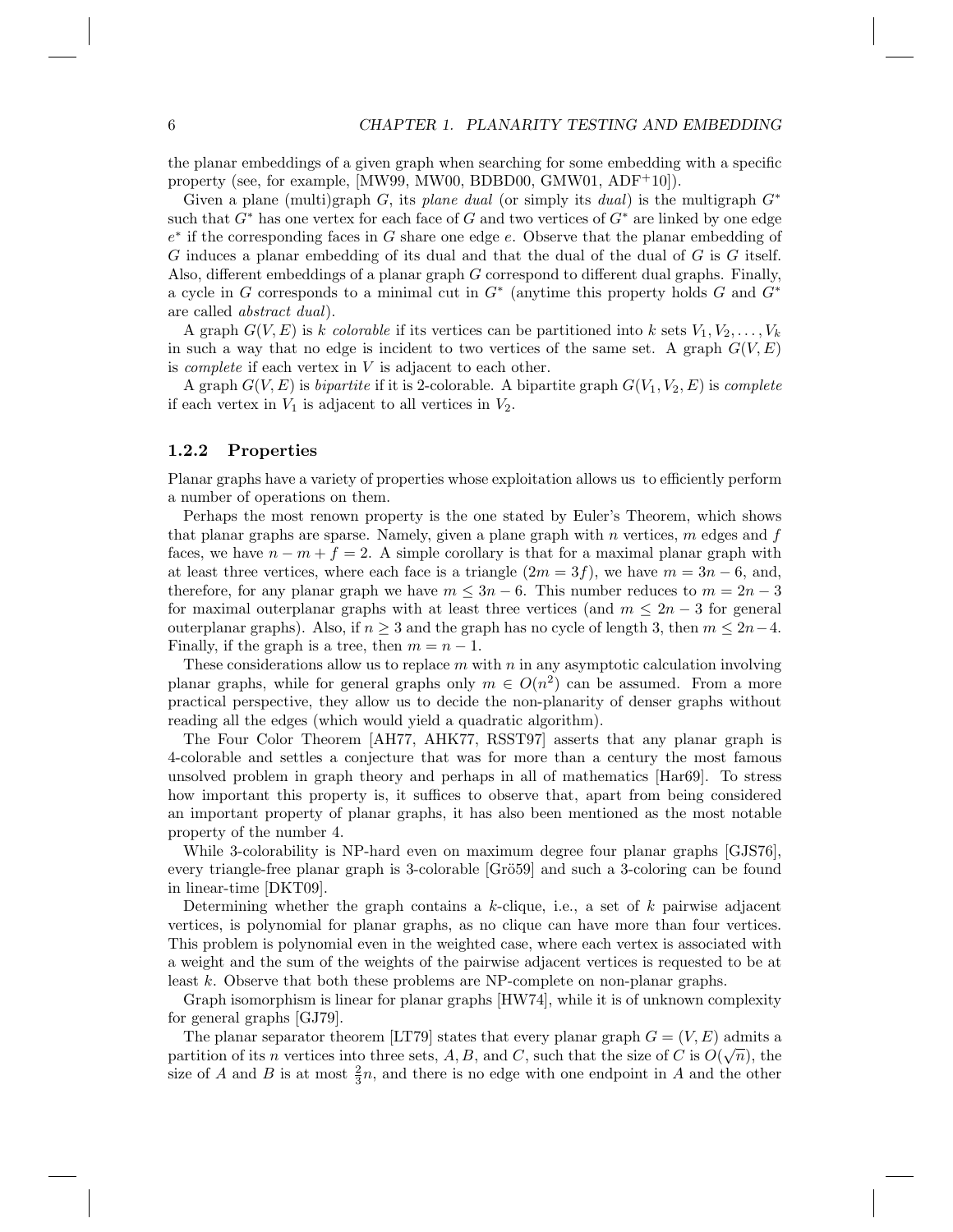the planar embeddings of a given graph when searching for some embedding with a specific property (see, for example, [MW99, MW00, BDBD00,  $GMW01$ ,  $ADF<sup>+</sup>10$ ]).

Given a plane (multi)graph G, its plane dual (or simply its dual) is the multigraph  $G^*$ such that  $G^*$  has one vertex for each face of G and two vertices of  $G^*$  are linked by one edge  $e^*$  if the corresponding faces in G share one edge e. Observe that the planar embedding of  $G$  induces a planar embedding of its dual and that the dual of the dual of  $G$  is  $G$  itself. Also, different embeddings of a planar graph G correspond to different dual graphs. Finally, a cycle in G corresponds to a minimal cut in  $G^*$  (anytime this property holds G and  $G^*$ are called abstract dual).

A graph  $G(V, E)$  is k colorable if its vertices can be partitioned into k sets  $V_1, V_2, \ldots, V_k$ in such a way that no edge is incident to two vertices of the same set. A graph  $G(V, E)$ is *complete* if each vertex in  $V$  is adjacent to each other.

A graph  $G(V, E)$  is *bipartite* if it is 2-colorable. A bipartite graph  $G(V_1, V_2, E)$  is *complete* if each vertex in  $V_1$  is adjacent to all vertices in  $V_2$ .

#### 1.2.2 Properties

Planar graphs have a variety of properties whose exploitation allows us to efficiently perform a number of operations on them.

Perhaps the most renown property is the one stated by Euler's Theorem, which shows that planar graphs are sparse. Namely, given a plane graph with  $n$  vertices,  $m$  edges and  $f$ faces, we have  $n - m + f = 2$ . A simple corollary is that for a maximal planar graph with at least three vertices, where each face is a triangle  $(2m = 3f)$ , we have  $m = 3n - 6$ , and, therefore, for any planar graph we have  $m \leq 3n - 6$ . This number reduces to  $m = 2n - 3$ for maximal outerplanar graphs with at least three vertices (and  $m \leq 2n-3$  for general outerplanar graphs). Also, if  $n > 3$  and the graph has no cycle of length 3, then  $m \leq 2n-4$ . Finally, if the graph is a tree, then  $m = n - 1$ .

These considerations allow us to replace m with  $n$  in any asymptotic calculation involving planar graphs, while for general graphs only  $m \in O(n^2)$  can be assumed. From a more practical perspective, they allow us to decide the non-planarity of denser graphs without reading all the edges (which would yield a quadratic algorithm).

The Four Color Theorem [AH77, AHK77, RSST97] asserts that any planar graph is 4-colorable and settles a conjecture that was for more than a century the most famous unsolved problem in graph theory and perhaps in all of mathematics [Har69]. To stress how important this property is, it suffices to observe that, apart from being considered an important property of planar graphs, it has also been mentioned as the most notable property of the number 4.

While 3-colorability is NP-hard even on maximum degree four planar graphs [GJS76], every triangle-free planar graph is 3-colorable [Grö59] and such a 3-coloring can be found in linear-time [DKT09].

Determining whether the graph contains a  $k$ -clique, i.e., a set of  $k$  pairwise adjacent vertices, is polynomial for planar graphs, as no clique can have more than four vertices. This problem is polynomial even in the weighted case, where each vertex is associated with a weight and the sum of the weights of the pairwise adjacent vertices is requested to be at least k. Observe that both these problems are NP-complete on non-planar graphs.

Graph isomorphism is linear for planar graphs [HW74], while it is of unknown complexity for general graphs [GJ79].

The planar separator theorem [LT79] states that every planar graph  $G = (V, E)$  admits a partition of its n vertices into three sets, A, B, and C, such that the size of C is  $O(\sqrt{n})$ , the size of A and B is at most  $\frac{2}{3}n$ , and there is no edge with one endpoint in A and the other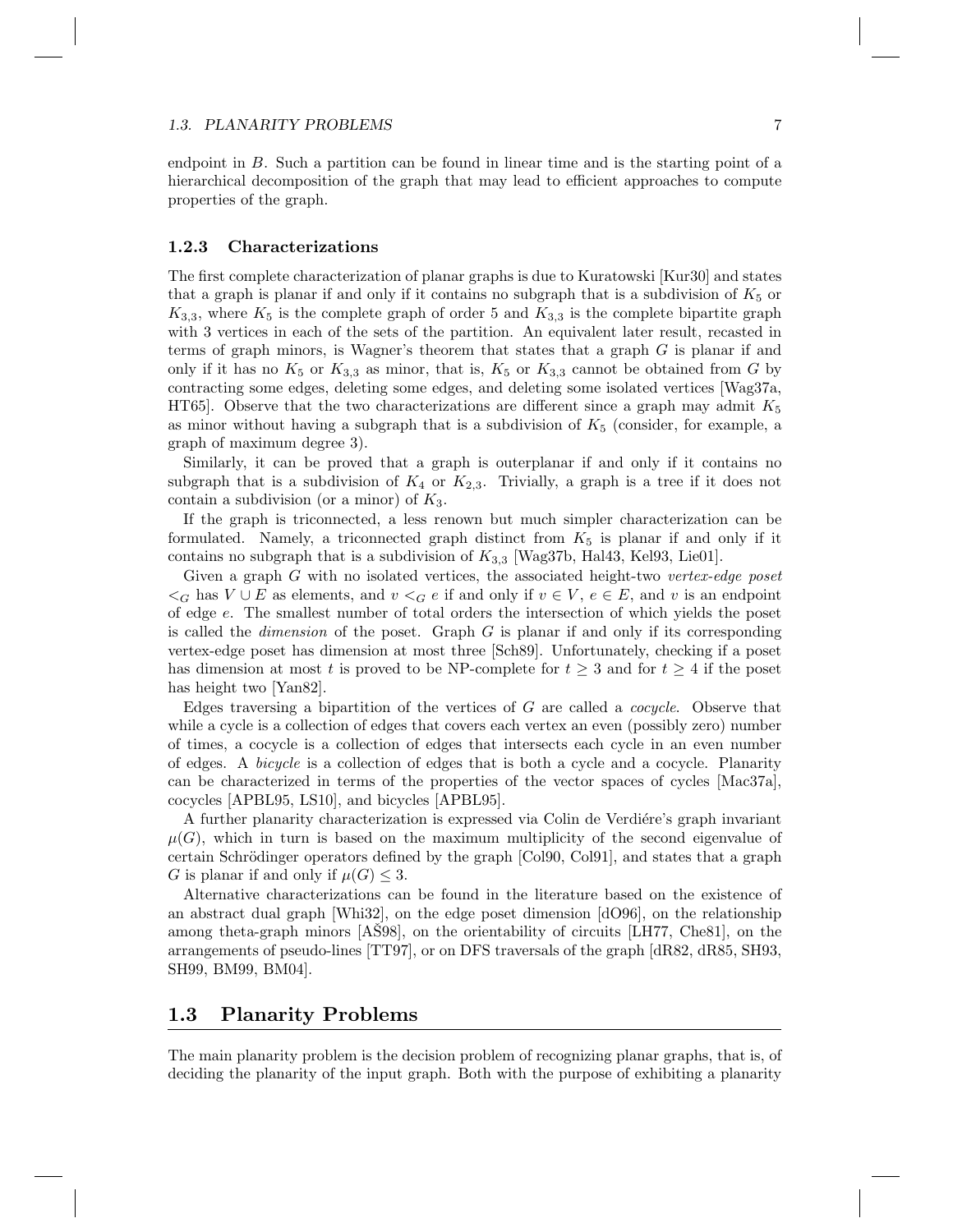endpoint in B. Such a partition can be found in linear time and is the starting point of a hierarchical decomposition of the graph that may lead to efficient approaches to compute properties of the graph.

#### 1.2.3 Characterizations

The first complete characterization of planar graphs is due to Kuratowski [Kur30] and states that a graph is planar if and only if it contains no subgraph that is a subdivision of  $K_5$  or  $K_{3,3}$ , where  $K_5$  is the complete graph of order 5 and  $K_{3,3}$  is the complete bipartite graph with 3 vertices in each of the sets of the partition. An equivalent later result, recasted in terms of graph minors, is Wagner's theorem that states that a graph G is planar if and only if it has no  $K_5$  or  $K_{3,3}$  as minor, that is,  $K_5$  or  $K_{3,3}$  cannot be obtained from G by contracting some edges, deleting some edges, and deleting some isolated vertices [Wag37a, HT65. Observe that the two characterizations are different since a graph may admit  $K_5$ as minor without having a subgraph that is a subdivision of  $K_5$  (consider, for example, a graph of maximum degree 3).

Similarly, it can be proved that a graph is outerplanar if and only if it contains no subgraph that is a subdivision of  $K_4$  or  $K_{2,3}$ . Trivially, a graph is a tree if it does not contain a subdivision (or a minor) of  $K_3$ .

If the graph is triconnected, a less renown but much simpler characterization can be formulated. Namely, a triconnected graph distinct from  $K_5$  is planar if and only if it contains no subgraph that is a subdivision of  $K_{3,3}$  [Wag37b, Hal43, Kel93, Lie01].

Given a graph  $G$  with no isolated vertices, the associated height-two vertex-edge poset  $\lt_G$  has  $V \cup E$  as elements, and  $v \lt_G e$  if and only if  $v \in V$ ,  $e \in E$ , and v is an endpoint of edge e. The smallest number of total orders the intersection of which yields the poset is called the *dimension* of the poset. Graph  $G$  is planar if and only if its corresponding vertex-edge poset has dimension at most three [Sch89]. Unfortunately, checking if a poset has dimension at most t is proved to be NP-complete for  $t \geq 3$  and for  $t \geq 4$  if the poset has height two [Yan82].

Edges traversing a bipartition of the vertices of  $G$  are called a *cocycle*. Observe that while a cycle is a collection of edges that covers each vertex an even (possibly zero) number of times, a cocycle is a collection of edges that intersects each cycle in an even number of edges. A bicycle is a collection of edges that is both a cycle and a cocycle. Planarity can be characterized in terms of the properties of the vector spaces of cycles [Mac37a], cocycles [APBL95, LS10], and bicycles [APBL95].

A further planarity characterization is expressed via Colin de Verdiére's graph invariant  $\mu(G)$ , which in turn is based on the maximum multiplicity of the second eigenvalue of certain Schrödinger operators defined by the graph  $\lbrack \text{Col}90, \text{Col}91 \rbrack$ , and states that a graph G is planar if and only if  $\mu(G) \leq 3$ .

Alternative characterizations can be found in the literature based on the existence of an abstract dual graph [Whi32], on the edge poset dimension [dO96], on the relationship among theta-graph minors  $[A\check{S}98]$ , on the orientability of circuits  $[LH77, Che81]$ , on the arrangements of pseudo-lines [TT97], or on DFS traversals of the graph [dR82, dR85, SH93, SH99, BM99, BM04].

#### 1.3 Planarity Problems

The main planarity problem is the decision problem of recognizing planar graphs, that is, of deciding the planarity of the input graph. Both with the purpose of exhibiting a planarity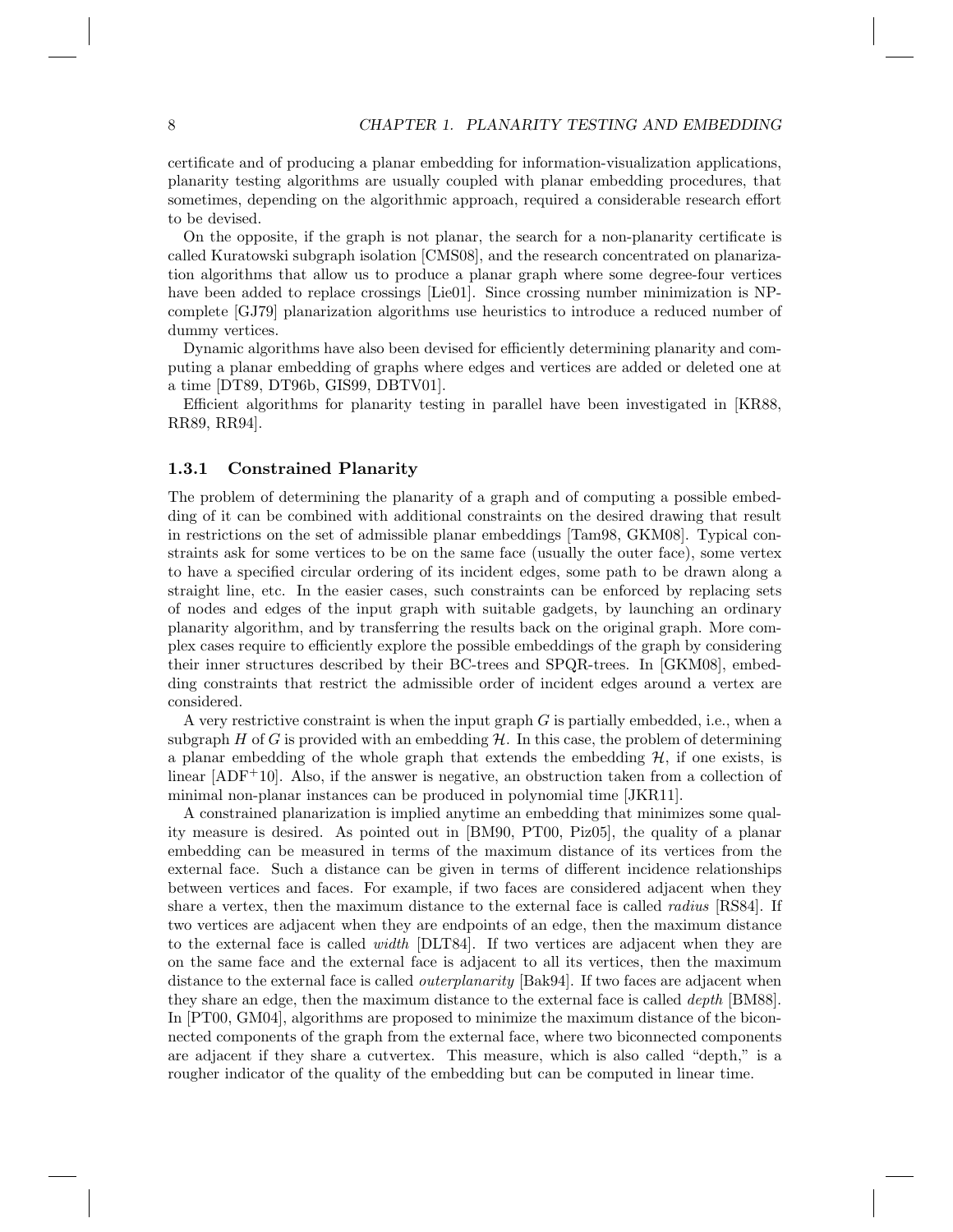certificate and of producing a planar embedding for information-visualization applications, planarity testing algorithms are usually coupled with planar embedding procedures, that sometimes, depending on the algorithmic approach, required a considerable research effort to be devised.

On the opposite, if the graph is not planar, the search for a non-planarity certificate is called Kuratowski subgraph isolation [CMS08], and the research concentrated on planarization algorithms that allow us to produce a planar graph where some degree-four vertices have been added to replace crossings [Lie01]. Since crossing number minimization is NPcomplete [GJ79] planarization algorithms use heuristics to introduce a reduced number of dummy vertices.

Dynamic algorithms have also been devised for efficiently determining planarity and computing a planar embedding of graphs where edges and vertices are added or deleted one at a time [DT89, DT96b, GIS99, DBTV01].

Efficient algorithms for planarity testing in parallel have been investigated in [KR88, RR89, RR94].

#### 1.3.1 Constrained Planarity

The problem of determining the planarity of a graph and of computing a possible embedding of it can be combined with additional constraints on the desired drawing that result in restrictions on the set of admissible planar embeddings [Tam98, GKM08]. Typical constraints ask for some vertices to be on the same face (usually the outer face), some vertex to have a specified circular ordering of its incident edges, some path to be drawn along a straight line, etc. In the easier cases, such constraints can be enforced by replacing sets of nodes and edges of the input graph with suitable gadgets, by launching an ordinary planarity algorithm, and by transferring the results back on the original graph. More complex cases require to efficiently explore the possible embeddings of the graph by considering their inner structures described by their BC-trees and SPQR-trees. In [GKM08], embedding constraints that restrict the admissible order of incident edges around a vertex are considered.

A very restrictive constraint is when the input graph  $G$  is partially embedded, i.e., when a subgraph H of G is provided with an embedding  $H$ . In this case, the problem of determining a planar embedding of the whole graph that extends the embedding  $H$ , if one exists, is linear  $[ADF^+10]$ . Also, if the answer is negative, an obstruction taken from a collection of minimal non-planar instances can be produced in polynomial time [JKR11].

A constrained planarization is implied anytime an embedding that minimizes some quality measure is desired. As pointed out in [BM90, PT00, Piz05], the quality of a planar embedding can be measured in terms of the maximum distance of its vertices from the external face. Such a distance can be given in terms of different incidence relationships between vertices and faces. For example, if two faces are considered adjacent when they share a vertex, then the maximum distance to the external face is called *radius* [RS84]. If two vertices are adjacent when they are endpoints of an edge, then the maximum distance to the external face is called width [DLT84]. If two vertices are adjacent when they are on the same face and the external face is adjacent to all its vertices, then the maximum distance to the external face is called *outerplanarity* [Bak94]. If two faces are adjacent when they share an edge, then the maximum distance to the external face is called depth [BM88]. In [PT00, GM04], algorithms are proposed to minimize the maximum distance of the biconnected components of the graph from the external face, where two biconnected components are adjacent if they share a cutvertex. This measure, which is also called "depth," is a rougher indicator of the quality of the embedding but can be computed in linear time.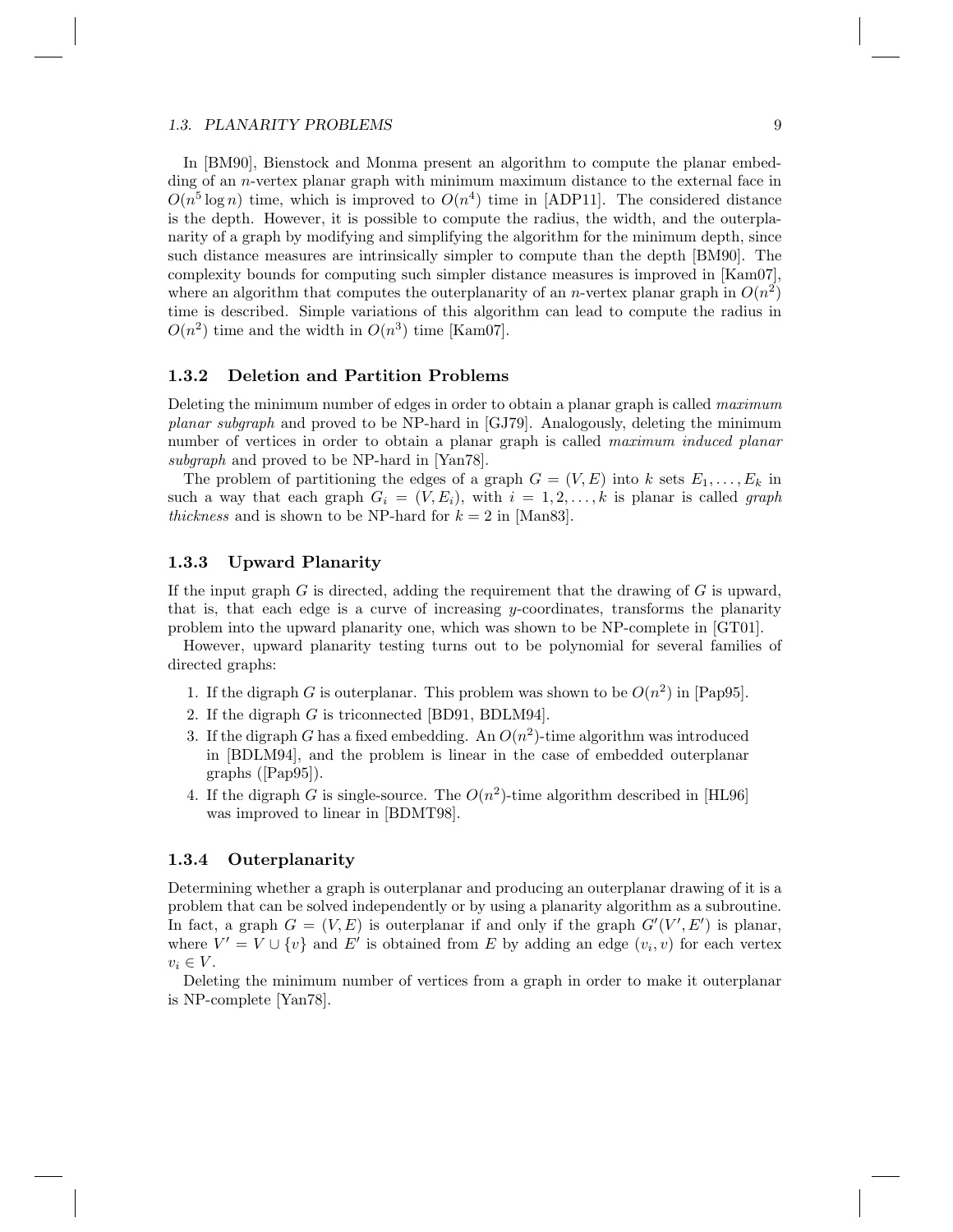#### 1.3. PLANARITY PROBLEMS 9

In [BM90], Bienstock and Monma present an algorithm to compute the planar embedding of an n-vertex planar graph with minimum maximum distance to the external face in  $O(n^5 \log n)$  time, which is improved to  $O(n^4)$  time in [ADP11]. The considered distance is the depth. However, it is possible to compute the radius, the width, and the outerplanarity of a graph by modifying and simplifying the algorithm for the minimum depth, since such distance measures are intrinsically simpler to compute than the depth [BM90]. The complexity bounds for computing such simpler distance measures is improved in [Kam07], where an algorithm that computes the outerplanarity of an *n*-vertex planar graph in  $O(n^2)$ time is described. Simple variations of this algorithm can lead to compute the radius in  $O(n^2)$  time and the width in  $O(n^3)$  time [Kam07].

#### 1.3.2 Deletion and Partition Problems

Deleting the minimum number of edges in order to obtain a planar graph is called *maximum* planar subgraph and proved to be NP-hard in [GJ79]. Analogously, deleting the minimum number of vertices in order to obtain a planar graph is called *maximum induced planar* subgraph and proved to be NP-hard in [Yan78].

The problem of partitioning the edges of a graph  $G = (V, E)$  into k sets  $E_1, \ldots, E_k$  in such a way that each graph  $G_i = (V, E_i)$ , with  $i = 1, 2, ..., k$  is planar is called graph thickness and is shown to be NP-hard for  $k = 2$  in [Man83].

#### 1.3.3 Upward Planarity

If the input graph  $G$  is directed, adding the requirement that the drawing of  $G$  is upward, that is, that each edge is a curve of increasing  $y$ -coordinates, transforms the planarity problem into the upward planarity one, which was shown to be NP-complete in [GT01].

However, upward planarity testing turns out to be polynomial for several families of directed graphs:

- 1. If the digraph G is outerplanar. This problem was shown to be  $O(n^2)$  in [Pap95].
- 2. If the digraph G is triconnected [BD91, BDLM94].
- 3. If the digraph G has a fixed embedding. An  $O(n^2)$ -time algorithm was introduced in [BDLM94], and the problem is linear in the case of embedded outerplanar graphs ([Pap95]).
- 4. If the digraph G is single-source. The  $O(n^2)$ -time algorithm described in [HL96] was improved to linear in [BDMT98].

#### 1.3.4 Outerplanarity

Determining whether a graph is outerplanar and producing an outerplanar drawing of it is a problem that can be solved independently or by using a planarity algorithm as a subroutine. In fact, a graph  $G = (V, E)$  is outerplanar if and only if the graph  $G'(V', E')$  is planar, where  $V' = V \cup \{v\}$  and  $E'$  is obtained from E by adding an edge  $(v_i, v)$  for each vertex  $v_i \in V$ .

Deleting the minimum number of vertices from a graph in order to make it outerplanar is NP-complete [Yan78].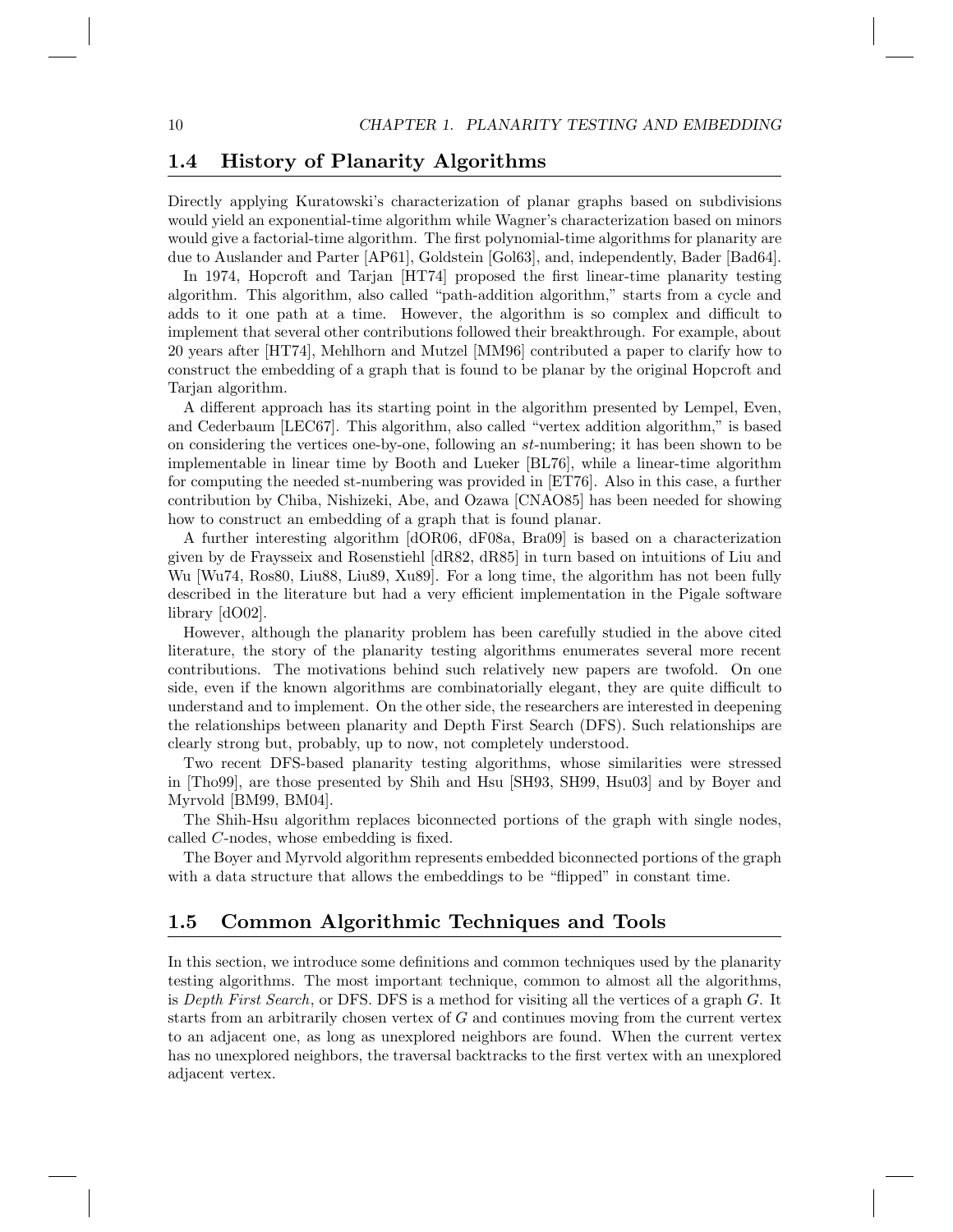#### 1.4 History of Planarity Algorithms

Directly applying Kuratowski's characterization of planar graphs based on subdivisions would yield an exponential-time algorithm while Wagner's characterization based on minors would give a factorial-time algorithm. The first polynomial-time algorithms for planarity are due to Auslander and Parter [AP61], Goldstein [Gol63], and, independently, Bader [Bad64].

In 1974, Hopcroft and Tarjan [HT74] proposed the first linear-time planarity testing algorithm. This algorithm, also called "path-addition algorithm," starts from a cycle and adds to it one path at a time. However, the algorithm is so complex and difficult to implement that several other contributions followed their breakthrough. For example, about 20 years after [HT74], Mehlhorn and Mutzel [MM96] contributed a paper to clarify how to construct the embedding of a graph that is found to be planar by the original Hopcroft and Tarjan algorithm.

A different approach has its starting point in the algorithm presented by Lempel, Even, and Cederbaum [LEC67]. This algorithm, also called "vertex addition algorithm," is based on considering the vertices one-by-one, following an st-numbering; it has been shown to be implementable in linear time by Booth and Lueker [BL76], while a linear-time algorithm for computing the needed st-numbering was provided in [ET76]. Also in this case, a further contribution by Chiba, Nishizeki, Abe, and Ozawa [CNAO85] has been needed for showing how to construct an embedding of a graph that is found planar.

A further interesting algorithm [dOR06, dF08a, Bra09] is based on a characterization given by de Fraysseix and Rosenstiehl [dR82, dR85] in turn based on intuitions of Liu and Wu [Wu74, Ros80, Liu88, Liu89, Xu89]. For a long time, the algorithm has not been fully described in the literature but had a very efficient implementation in the Pigale software library [dO02].

However, although the planarity problem has been carefully studied in the above cited literature, the story of the planarity testing algorithms enumerates several more recent contributions. The motivations behind such relatively new papers are twofold. On one side, even if the known algorithms are combinatorially elegant, they are quite difficult to understand and to implement. On the other side, the researchers are interested in deepening the relationships between planarity and Depth First Search (DFS). Such relationships are clearly strong but, probably, up to now, not completely understood.

Two recent DFS-based planarity testing algorithms, whose similarities were stressed in [Tho99], are those presented by Shih and Hsu [SH93, SH99, Hsu03] and by Boyer and Myrvold [BM99, BM04].

The Shih-Hsu algorithm replaces biconnected portions of the graph with single nodes, called C-nodes, whose embedding is fixed.

The Boyer and Myrvold algorithm represents embedded biconnected portions of the graph with a data structure that allows the embeddings to be "flipped" in constant time.

#### 1.5 Common Algorithmic Techniques and Tools

In this section, we introduce some definitions and common techniques used by the planarity testing algorithms. The most important technique, common to almost all the algorithms, is Depth First Search, or DFS. DFS is a method for visiting all the vertices of a graph G. It starts from an arbitrarily chosen vertex of G and continues moving from the current vertex to an adjacent one, as long as unexplored neighbors are found. When the current vertex has no unexplored neighbors, the traversal backtracks to the first vertex with an unexplored adjacent vertex.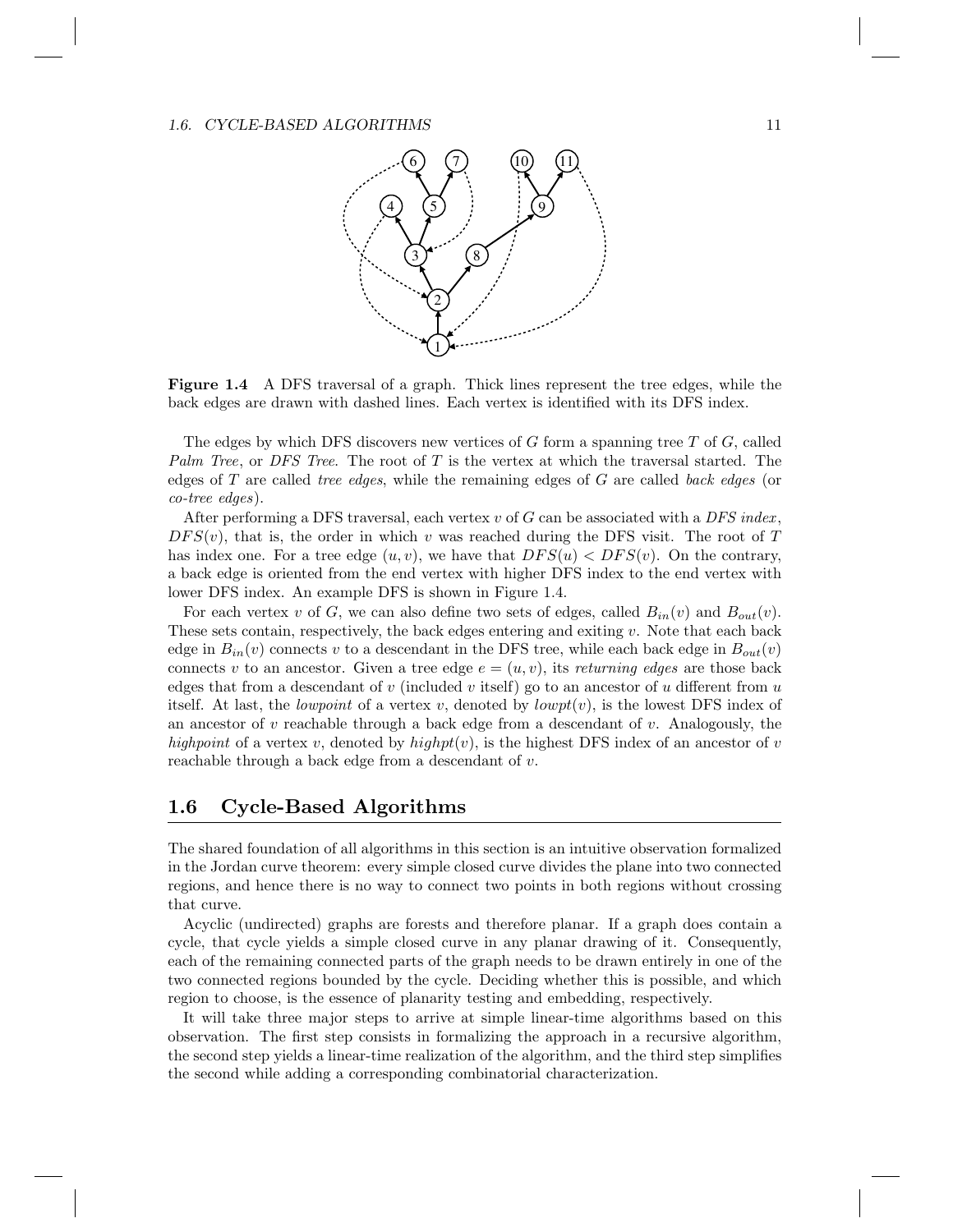#### 1.6. CYCLE-BASED ALGORITHMS 11



Figure 1.4 A DFS traversal of a graph. Thick lines represent the tree edges, while the back edges are drawn with dashed lines. Each vertex is identified with its DFS index.

The edges by which DFS discovers new vertices of  $G$  form a spanning tree  $T$  of  $G$ , called Palm Tree, or DFS Tree. The root of T is the vertex at which the traversal started. The edges of T are called *tree edges*, while the remaining edges of G are called *back edges* (or co-tree edges).

After performing a DFS traversal, each vertex v of G can be associated with a DFS index,  $DFS(v)$ , that is, the order in which v was reached during the DFS visit. The root of T has index one. For a tree edge  $(u, v)$ , we have that  $DFS(u) < DFS(v)$ . On the contrary, a back edge is oriented from the end vertex with higher DFS index to the end vertex with lower DFS index. An example DFS is shown in Figure 1.4.

For each vertex v of G, we can also define two sets of edges, called  $B_{in}(v)$  and  $B_{out}(v)$ . These sets contain, respectively, the back edges entering and exiting  $v$ . Note that each back edge in  $B_{in}(v)$  connects v to a descendant in the DFS tree, while each back edge in  $B_{out}(v)$ connects v to an ancestor. Given a tree edge  $e = (u, v)$ , its returning edges are those back edges that from a descendant of v (included v itself) go to an ancestor of u different from  $u$ itself. At last, the *lowpoint* of a vertex v, denoted by  $lowpt(v)$ , is the lowest DFS index of an ancestor of  $v$  reachable through a back edge from a descendant of  $v$ . Analogously, the highpoint of a vertex v, denoted by  $highpt(v)$ , is the highest DFS index of an ancestor of v reachable through a back edge from a descendant of v.

#### 1.6 Cycle-Based Algorithms

The shared foundation of all algorithms in this section is an intuitive observation formalized in the Jordan curve theorem: every simple closed curve divides the plane into two connected regions, and hence there is no way to connect two points in both regions without crossing that curve.

Acyclic (undirected) graphs are forests and therefore planar. If a graph does contain a cycle, that cycle yields a simple closed curve in any planar drawing of it. Consequently, each of the remaining connected parts of the graph needs to be drawn entirely in one of the two connected regions bounded by the cycle. Deciding whether this is possible, and which region to choose, is the essence of planarity testing and embedding, respectively.

It will take three major steps to arrive at simple linear-time algorithms based on this observation. The first step consists in formalizing the approach in a recursive algorithm, the second step yields a linear-time realization of the algorithm, and the third step simplifies the second while adding a corresponding combinatorial characterization.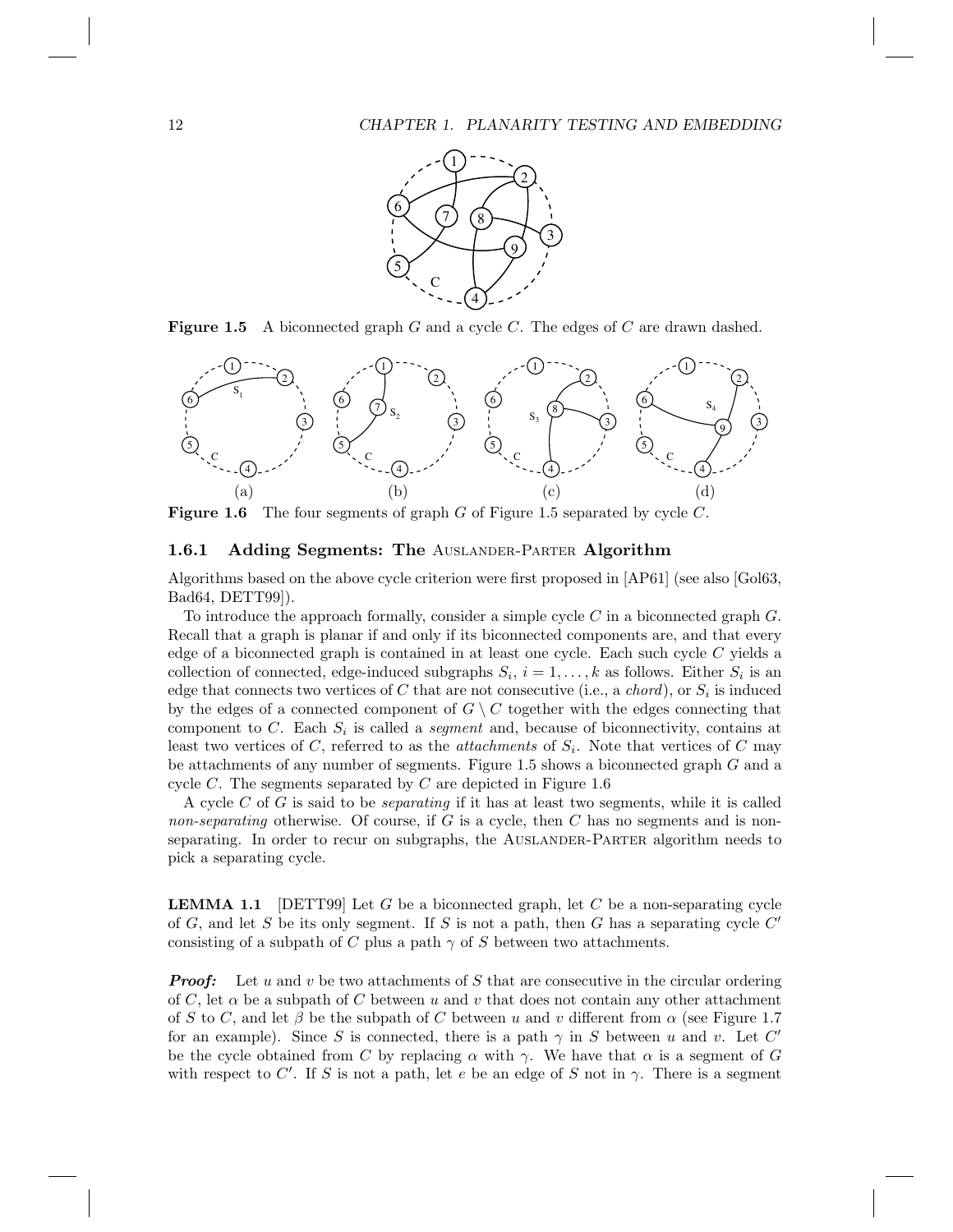

**Figure 1.5** A biconnected graph G and a cycle C. The edges of C are drawn dashed.



**Figure 1.6** The four segments of graph  $G$  of Figure 1.5 separated by cycle  $C$ .

#### 1.6.1 Adding Segments: The AUSLANDER-PARTER Algorithm

Algorithms based on the above cycle criterion were first proposed in [AP61] (see also [Gol63, Bad64, DETT99]).

To introduce the approach formally, consider a simple cycle  $C$  in a biconnected graph  $G$ . Recall that a graph is planar if and only if its biconnected components are, and that every edge of a biconnected graph is contained in at least one cycle. Each such cycle C yields a collection of connected, edge-induced subgraphs  $S_i$ ,  $i = 1, \ldots, k$  as follows. Either  $S_i$  is an edge that connects two vertices of C that are not consecutive (i.e., a *chord*), or  $S_i$  is induced by the edges of a connected component of  $G \setminus C$  together with the edges connecting that component to C. Each  $S_i$  is called a *segment* and, because of biconnectivity, contains at least two vertices of C, referred to as the *attachments* of  $S_i$ . Note that vertices of C may be attachments of any number of segments. Figure 1.5 shows a biconnected graph G and a cycle C. The segments separated by C are depicted in Figure  $1.6$ 

A cycle  $C$  of  $G$  is said to be *separating* if it has at least two segments, while it is called non-separating otherwise. Of course, if  $G$  is a cycle, then  $C$  has no segments and is nonseparating. In order to recur on subgraphs, the AUSLANDER-PARTER algorithm needs to pick a separating cycle.

**LEMMA 1.1** [DETT99] Let G be a biconnected graph, let C be a non-separating cycle of G, and let S be its only segment. If S is not a path, then G has a separating cycle  $C'$ consisting of a subpath of C plus a path  $\gamma$  of S between two attachments.

**Proof:** Let u and v be two attachments of S that are consecutive in the circular ordering of C, let  $\alpha$  be a subpath of C between u and v that does not contain any other attachment of S to C, and let  $\beta$  be the subpath of C between u and v different from  $\alpha$  (see Figure 1.7) for an example). Since S is connected, there is a path  $\gamma$  in S between u and v. Let C' be the cycle obtained from C by replacing  $\alpha$  with  $\gamma$ . We have that  $\alpha$  is a segment of G with respect to C'. If S is not a path, let e be an edge of S not in  $\gamma$ . There is a segment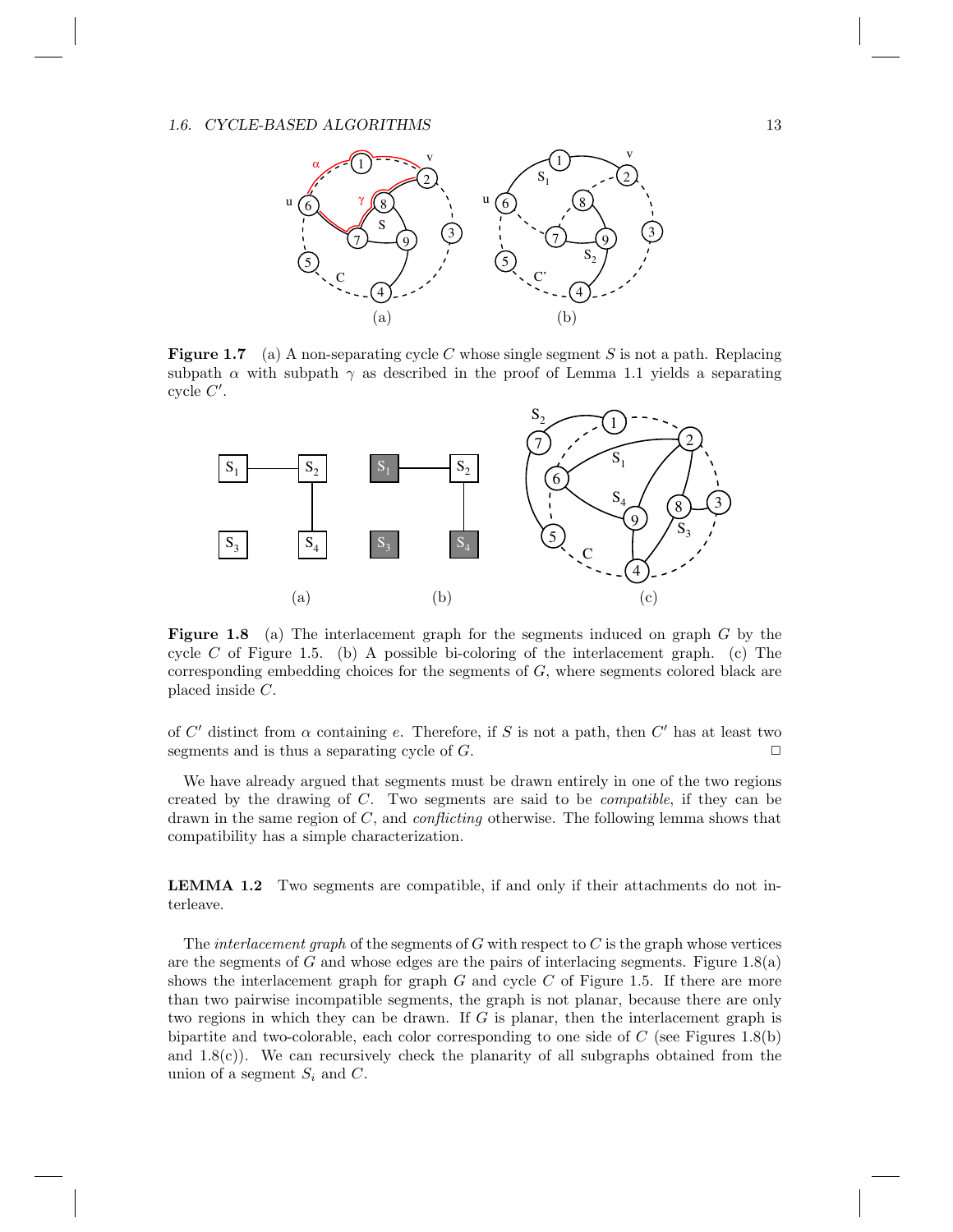

**Figure 1.7** (a) A non-separating cycle C whose single segment S is not a path. Replacing subpath  $\alpha$  with subpath  $\gamma$  as described in the proof of Lemma 1.1 yields a separating cycle  $C'$ .



Figure 1.8 (a) The interlacement graph for the segments induced on graph G by the cycle C of Figure 1.5. (b) A possible bi-coloring of the interlacement graph. (c) The corresponding embedding choices for the segments of  $G$ , where segments colored black are placed inside C.

of  $C'$  distinct from  $\alpha$  containing e. Therefore, if S is not a path, then  $C'$  has at least two segments and is thus a separating cycle of  $G$ .  $\Box$ 

We have already argued that segments must be drawn entirely in one of the two regions created by the drawing of C. Two segments are said to be compatible, if they can be drawn in the same region of  $C$ , and *conflicting* otherwise. The following lemma shows that compatibility has a simple characterization.

LEMMA 1.2 Two segments are compatible, if and only if their attachments do not interleave.

The *interlacement graph* of the segments of G with respect to C is the graph whose vertices are the segments of  $G$  and whose edges are the pairs of interlacing segments. Figure 1.8(a) shows the interlacement graph for graph  $G$  and cycle  $C$  of Figure 1.5. If there are more than two pairwise incompatible segments, the graph is not planar, because there are only two regions in which they can be drawn. If  $G$  is planar, then the interlacement graph is bipartite and two-colorable, each color corresponding to one side of  $C$  (see Figures 1.8(b) and  $1.8(c)$ ). We can recursively check the planarity of all subgraphs obtained from the union of a segment  $S_i$  and  $C$ .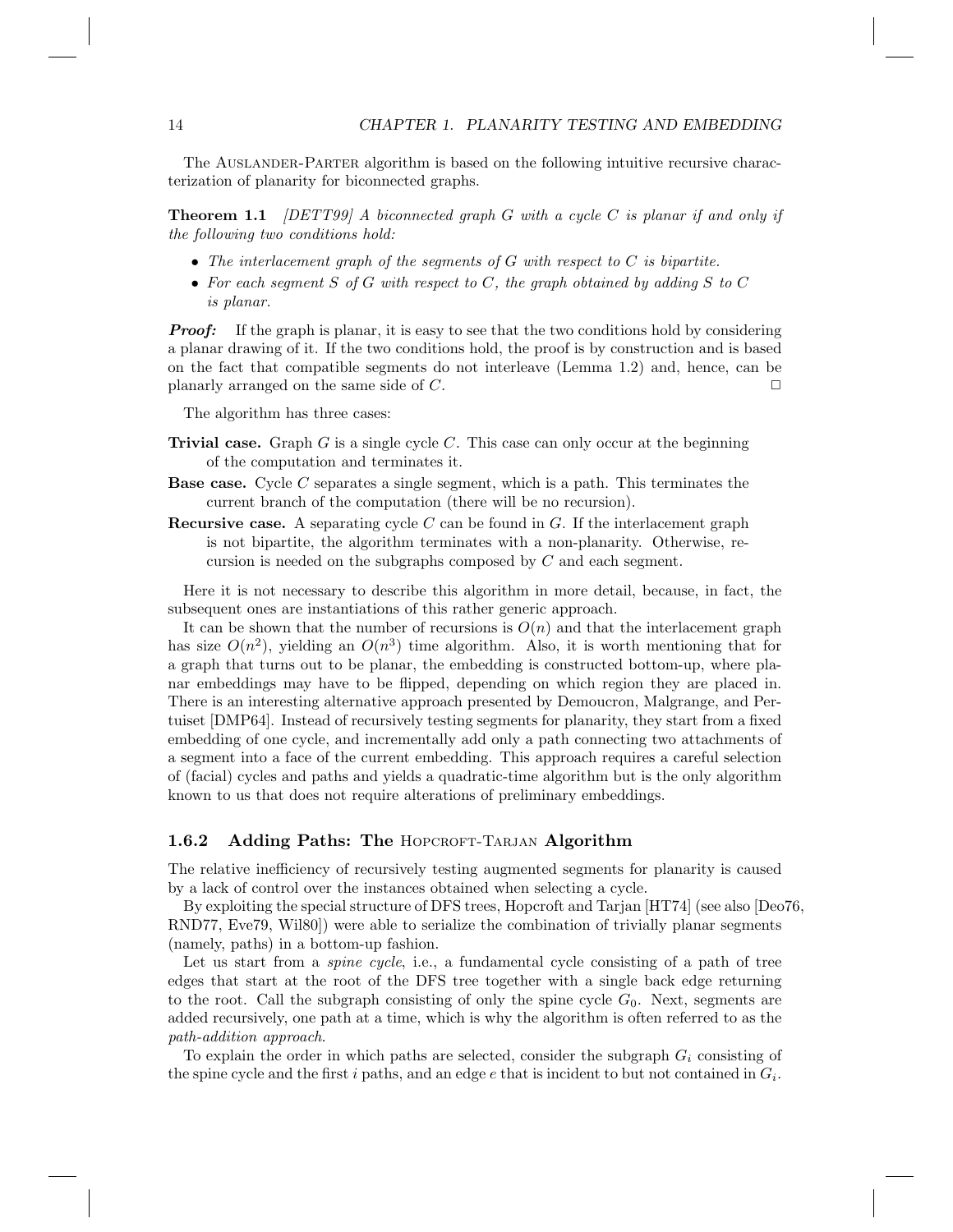The Auslander-Parter algorithm is based on the following intuitive recursive characterization of planarity for biconnected graphs.

**Theorem 1.1** *[DETT99] A biconnected graph G with a cycle C is planar if and only if* the following two conditions hold:

- The interlacement graph of the segments of  $G$  with respect to  $C$  is bipartite.
- For each segment S of G with respect to  $C$ , the graph obtained by adding S to  $C$ is planar.

**Proof:** If the graph is planar, it is easy to see that the two conditions hold by considering a planar drawing of it. If the two conditions hold, the proof is by construction and is based on the fact that compatible segments do not interleave (Lemma 1.2) and, hence, can be planarly arranged on the same side of  $C$ .  $\Box$ 

The algorithm has three cases:

- **Trivial case.** Graph G is a single cycle C. This case can only occur at the beginning of the computation and terminates it.
- Base case. Cycle C separates a single segment, which is a path. This terminates the current branch of the computation (there will be no recursion).
- **Recursive case.** A separating cycle C can be found in  $G$ . If the interlacement graph is not bipartite, the algorithm terminates with a non-planarity. Otherwise, recursion is needed on the subgraphs composed by C and each segment.

Here it is not necessary to describe this algorithm in more detail, because, in fact, the subsequent ones are instantiations of this rather generic approach.

It can be shown that the number of recursions is  $O(n)$  and that the interlacement graph has size  $O(n^2)$ , yielding an  $O(n^3)$  time algorithm. Also, it is worth mentioning that for a graph that turns out to be planar, the embedding is constructed bottom-up, where planar embeddings may have to be flipped, depending on which region they are placed in. There is an interesting alternative approach presented by Demoucron, Malgrange, and Pertuiset [DMP64]. Instead of recursively testing segments for planarity, they start from a fixed embedding of one cycle, and incrementally add only a path connecting two attachments of a segment into a face of the current embedding. This approach requires a careful selection of (facial) cycles and paths and yields a quadratic-time algorithm but is the only algorithm known to us that does not require alterations of preliminary embeddings.

#### 1.6.2 Adding Paths: The HOPCROFT-TARJAN Algorithm

The relative inefficiency of recursively testing augmented segments for planarity is caused by a lack of control over the instances obtained when selecting a cycle.

By exploiting the special structure of DFS trees, Hopcroft and Tarjan [HT74] (see also [Deo76, RND77, Eve79, Wil80]) were able to serialize the combination of trivially planar segments (namely, paths) in a bottom-up fashion.

Let us start from a *spine cycle*, i.e., a fundamental cycle consisting of a path of tree edges that start at the root of the DFS tree together with a single back edge returning to the root. Call the subgraph consisting of only the spine cycle  $G_0$ . Next, segments are added recursively, one path at a time, which is why the algorithm is often referred to as the path-addition approach.

To explain the order in which paths are selected, consider the subgraph  $G_i$  consisting of the spine cycle and the first i paths, and an edge e that is incident to but not contained in  $G_i$ .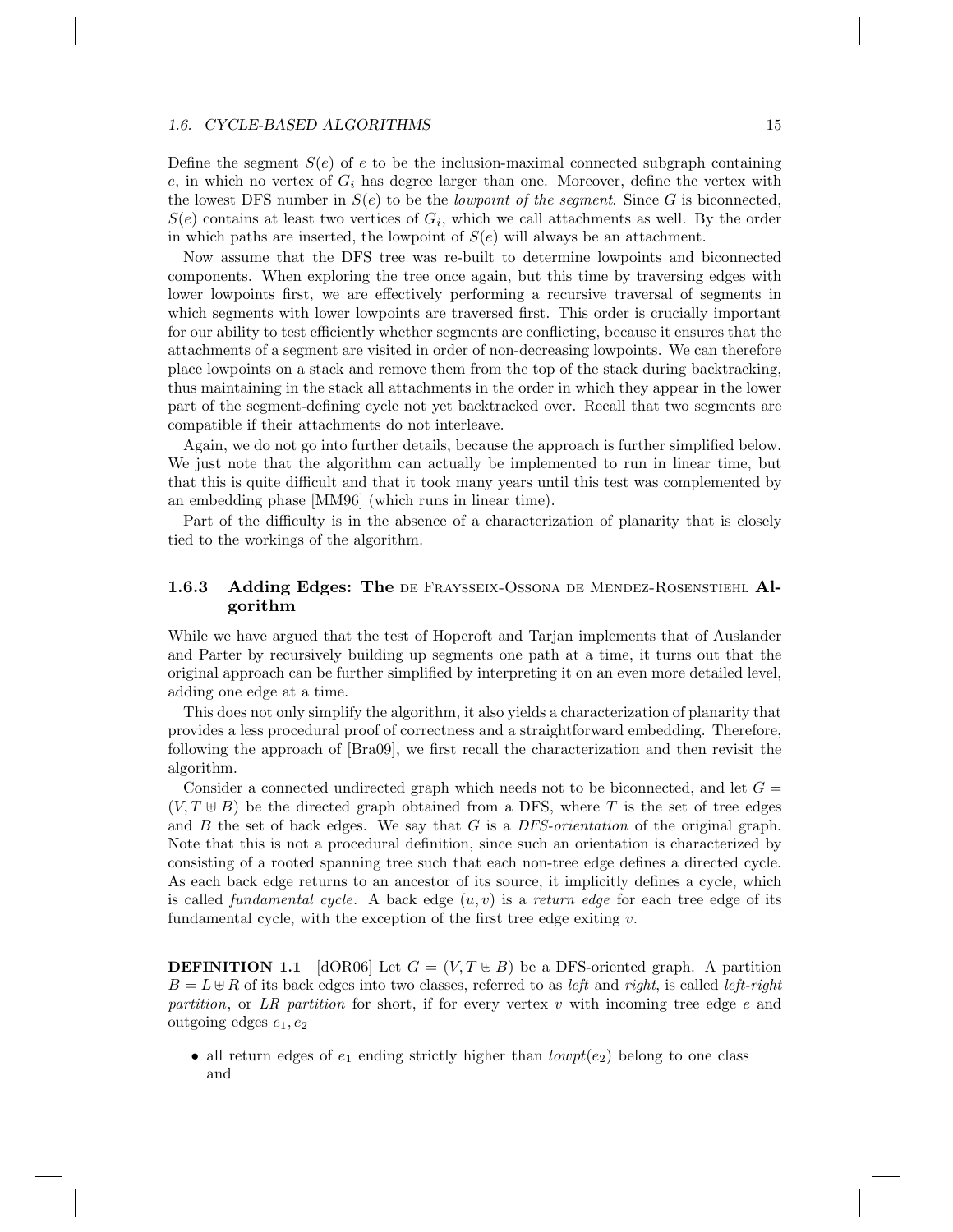#### 1.6. CYCLE-BASED ALGORITHMS 15

Define the segment  $S(e)$  of e to be the inclusion-maximal connected subgraph containing e, in which no vertex of  $G_i$  has degree larger than one. Moreover, define the vertex with the lowest DFS number in  $S(e)$  to be the *lowpoint of the segment*. Since G is biconnected,  $S(e)$  contains at least two vertices of  $G_i$ , which we call attachments as well. By the order in which paths are inserted, the lowpoint of  $S(e)$  will always be an attachment.

Now assume that the DFS tree was re-built to determine lowpoints and biconnected components. When exploring the tree once again, but this time by traversing edges with lower lowpoints first, we are effectively performing a recursive traversal of segments in which segments with lower lowpoints are traversed first. This order is crucially important for our ability to test efficiently whether segments are conflicting, because it ensures that the attachments of a segment are visited in order of non-decreasing lowpoints. We can therefore place lowpoints on a stack and remove them from the top of the stack during backtracking, thus maintaining in the stack all attachments in the order in which they appear in the lower part of the segment-defining cycle not yet backtracked over. Recall that two segments are compatible if their attachments do not interleave.

Again, we do not go into further details, because the approach is further simplified below. We just note that the algorithm can actually be implemented to run in linear time, but that this is quite difficult and that it took many years until this test was complemented by an embedding phase [MM96] (which runs in linear time).

Part of the difficulty is in the absence of a characterization of planarity that is closely tied to the workings of the algorithm.

#### 1.6.3 Adding Edges: The DE FRAYSSEIX-OSSONA DE MENDEZ-ROSENSTIEHL Algorithm

While we have argued that the test of Hopcroft and Tarjan implements that of Auslander and Parter by recursively building up segments one path at a time, it turns out that the original approach can be further simplified by interpreting it on an even more detailed level, adding one edge at a time.

This does not only simplify the algorithm, it also yields a characterization of planarity that provides a less procedural proof of correctness and a straightforward embedding. Therefore, following the approach of [Bra09], we first recall the characterization and then revisit the algorithm.

Consider a connected undirected graph which needs not to be biconnected, and let  $G =$  $(V, T \oplus B)$  be the directed graph obtained from a DFS, where T is the set of tree edges and  $B$  the set of back edges. We say that  $G$  is a *DFS-orientation* of the original graph. Note that this is not a procedural definition, since such an orientation is characterized by consisting of a rooted spanning tree such that each non-tree edge defines a directed cycle. As each back edge returns to an ancestor of its source, it implicitly defines a cycle, which is called fundamental cycle. A back edge  $(u, v)$  is a return edge for each tree edge of its fundamental cycle, with the exception of the first tree edge exiting  $v$ .

**DEFINITION 1.1** [dOR06] Let  $G = (V, T \oplus B)$  be a DFS-oriented graph. A partition  $B = L \oplus R$  of its back edges into two classes, referred to as left and right, is called left-right partition, or LR partition for short, if for every vertex v with incoming tree edge  $e$  and outgoing edges  $e_1, e_2$ 

• all return edges of  $e_1$  ending strictly higher than  $lowpt(e_2)$  belong to one class and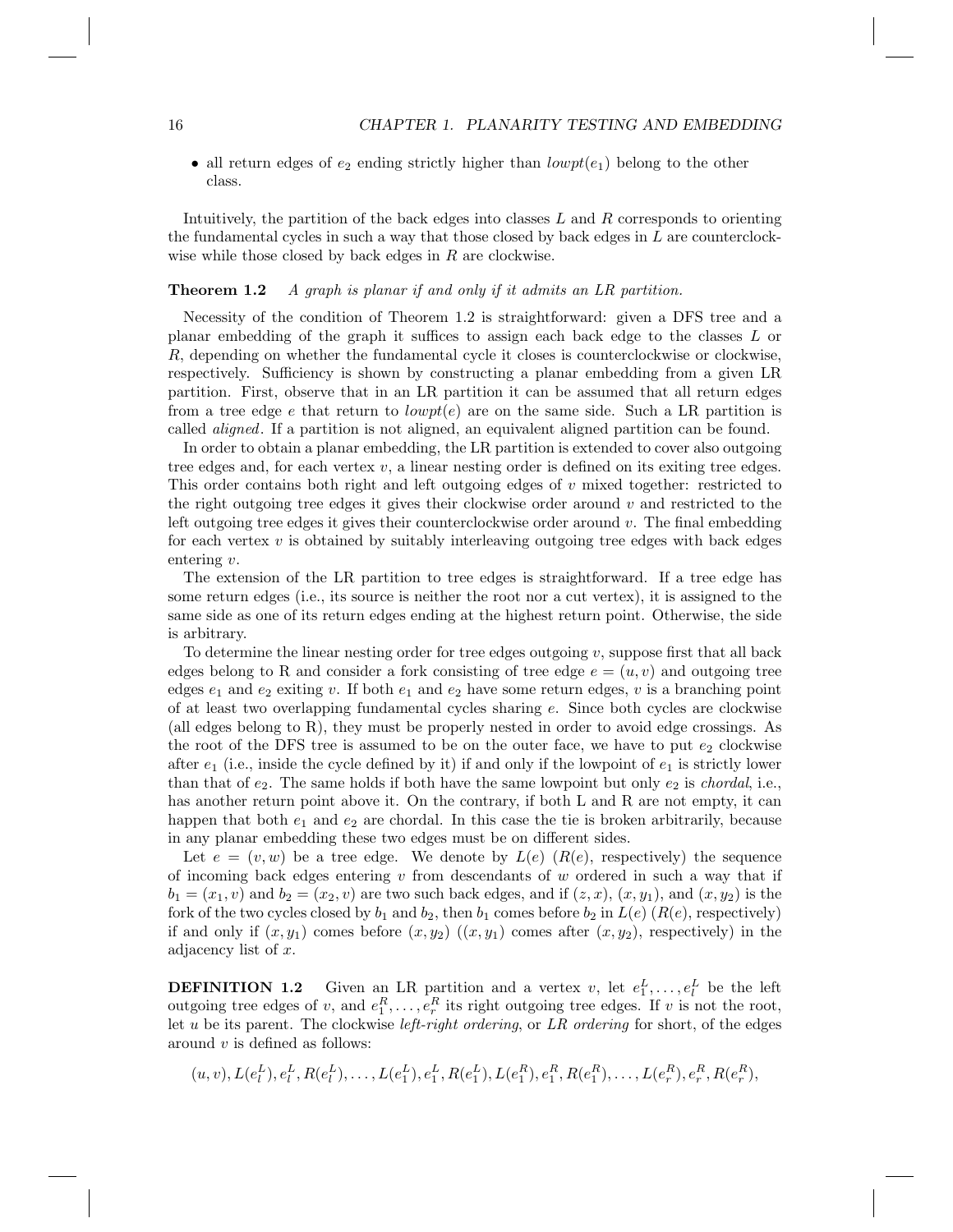• all return edges of  $e_2$  ending strictly higher than  $lowpt(e_1)$  belong to the other class.

Intuitively, the partition of the back edges into classes  $L$  and  $R$  corresponds to orienting the fundamental cycles in such a way that those closed by back edges in  $L$  are counterclockwise while those closed by back edges in  $R$  are clockwise.

**Theorem 1.2** A graph is planar if and only if it admits an LR partition.

Necessity of the condition of Theorem 1.2 is straightforward: given a DFS tree and a planar embedding of the graph it suffices to assign each back edge to the classes L or R, depending on whether the fundamental cycle it closes is counterclockwise or clockwise, respectively. Sufficiency is shown by constructing a planar embedding from a given LR partition. First, observe that in an LR partition it can be assumed that all return edges from a tree edge e that return to  $lowpt(e)$  are on the same side. Such a LR partition is called aligned. If a partition is not aligned, an equivalent aligned partition can be found.

In order to obtain a planar embedding, the LR partition is extended to cover also outgoing tree edges and, for each vertex  $v$ , a linear nesting order is defined on its exiting tree edges. This order contains both right and left outgoing edges of v mixed together: restricted to the right outgoing tree edges it gives their clockwise order around  $v$  and restricted to the left outgoing tree edges it gives their counterclockwise order around  $v$ . The final embedding for each vertex  $v$  is obtained by suitably interleaving outgoing tree edges with back edges entering v.

The extension of the LR partition to tree edges is straightforward. If a tree edge has some return edges (i.e., its source is neither the root nor a cut vertex), it is assigned to the same side as one of its return edges ending at the highest return point. Otherwise, the side is arbitrary.

To determine the linear nesting order for tree edges outgoing  $v$ , suppose first that all back edges belong to R and consider a fork consisting of tree edge  $e = (u, v)$  and outgoing tree edges  $e_1$  and  $e_2$  exiting v. If both  $e_1$  and  $e_2$  have some return edges, v is a branching point of at least two overlapping fundamental cycles sharing e. Since both cycles are clockwise (all edges belong to R), they must be properly nested in order to avoid edge crossings. As the root of the DFS tree is assumed to be on the outer face, we have to put  $e_2$  clockwise after  $e_1$  (i.e., inside the cycle defined by it) if and only if the lowpoint of  $e_1$  is strictly lower than that of  $e_2$ . The same holds if both have the same lowpoint but only  $e_2$  is *chordal*, i.e., has another return point above it. On the contrary, if both L and R are not empty, it can happen that both  $e_1$  and  $e_2$  are chordal. In this case the tie is broken arbitrarily, because in any planar embedding these two edges must be on different sides.

Let  $e = (v, w)$  be a tree edge. We denote by  $L(e)$  ( $R(e)$ , respectively) the sequence of incoming back edges entering  $v$  from descendants of  $w$  ordered in such a way that if  $b_1 = (x_1, v)$  and  $b_2 = (x_2, v)$  are two such back edges, and if  $(z, x)$ ,  $(x, y_1)$ , and  $(x, y_2)$  is the fork of the two cycles closed by  $b_1$  and  $b_2$ , then  $b_1$  comes before  $b_2$  in  $L(e)$  ( $R(e)$ , respectively) if and only if  $(x, y_1)$  comes before  $(x, y_2)$   $((x, y_1)$  comes after  $(x, y_2)$ , respectively) in the adjacency list of x.

**DEFINITION 1.2** Given an LR partition and a vertex v, let  $e_1^L, \ldots, e_l^L$  be the left outgoing tree edges of v, and  $e_1^R, \ldots, e_r^R$  its right outgoing tree edges. If v is not the root, let u be its parent. The clockwise *left-right ordering*, or LR ordering for short, of the edges around  $v$  is defined as follows:

$$
(u, v), L(e_l^L), e_l^L, R(e_l^L), \ldots, L(e_1^L), e_1^L, R(e_1^L), L(e_1^R), e_1^R, R(e_1^R), \ldots, L(e_r^R), e_r^R, R(e_r^R),
$$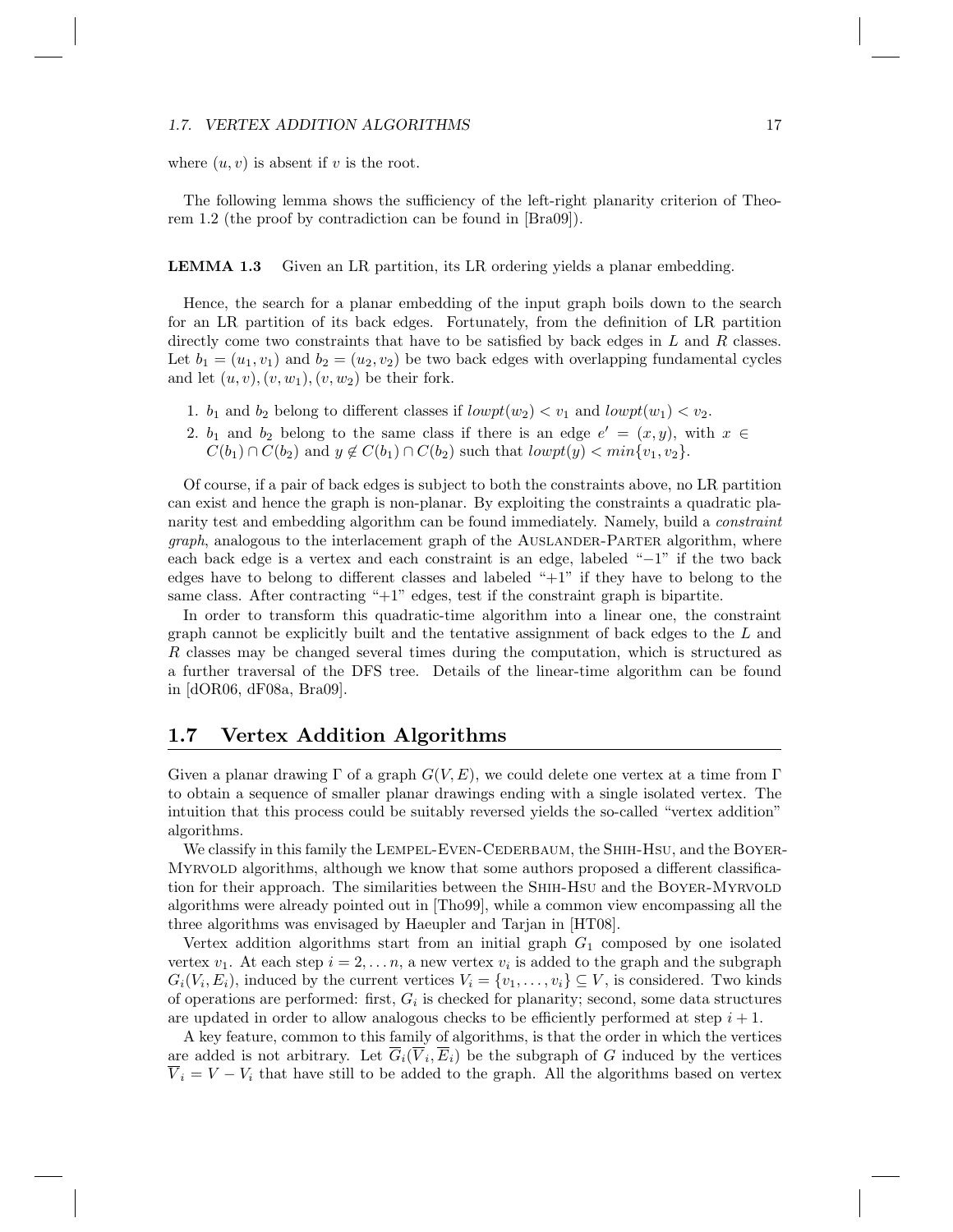#### 1.7. VERTEX ADDITION ALGORITHMS 17

where  $(u, v)$  is absent if v is the root.

The following lemma shows the sufficiency of the left-right planarity criterion of Theorem 1.2 (the proof by contradiction can be found in [Bra09]).

LEMMA 1.3 Given an LR partition, its LR ordering yields a planar embedding.

Hence, the search for a planar embedding of the input graph boils down to the search for an LR partition of its back edges. Fortunately, from the definition of LR partition directly come two constraints that have to be satisfied by back edges in  $L$  and  $R$  classes. Let  $b_1 = (u_1, v_1)$  and  $b_2 = (u_2, v_2)$  be two back edges with overlapping fundamental cycles and let  $(u, v), (v, w_1), (v, w_2)$  be their fork.

- 1.  $b_1$  and  $b_2$  belong to different classes if  $lowpt(w_2) < v_1$  and  $lowpt(w_1) < v_2$ .
- 2.  $b_1$  and  $b_2$  belong to the same class if there is an edge  $e' = (x, y)$ , with  $x \in$ 
	- $C(b_1) \cap C(b_2)$  and  $y \notin C(b_1) \cap C(b_2)$  such that  $lowpt(y) < min\{v_1, v_2\}$ .

Of course, if a pair of back edges is subject to both the constraints above, no LR partition can exist and hence the graph is non-planar. By exploiting the constraints a quadratic planarity test and embedding algorithm can be found immediately. Namely, build a *constraint* graph, analogous to the interlacement graph of the AUSLANDER-PARTER algorithm, where each back edge is a vertex and each constraint is an edge, labeled "−1" if the two back edges have to belong to different classes and labeled " $+1$ " if they have to belong to the same class. After contracting "+1" edges, test if the constraint graph is bipartite.

In order to transform this quadratic-time algorithm into a linear one, the constraint graph cannot be explicitly built and the tentative assignment of back edges to the L and R classes may be changed several times during the computation, which is structured as a further traversal of the DFS tree. Details of the linear-time algorithm can be found in [dOR06, dF08a, Bra09].

### 1.7 Vertex Addition Algorithms

Given a planar drawing  $\Gamma$  of a graph  $G(V, E)$ , we could delete one vertex at a time from  $\Gamma$ to obtain a sequence of smaller planar drawings ending with a single isolated vertex. The intuition that this process could be suitably reversed yields the so-called "vertex addition" algorithms.

We classify in this family the LEMPEL-EVEN-CEDERBAUM, the SHIH-HSU, and the BOYER-Myrvold algorithms, although we know that some authors proposed a different classification for their approach. The similarities between the SHIH-HSU and the BOYER-MYRVOLD algorithms were already pointed out in [Tho99], while a common view encompassing all the three algorithms was envisaged by Haeupler and Tarjan in [HT08].

Vertex addition algorithms start from an initial graph  $G_1$  composed by one isolated vertex  $v_1$ . At each step  $i = 2, \ldots n$ , a new vertex  $v_i$  is added to the graph and the subgraph  $G_i(V_i, E_i)$ , induced by the current vertices  $V_i = \{v_1, \ldots, v_i\} \subseteq V$ , is considered. Two kinds of operations are performed: first,  $G_i$  is checked for planarity; second, some data structures are updated in order to allow analogous checks to be efficiently performed at step  $i + 1$ .

A key feature, common to this family of algorithms, is that the order in which the vertices are added is not arbitrary. Let  $G_i(V_i, E_i)$  be the subgraph of G induced by the vertices  $\overline{V}_i = V - V_i$  that have still to be added to the graph. All the algorithms based on vertex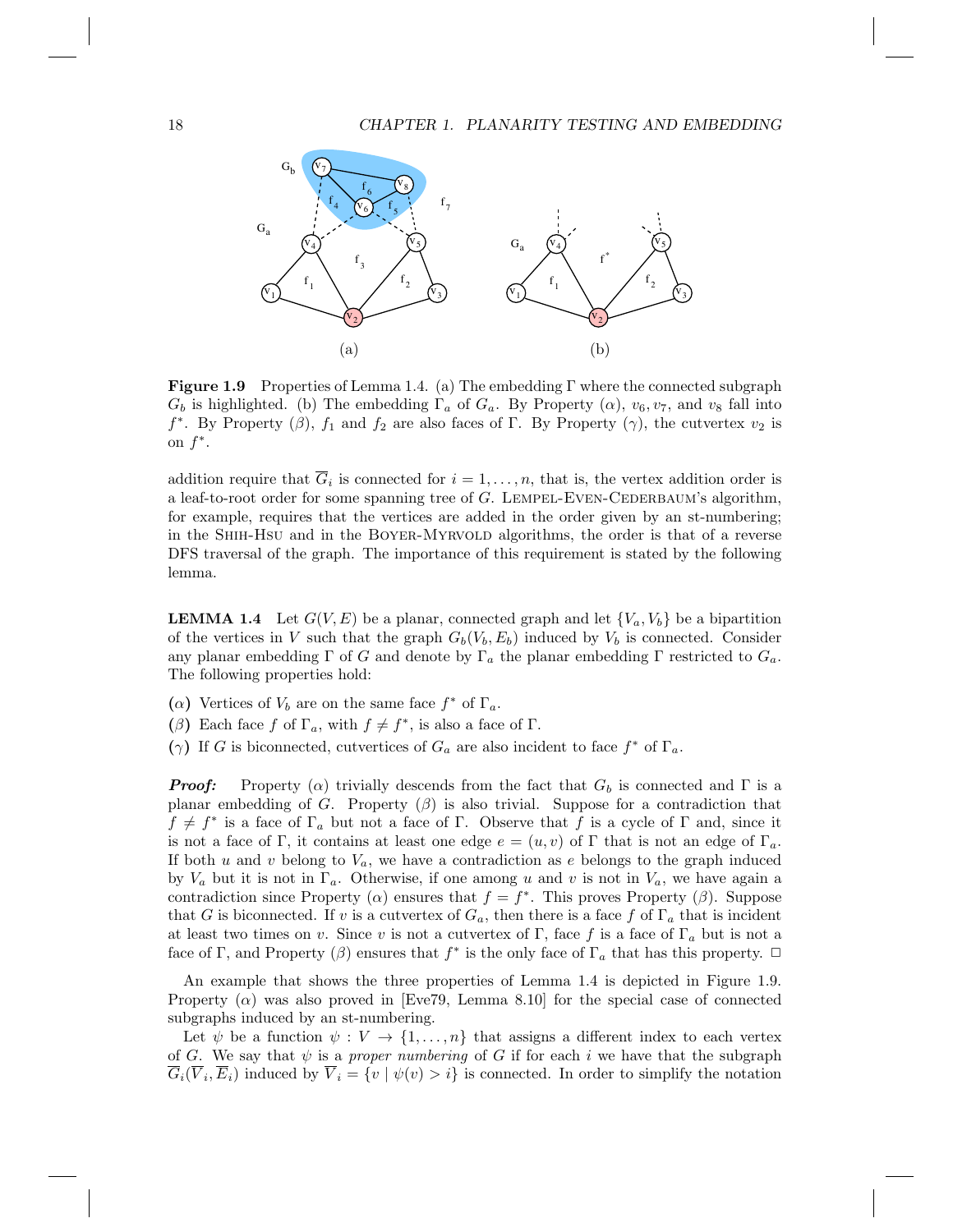

**Figure 1.9** Properties of Lemma 1.4. (a) The embedding  $\Gamma$  where the connected subgraph  $G_b$  is highlighted. (b) The embedding  $\Gamma_a$  of  $G_a$ . By Property  $(\alpha)$ ,  $v_6$ ,  $v_7$ , and  $v_8$  fall into f<sup>\*</sup>. By Property ( $\beta$ ),  $f_1$  and  $f_2$  are also faces of Γ. By Property ( $\gamma$ ), the cutvertex  $v_2$  is on  $f^*$ .

addition require that  $G_i$  is connected for  $i = 1, \ldots, n$ , that is, the vertex addition order is a leaf-to-root order for some spanning tree of  $G$ . LEMPEL-EVEN-CEDERBAUM's algorithm, for example, requires that the vertices are added in the order given by an st-numbering; in the Shih-Hsu and in the Boyer-Myrvold algorithms, the order is that of a reverse DFS traversal of the graph. The importance of this requirement is stated by the following lemma.

**LEMMA 1.4** Let  $G(V, E)$  be a planar, connected graph and let  $\{V_a, V_b\}$  be a bipartition of the vertices in V such that the graph  $G_b(V_b, E_b)$  induced by  $V_b$  is connected. Consider any planar embedding  $\Gamma$  of G and denote by  $\Gamma_a$  the planar embedding  $\Gamma$  restricted to  $G_a$ . The following properties hold:

- ( $\alpha$ ) Vertices of  $V_b$  are on the same face  $f^*$  of  $\Gamma_a$ .
- ( $\beta$ ) Each face f of  $\Gamma_a$ , with  $f \neq f^*$ , is also a face of  $\Gamma$ .
- ( $\gamma$ ) If G is biconnected, cutvertices of  $G_a$  are also incident to face  $f^*$  of  $\Gamma_a$ .

**Proof:** Property ( $\alpha$ ) trivially descends from the fact that  $G_b$  is connected and  $\Gamma$  is a planar embedding of G. Property  $(\beta)$  is also trivial. Suppose for a contradiction that  $f \neq f^*$  is a face of  $\Gamma_a$  but not a face of  $\Gamma$ . Observe that f is a cycle of  $\Gamma$  and, since it is not a face of Γ, it contains at least one edge  $e = (u, v)$  of Γ that is not an edge of Γ<sub>a</sub>. If both u and v belong to  $V_a$ , we have a contradiction as e belongs to the graph induced by  $V_a$  but it is not in  $\Gamma_a$ . Otherwise, if one among u and v is not in  $V_a$ , we have again a contradiction since Property ( $\alpha$ ) ensures that  $f = f^*$ . This proves Property ( $\beta$ ). Suppose that G is biconnected. If v is a cutvertex of  $G_a$ , then there is a face f of  $\Gamma_a$  that is incident at least two times on v. Since v is not a cutvertex of  $\Gamma$ , face f is a face of  $\Gamma_a$  but is not a face of Γ, and Property (β) ensures that  $f^*$  is the only face of  $\Gamma_a$  that has this property.  $\Box$ 

An example that shows the three properties of Lemma 1.4 is depicted in Figure 1.9. Property  $(\alpha)$  was also proved in [Eve79, Lemma 8.10] for the special case of connected subgraphs induced by an st-numbering.

Let  $\psi$  be a function  $\psi: V \to \{1, \ldots, n\}$  that assigns a different index to each vertex of G. We say that  $\psi$  is a proper numbering of G if for each i we have that the subgraph  $G_i(V_i, E_i)$  induced by  $V_i = \{v \mid \psi(v) > i\}$  is connected. In order to simplify the notation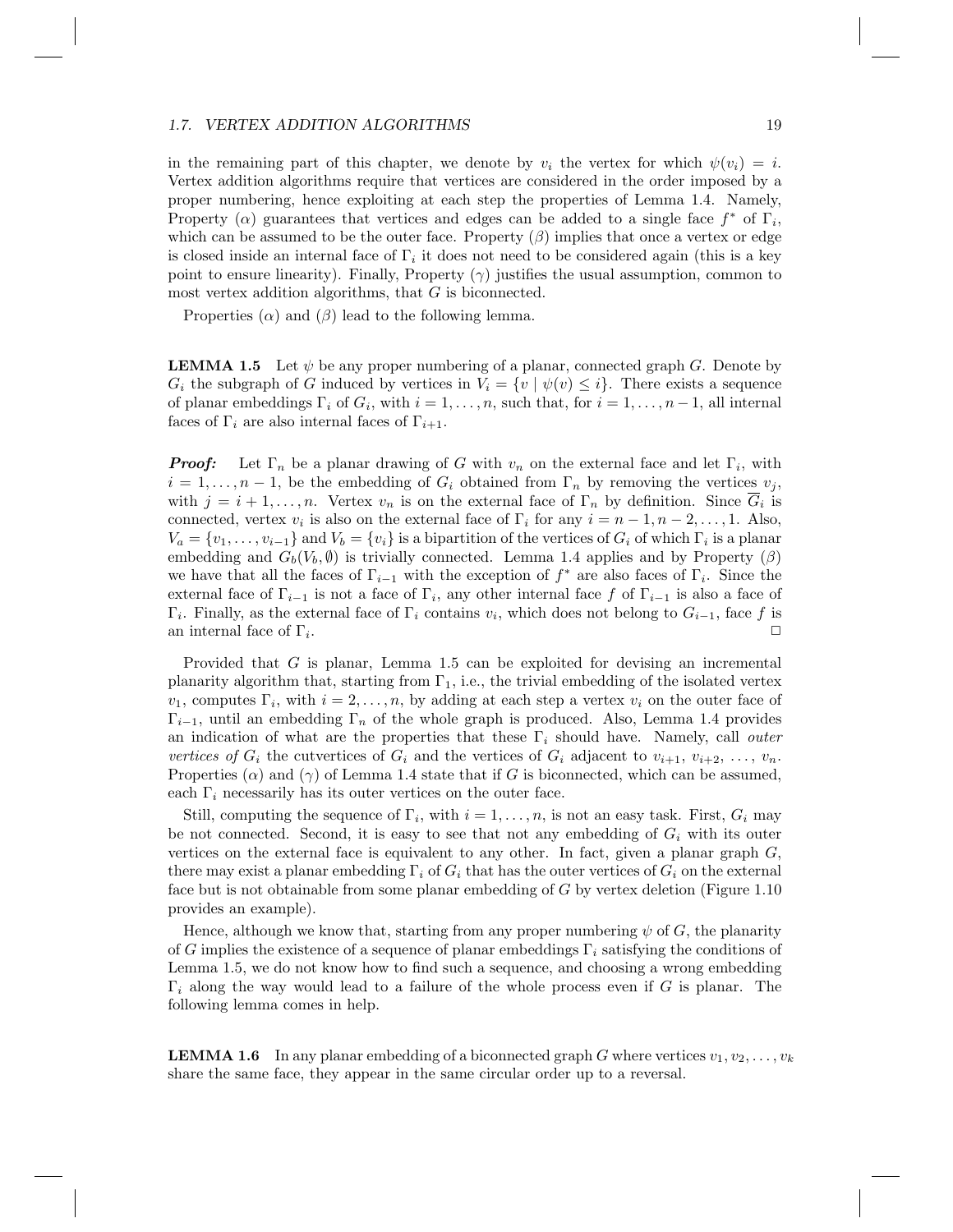#### 1.7. VERTEX ADDITION ALGORITHMS 19

in the remaining part of this chapter, we denote by  $v_i$  the vertex for which  $\psi(v_i) = i$ . Vertex addition algorithms require that vertices are considered in the order imposed by a proper numbering, hence exploiting at each step the properties of Lemma 1.4. Namely, Property ( $\alpha$ ) guarantees that vertices and edges can be added to a single face  $f^*$  of  $\Gamma_i$ , which can be assumed to be the outer face. Property  $(\beta)$  implies that once a vertex or edge is closed inside an internal face of  $\Gamma_i$  it does not need to be considered again (this is a key point to ensure linearity). Finally, Property  $(\gamma)$  justifies the usual assumption, common to most vertex addition algorithms, that  $G$  is biconnected.

Properties  $(\alpha)$  and  $(\beta)$  lead to the following lemma.

**LEMMA 1.5** Let  $\psi$  be any proper numbering of a planar, connected graph G. Denote by  $G_i$  the subgraph of G induced by vertices in  $V_i = \{v \mid \psi(v) \leq i\}$ . There exists a sequence of planar embeddings  $\Gamma_i$  of  $G_i$ , with  $i = 1, \ldots, n$ , such that, for  $i = 1, \ldots, n-1$ , all internal faces of  $\Gamma_i$  are also internal faces of  $\Gamma_{i+1}$ .

**Proof:** Let  $\Gamma_n$  be a planar drawing of G with  $v_n$  on the external face and let  $\Gamma_i$ , with  $i = 1, \ldots, n-1$ , be the embedding of  $G_i$  obtained from  $\Gamma_n$  by removing the vertices  $v_j$ , with  $j = i + 1, \ldots, n$ . Vertex  $v_n$  is on the external face of  $\Gamma_n$  by definition. Since  $G_i$  is connected, vertex  $v_i$  is also on the external face of  $\Gamma_i$  for any  $i = n - 1, n - 2, \ldots, 1$ . Also,  $V_a = \{v_1, \ldots, v_{i-1}\}\$  and  $V_b = \{v_i\}$  is a bipartition of the vertices of  $G_i$  of which  $\Gamma_i$  is a planar embedding and  $G_b(V_b, \emptyset)$  is trivially connected. Lemma 1.4 applies and by Property ( $\beta$ ) we have that all the faces of  $\Gamma_{i-1}$  with the exception of  $f^*$  are also faces of  $\Gamma_i$ . Since the external face of  $\Gamma_{i-1}$  is not a face of  $\Gamma_i$ , any other internal face f of  $\Gamma_{i-1}$  is also a face of  $\Gamma_i$ . Finally, as the external face of  $\Gamma_i$  contains  $v_i$ , which does not belong to  $G_{i-1}$ , face f is an internal face of  $\Gamma_i$ . . The contract of the contract of the contract of the contract of the contract of the contract of the contract of the contract of the contract of the contract of the contract of the contract of the contract of the contrac

Provided that G is planar, Lemma 1.5 can be exploited for devising an incremental planarity algorithm that, starting from  $\Gamma_1$ , i.e., the trivial embedding of the isolated vertex  $v_1$ , computes  $\Gamma_i$ , with  $i = 2, \ldots, n$ , by adding at each step a vertex  $v_i$  on the outer face of  $\Gamma_{i-1}$ , until an embedding  $\Gamma_n$  of the whole graph is produced. Also, Lemma 1.4 provides an indication of what are the properties that these  $\Gamma_i$  should have. Namely, call outer vertices of  $G_i$  the cutvertices of  $G_i$  and the vertices of  $G_i$  adjacent to  $v_{i+1}, v_{i+2}, \ldots, v_n$ . Properties ( $\alpha$ ) and ( $\gamma$ ) of Lemma 1.4 state that if G is biconnected, which can be assumed, each  $\Gamma_i$  necessarily has its outer vertices on the outer face.

Still, computing the sequence of  $\Gamma_i$ , with  $i = 1, \ldots, n$ , is not an easy task. First,  $G_i$  may be not connected. Second, it is easy to see that not any embedding of  $G_i$  with its outer vertices on the external face is equivalent to any other. In fact, given a planar graph  $G$ , there may exist a planar embedding  $\Gamma_i$  of  $G_i$  that has the outer vertices of  $G_i$  on the external face but is not obtainable from some planar embedding of G by vertex deletion (Figure 1.10 provides an example).

Hence, although we know that, starting from any proper numbering  $\psi$  of G, the planarity of G implies the existence of a sequence of planar embeddings  $\Gamma_i$  satisfying the conditions of Lemma 1.5, we do not know how to find such a sequence, and choosing a wrong embedding  $\Gamma_i$  along the way would lead to a failure of the whole process even if G is planar. The following lemma comes in help.

**LEMMA 1.6** In any planar embedding of a biconnected graph G where vertices  $v_1, v_2, \ldots, v_k$ share the same face, they appear in the same circular order up to a reversal.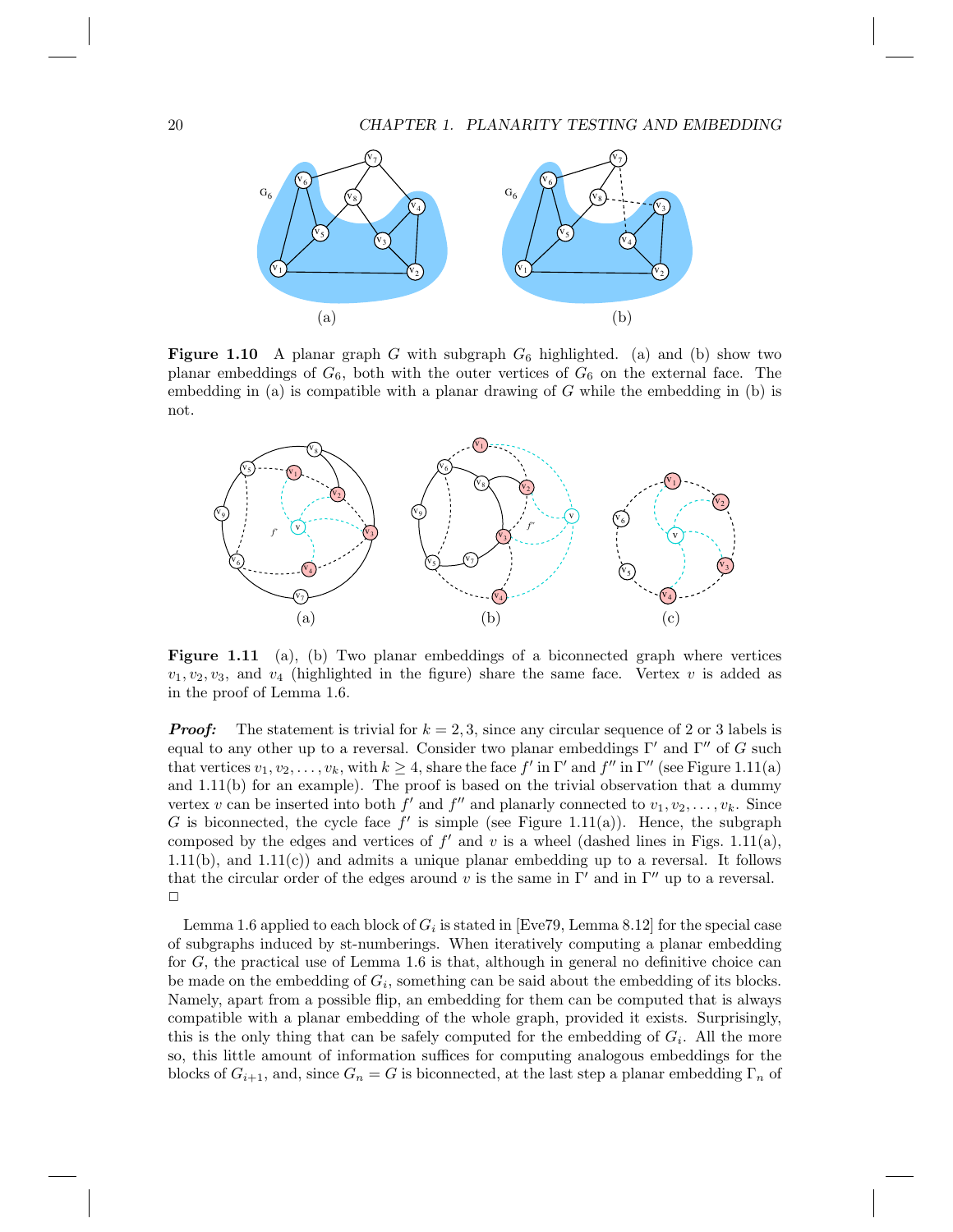

**Figure 1.10** A planar graph G with subgraph  $G_6$  highlighted. (a) and (b) show two planar embeddings of  $G_6$ , both with the outer vertices of  $G_6$  on the external face. The embedding in (a) is compatible with a planar drawing of  $G$  while the embedding in (b) is not.



Figure 1.11 (a), (b) Two planar embeddings of a biconnected graph where vertices  $v_1, v_2, v_3$ , and  $v_4$  (highlighted in the figure) share the same face. Vertex v is added as in the proof of Lemma 1.6.

**Proof:** The statement is trivial for  $k = 2, 3$ , since any circular sequence of 2 or 3 labels is equal to any other up to a reversal. Consider two planar embeddings  $\Gamma'$  and  $\Gamma''$  of G such that vertices  $v_1, v_2, \ldots, v_k$ , with  $k \geq 4$ , share the face  $f'$  in  $\Gamma'$  and  $f''$  in  $\Gamma''$  (see Figure 1.11(a) and 1.11(b) for an example). The proof is based on the trivial observation that a dummy vertex v can be inserted into both  $f'$  and  $f''$  and planarly connected to  $v_1, v_2, \ldots, v_k$ . Since G is biconnected, the cycle face  $f'$  is simple (see Figure 1.11(a)). Hence, the subgraph composed by the edges and vertices of  $f'$  and v is a wheel (dashed lines in Figs. 1.11(a),  $1.11(b)$ , and  $1.11(c)$  and admits a unique planar embedding up to a reversal. It follows that the circular order of the edges around v is the same in  $\Gamma'$  and in  $\Gamma''$  up to a reversal.  $\Box$ 

Lemma 1.6 applied to each block of  $G_i$  is stated in [Eve79, Lemma 8.12] for the special case of subgraphs induced by st-numberings. When iteratively computing a planar embedding for G, the practical use of Lemma 1.6 is that, although in general no definitive choice can be made on the embedding of  $G_i$ , something can be said about the embedding of its blocks. Namely, apart from a possible flip, an embedding for them can be computed that is always compatible with a planar embedding of the whole graph, provided it exists. Surprisingly, this is the only thing that can be safely computed for the embedding of  $G_i$ . All the more so, this little amount of information suffices for computing analogous embeddings for the blocks of  $G_{i+1}$ , and, since  $G_n = G$  is biconnected, at the last step a planar embedding  $\Gamma_n$  of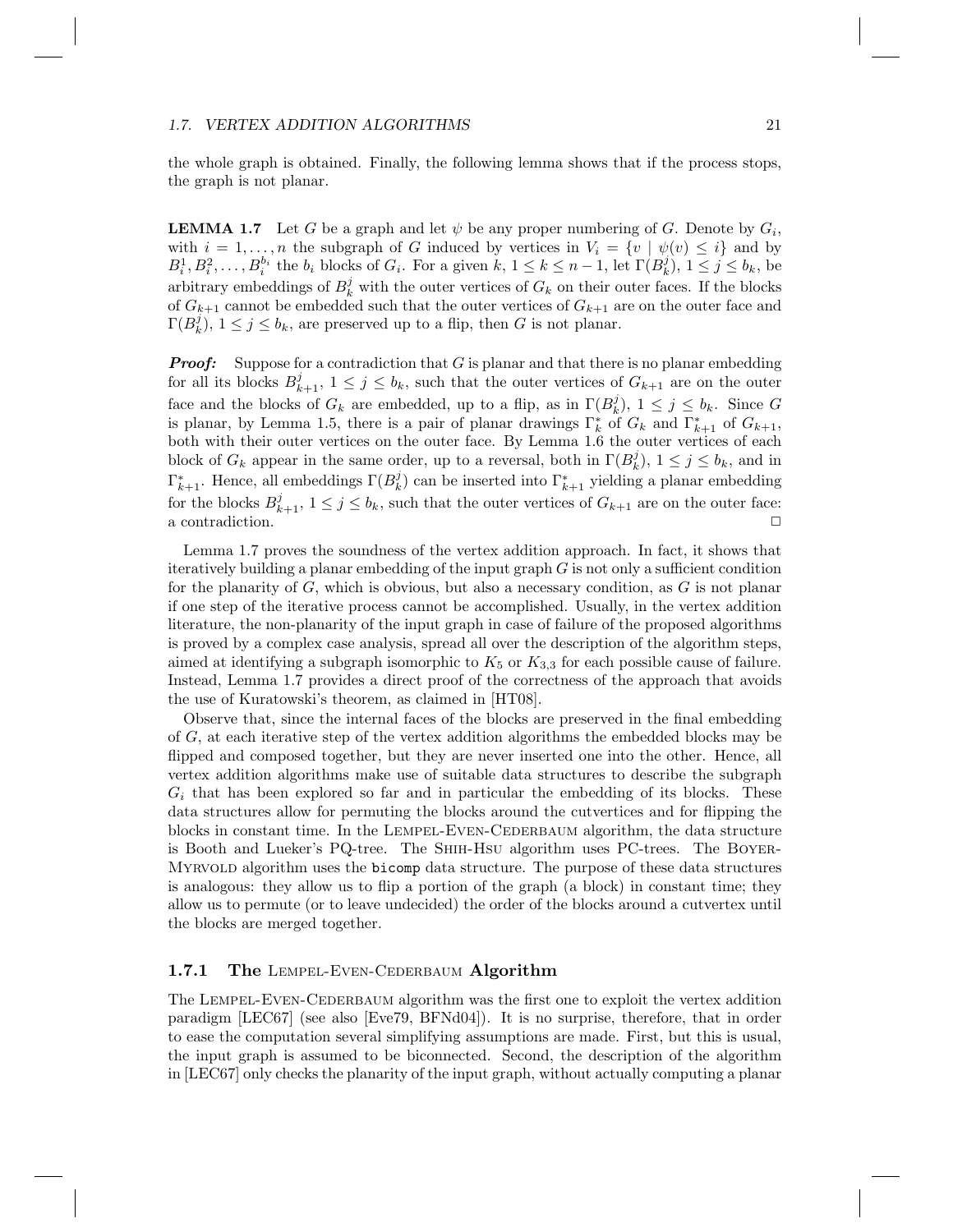#### 1.7. VERTEX ADDITION ALGORITHMS 21

the whole graph is obtained. Finally, the following lemma shows that if the process stops, the graph is not planar.

**LEMMA 1.7** Let G be a graph and let  $\psi$  be any proper numbering of G. Denote by  $G_i$ , with  $i = 1, \ldots, n$  the subgraph of G induced by vertices in  $V_i = \{v \mid \psi(v) \leq i\}$  and by  $B_i^1, B_i^2, \ldots, B_i^{b_i}$  the  $b_i$  blocks of  $G_i$ . For a given  $k, 1 \leq k \leq n-1$ , let  $\Gamma(B_k^j), 1 \leq j \leq b_k$ , be arbitrary embeddings of  $B_k^j$  with the outer vertices of  $G_k$  on their outer faces. If the blocks of  $G_{k+1}$  cannot be embedded such that the outer vertices of  $G_{k+1}$  are on the outer face and  $\Gamma(B_k^j)$ ,  $1 \leq j \leq b_k$ , are preserved up to a flip, then G is not planar.

**Proof:** Suppose for a contradiction that  $G$  is planar and that there is no planar embedding for all its blocks  $B_{k+1}^j$ ,  $1 \leq j \leq b_k$ , such that the outer vertices of  $G_{k+1}$  are on the outer face and the blocks of  $G_k$  are embedded, up to a flip, as in  $\Gamma(B_k^j)$ ,  $1 \leq j \leq b_k$ . Since G is planar, by Lemma 1.5, there is a pair of planar drawings  $\Gamma_k^*$  of  $G_k$  and  $\Gamma_{k+1}^*$  of  $G_{k+1}$ , both with their outer vertices on the outer face. By Lemma 1.6 the outer vertices of each block of  $G_k$  appear in the same order, up to a reversal, both in  $\Gamma(B_k^j)$ ,  $1 \leq j \leq b_k$ , and in  $\Gamma_{k+1}^*$ . Hence, all embeddings  $\Gamma(B_k^j)$  can be inserted into  $\Gamma_{k+1}^*$  yielding a planar embedding for the blocks  $B_{k+1}^j$ ,  $1 \leq j \leq b_k$ , such that the outer vertices of  $G_{k+1}$  are on the outer face: a contradiction.

Lemma 1.7 proves the soundness of the vertex addition approach. In fact, it shows that iteratively building a planar embedding of the input graph  $G$  is not only a sufficient condition for the planarity of  $G$ , which is obvious, but also a necessary condition, as  $G$  is not planar if one step of the iterative process cannot be accomplished. Usually, in the vertex addition literature, the non-planarity of the input graph in case of failure of the proposed algorithms is proved by a complex case analysis, spread all over the description of the algorithm steps, aimed at identifying a subgraph isomorphic to  $K_5$  or  $K_{3,3}$  for each possible cause of failure. Instead, Lemma 1.7 provides a direct proof of the correctness of the approach that avoids the use of Kuratowski's theorem, as claimed in [HT08].

Observe that, since the internal faces of the blocks are preserved in the final embedding of G, at each iterative step of the vertex addition algorithms the embedded blocks may be flipped and composed together, but they are never inserted one into the other. Hence, all vertex addition algorithms make use of suitable data structures to describe the subgraph  $G_i$  that has been explored so far and in particular the embedding of its blocks. These data structures allow for permuting the blocks around the cutvertices and for flipping the blocks in constant time. In the LEMPEL-EVEN-CEDERBAUM algorithm, the data structure is Booth and Lueker's PQ-tree. The Shih-Hsu algorithm uses PC-trees. The Boyer-Myrvold algorithm uses the bicomp data structure. The purpose of these data structures is analogous: they allow us to flip a portion of the graph (a block) in constant time; they allow us to permute (or to leave undecided) the order of the blocks around a cutvertex until the blocks are merged together.

#### 1.7.1 The LEMPEL-EVEN-CEDERBAUM Algorithm

The LEMPEL-EVEN-CEDERBAUM algorithm was the first one to exploit the vertex addition paradigm [LEC67] (see also [Eve79, BFNd04]). It is no surprise, therefore, that in order to ease the computation several simplifying assumptions are made. First, but this is usual, the input graph is assumed to be biconnected. Second, the description of the algorithm in [LEC67] only checks the planarity of the input graph, without actually computing a planar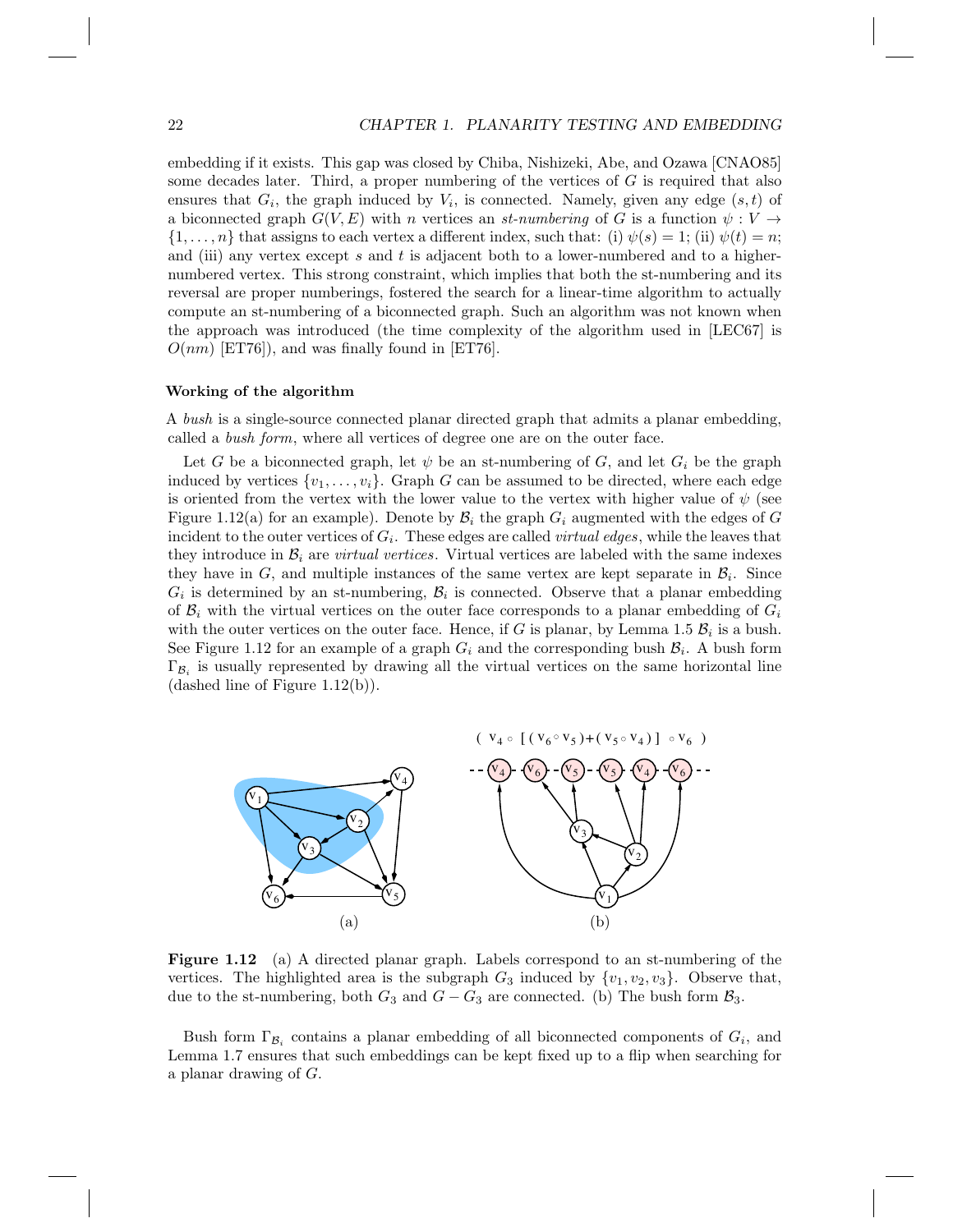embedding if it exists. This gap was closed by Chiba, Nishizeki, Abe, and Ozawa [CNAO85] some decades later. Third, a proper numbering of the vertices of  $G$  is required that also ensures that  $G_i$ , the graph induced by  $V_i$ , is connected. Namely, given any edge  $(s,t)$  of a biconnected graph  $G(V, E)$  with n vertices an st-numbering of G is a function  $\psi : V \to$  $\{1,\ldots,n\}$  that assigns to each vertex a different index, such that: (i)  $\psi(s) = 1$ ; (ii)  $\psi(t) = n$ ; and (iii) any vertex except  $s$  and  $t$  is adjacent both to a lower-numbered and to a highernumbered vertex. This strong constraint, which implies that both the st-numbering and its reversal are proper numberings, fostered the search for a linear-time algorithm to actually compute an st-numbering of a biconnected graph. Such an algorithm was not known when the approach was introduced (the time complexity of the algorithm used in [LEC67] is  $O(nm)$  [ET76]), and was finally found in [ET76].

#### Working of the algorithm

A bush is a single-source connected planar directed graph that admits a planar embedding, called a bush form, where all vertices of degree one are on the outer face.

Let G be a biconnected graph, let  $\psi$  be an st-numbering of G, and let  $G_i$  be the graph induced by vertices  $\{v_1, \ldots, v_i\}$ . Graph G can be assumed to be directed, where each edge is oriented from the vertex with the lower value to the vertex with higher value of  $\psi$  (see Figure 1.12(a) for an example). Denote by  $\mathcal{B}_i$  the graph  $G_i$  augmented with the edges of G incident to the outer vertices of  $G_i$ . These edges are called *virtual edges*, while the leaves that they introduce in  $B_i$  are *virtual vertices*. Virtual vertices are labeled with the same indexes they have in  $G$ , and multiple instances of the same vertex are kept separate in  $\mathcal{B}_i$ . Since  $G_i$  is determined by an st-numbering,  $\mathcal{B}_i$  is connected. Observe that a planar embedding of  $\mathcal{B}_i$  with the virtual vertices on the outer face corresponds to a planar embedding of  $G_i$ with the outer vertices on the outer face. Hence, if G is planar, by Lemma 1.5  $B_i$  is a bush. See Figure 1.12 for an example of a graph  $G_i$  and the corresponding bush  $\mathcal{B}_i$ . A bush form  $\Gamma_{\mathcal{B}_i}$  is usually represented by drawing all the virtual vertices on the same horizontal line (dashed line of Figure 1.12(b)).



Figure 1.12 (a) A directed planar graph. Labels correspond to an st-numbering of the vertices. The highlighted area is the subgraph  $G_3$  induced by  $\{v_1, v_2, v_3\}$ . Observe that, due to the st-numbering, both  $G_3$  and  $G - G_3$  are connected. (b) The bush form  $\mathcal{B}_3$ .

Bush form  $\Gamma_{\mathcal{B}_i}$  contains a planar embedding of all biconnected components of  $G_i$ , and Lemma 1.7 ensures that such embeddings can be kept fixed up to a flip when searching for a planar drawing of G.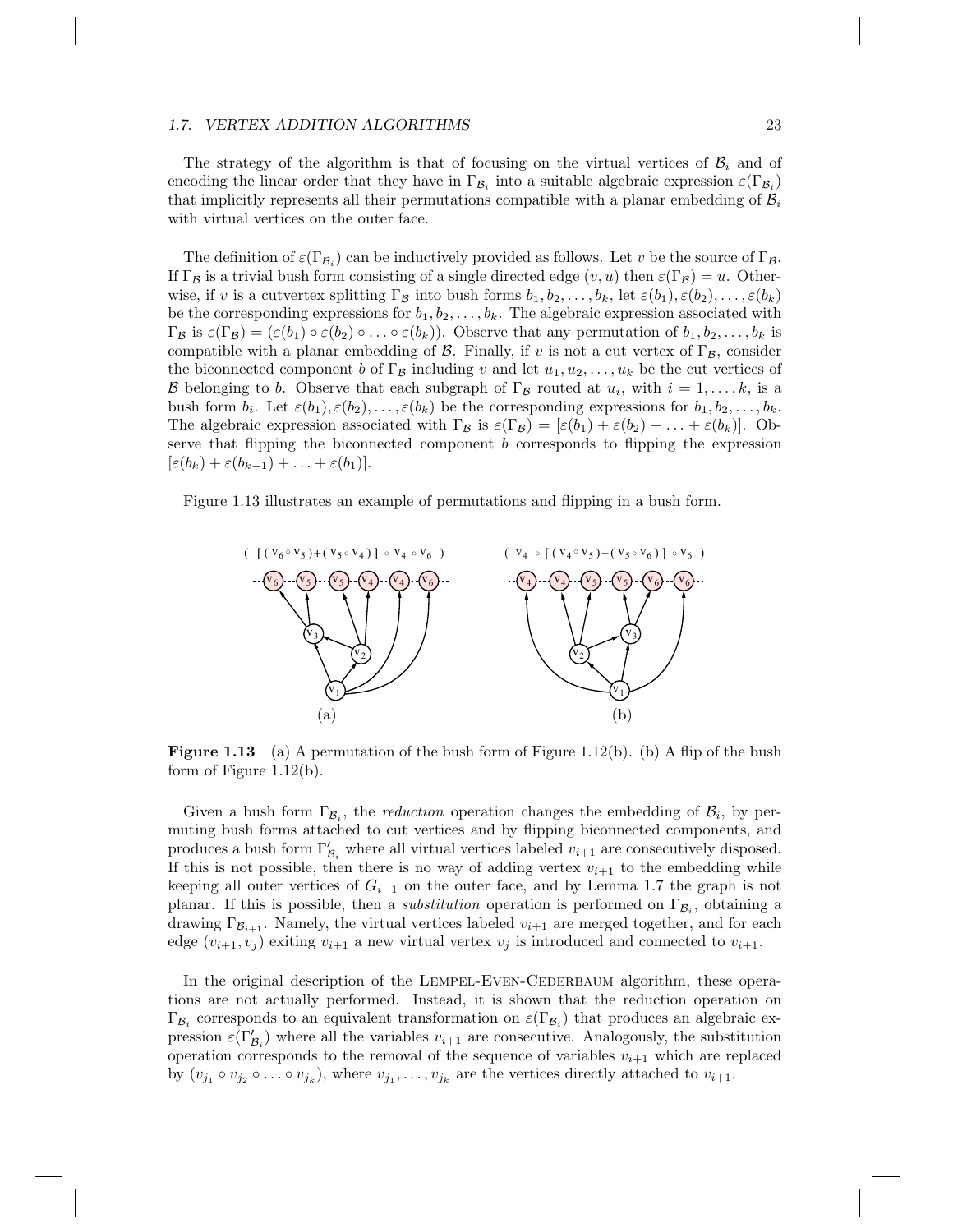#### 1.7. VERTEX ADDITION ALGORITHMS 23

The strategy of the algorithm is that of focusing on the virtual vertices of  $\mathcal{B}_i$  and of encoding the linear order that they have in  $\Gamma_{\mathcal{B}_i}$  into a suitable algebraic expression  $\varepsilon(\Gamma_{\mathcal{B}_i})$ that implicitly represents all their permutations compatible with a planar embedding of  $B_i$ with virtual vertices on the outer face.

The definition of  $\varepsilon(\Gamma_{\mathcal{B}_i})$  can be inductively provided as follows. Let v be the source of  $\Gamma_{\mathcal{B}}$ . If  $\Gamma_B$  is a trivial bush form consisting of a single directed edge  $(v, u)$  then  $\varepsilon(\Gamma_B) = u$ . Otherwise, if v is a cutvertex splitting  $\Gamma_B$  into bush forms  $b_1, b_2, \ldots, b_k$ , let  $\varepsilon(b_1), \varepsilon(b_2), \ldots, \varepsilon(b_k)$ be the corresponding expressions for  $b_1, b_2, \ldots, b_k$ . The algebraic expression associated with  $\Gamma_B$  is  $\varepsilon(\Gamma_B) = (\varepsilon(b_1) \circ \varepsilon(b_2) \circ \ldots \circ \varepsilon(b_k)).$  Observe that any permutation of  $b_1, b_2, \ldots, b_k$  is compatible with a planar embedding of  $\mathcal{B}$ . Finally, if v is not a cut vertex of  $\Gamma_{\mathcal{B}}$ , consider the biconnected component b of  $\Gamma_B$  including v and let  $u_1, u_2, \ldots, u_k$  be the cut vertices of B belonging to b. Observe that each subgraph of  $\Gamma_B$  routed at  $u_i$ , with  $i = 1, \ldots, k$ , is a bush form  $b_i$ . Let  $\varepsilon(b_1), \varepsilon(b_2), \ldots, \varepsilon(b_k)$  be the corresponding expressions for  $b_1, b_2, \ldots, b_k$ . The algebraic expression associated with  $\Gamma_B$  is  $\varepsilon(\Gamma_B) = [\varepsilon(b_1) + \varepsilon(b_2) + \ldots + \varepsilon(b_k)].$  Observe that flipping the biconnected component b corresponds to flipping the expression  $[\varepsilon(b_k) + \varepsilon(b_{k-1}) + \ldots + \varepsilon(b_1)].$ 

Figure 1.13 illustrates an example of permutations and flipping in a bush form.



Figure 1.13 (a) A permutation of the bush form of Figure 1.12(b). (b) A flip of the bush form of Figure 1.12(b).

Given a bush form  $\Gamma_{\mathcal{B}_i}$ , the *reduction* operation changes the embedding of  $\mathcal{B}_i$ , by permuting bush forms attached to cut vertices and by flipping biconnected components, and produces a bush form  $\Gamma'_{\mathcal{B}_i}$  where all virtual vertices labeled  $v_{i+1}$  are consecutively disposed. If this is not possible, then there is no way of adding vertex  $v_{i+1}$  to the embedding while keeping all outer vertices of  $G_{i-1}$  on the outer face, and by Lemma 1.7 the graph is not planar. If this is possible, then a *substitution* operation is performed on  $\Gamma_{\mathcal{B}_i}$ , obtaining a drawing  $\Gamma_{\mathcal{B}_{i+1}}$ . Namely, the virtual vertices labeled  $v_{i+1}$  are merged together, and for each edge  $(v_{i+1}, v_j)$  exiting  $v_{i+1}$  a new virtual vertex  $v_j$  is introduced and connected to  $v_{i+1}$ .

In the original description of the LEMPEL-EVEN-CEDERBAUM algorithm, these operations are not actually performed. Instead, it is shown that the reduction operation on  $\Gamma_{\mathcal{B}_i}$  corresponds to an equivalent transformation on  $\varepsilon(\Gamma_{\mathcal{B}_i})$  that produces an algebraic expression  $\varepsilon(\Gamma'_{\mathcal{B}_i})$  where all the variables  $v_{i+1}$  are consecutive. Analogously, the substitution operation corresponds to the removal of the sequence of variables  $v_{i+1}$  which are replaced by  $(v_{j_1} \circ v_{j_2} \circ \ldots \circ v_{j_k})$ , where  $v_{j_1}, \ldots, v_{j_k}$  are the vertices directly attached to  $v_{i+1}$ .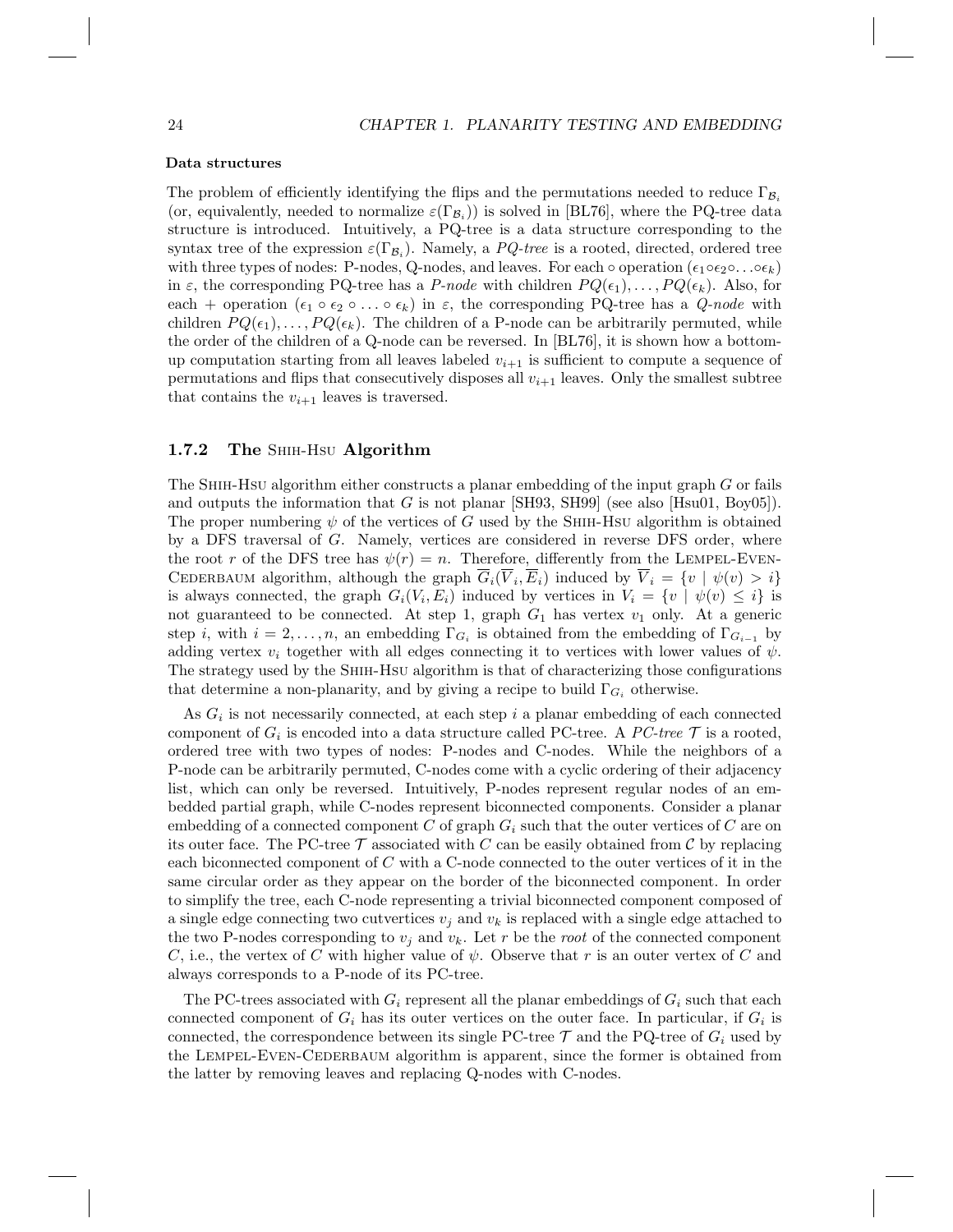#### Data structures

The problem of efficiently identifying the flips and the permutations needed to reduce  $\Gamma_{\beta_i}$ (or, equivalently, needed to normalize  $\varepsilon(\Gamma_{\mathcal{B}_i})$ ) is solved in [BL76], where the PQ-tree data structure is introduced. Intuitively, a PQ-tree is a data structure corresponding to the syntax tree of the expression  $\varepsilon(\Gamma_{\mathcal{B}_i})$ . Namely, a PQ-tree is a rooted, directed, ordered tree with three types of nodes: P-nodes, Q-nodes, and leaves. For each  $\circ$  operation ( $\epsilon_1 \circ \epsilon_2 \circ \ldots \circ \epsilon_k$ ) in  $\varepsilon$ , the corresponding PQ-tree has a P-node with children  $PQ(\epsilon_1), \ldots, PQ(\epsilon_k)$ . Also, for each + operation ( $\epsilon_1 \circ \epsilon_2 \circ \ldots \circ \epsilon_k$ ) in  $\varepsilon$ , the corresponding PQ-tree has a *Q-node* with children  $PQ(\epsilon_1), \ldots, PQ(\epsilon_k)$ . The children of a P-node can be arbitrarily permuted, while the order of the children of a Q-node can be reversed. In [BL76], it is shown how a bottomup computation starting from all leaves labeled  $v_{i+1}$  is sufficient to compute a sequence of permutations and flips that consecutively disposes all  $v_{i+1}$  leaves. Only the smallest subtree that contains the  $v_{i+1}$  leaves is traversed.

#### 1.7.2 The Shih-Hsu Algorithm

The SHIH-Hsu algorithm either constructs a planar embedding of the input graph  $G$  or fails and outputs the information that G is not planar [SH93, SH99] (see also [Hsu01, Boy05]). The proper numbering  $\psi$  of the vertices of G used by the SHIH-Hsu algorithm is obtained by a DFS traversal of G. Namely, vertices are considered in reverse DFS order, where the root r of the DFS tree has  $\psi(r) = n$ . Therefore, differently from the LEMPEL-EVEN-CEDERBAUM algorithm, although the graph  $\overline{G}_i(\overline{V}_i, \overline{E}_i)$  induced by  $\overline{V}_i = \{v \mid \psi(v) > i\}$ is always connected, the graph  $G_i(V_i, E_i)$  induced by vertices in  $V_i = \{v \mid \psi(v) \leq i\}$  is not guaranteed to be connected. At step 1, graph  $G_1$  has vertex  $v_1$  only. At a generic step *i*, with  $i = 2, \ldots, n$ , an embedding  $\Gamma_{G_i}$  is obtained from the embedding of  $\Gamma_{G_{i-1}}$  by adding vertex  $v_i$  together with all edges connecting it to vertices with lower values of  $\psi$ . The strategy used by the Shih-Hsu algorithm is that of characterizing those configurations that determine a non-planarity, and by giving a recipe to build  $\Gamma_{G_i}$  otherwise.

As  $G_i$  is not necessarily connected, at each step i a planar embedding of each connected component of  $G_i$  is encoded into a data structure called PC-tree. A PC-tree  $\mathcal T$  is a rooted, ordered tree with two types of nodes: P-nodes and C-nodes. While the neighbors of a P-node can be arbitrarily permuted, C-nodes come with a cyclic ordering of their adjacency list, which can only be reversed. Intuitively, P-nodes represent regular nodes of an embedded partial graph, while C-nodes represent biconnected components. Consider a planar embedding of a connected component C of graph  $G_i$  such that the outer vertices of C are on its outer face. The PC-tree  $\mathcal T$  associated with C can be easily obtained from C by replacing each biconnected component of  $C$  with a C-node connected to the outer vertices of it in the same circular order as they appear on the border of the biconnected component. In order to simplify the tree, each C-node representing a trivial biconnected component composed of a single edge connecting two cutvertices  $v_j$  and  $v_k$  is replaced with a single edge attached to the two P-nodes corresponding to  $v_j$  and  $v_k$ . Let r be the root of the connected component C, i.e., the vertex of C with higher value of  $\psi$ . Observe that r is an outer vertex of C and always corresponds to a P-node of its PC-tree.

The PC-trees associated with  $G_i$  represent all the planar embeddings of  $G_i$  such that each connected component of  $G_i$  has its outer vertices on the outer face. In particular, if  $G_i$  is connected, the correspondence between its single PC-tree  $\mathcal T$  and the PQ-tree of  $G_i$  used by the Lempel-Even-Cederbaum algorithm is apparent, since the former is obtained from the latter by removing leaves and replacing Q-nodes with C-nodes.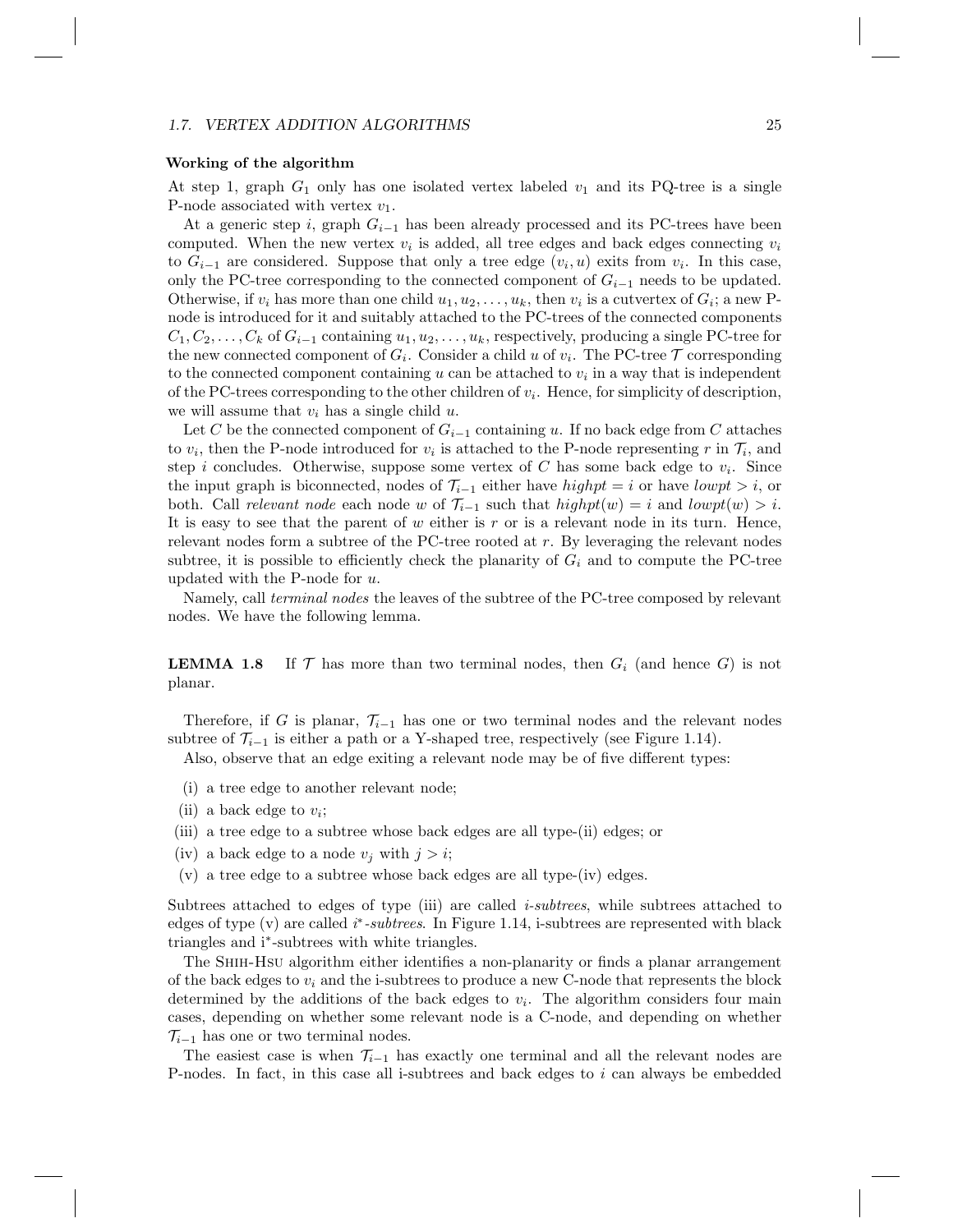#### 1.7. VERTEX ADDITION ALGORITHMS 25

#### Working of the algorithm

At step 1, graph  $G_1$  only has one isolated vertex labeled  $v_1$  and its PQ-tree is a single P-node associated with vertex  $v_1$ .

At a generic step i, graph  $G_{i-1}$  has been already processed and its PC-trees have been computed. When the new vertex  $v_i$  is added, all tree edges and back edges connecting  $v_i$ to  $G_{i-1}$  are considered. Suppose that only a tree edge  $(v_i, u)$  exits from  $v_i$ . In this case, only the PC-tree corresponding to the connected component of  $G_{i-1}$  needs to be updated. Otherwise, if  $v_i$  has more than one child  $u_1, u_2, \ldots, u_k$ , then  $v_i$  is a cutvertex of  $G_i$ ; a new Pnode is introduced for it and suitably attached to the PC-trees of the connected components  $C_1, C_2, \ldots, C_k$  of  $G_{i-1}$  containing  $u_1, u_2, \ldots, u_k$ , respectively, producing a single PC-tree for the new connected component of  $G_i$ . Consider a child u of  $v_i$ . The PC-tree  $\mathcal T$  corresponding to the connected component containing  $u$  can be attached to  $v_i$  in a way that is independent of the PC-trees corresponding to the other children of  $v_i$ . Hence, for simplicity of description, we will assume that  $v_i$  has a single child  $u$ .

Let C be the connected component of  $G_{i-1}$  containing u. If no back edge from C attaches to  $v_i$ , then the P-node introduced for  $v_i$  is attached to the P-node representing r in  $\mathcal{T}_i$ , and step i concludes. Otherwise, suppose some vertex of C has some back edge to  $v_i$ . Since the input graph is biconnected, nodes of  $\mathcal{T}_{i-1}$  either have  $highpt = i$  or have lowpt > i, or both. Call relevant node each node w of  $\mathcal{T}_{i-1}$  such that  $highpt(w) = i$  and  $lowpt(w) > i$ . It is easy to see that the parent of  $w$  either is  $r$  or is a relevant node in its turn. Hence, relevant nodes form a subtree of the PC-tree rooted at r. By leveraging the relevant nodes subtree, it is possible to efficiently check the planarity of  $G_i$  and to compute the PC-tree updated with the P-node for  $u$ .

Namely, call *terminal nodes* the leaves of the subtree of the PC-tree composed by relevant nodes. We have the following lemma.

**LEMMA 1.8** If  $\mathcal T$  has more than two terminal nodes, then  $G_i$  (and hence G) is not planar.

Therefore, if G is planar,  $\mathcal{T}_{i-1}$  has one or two terminal nodes and the relevant nodes subtree of  $\mathcal{T}_{i-1}$  is either a path or a Y-shaped tree, respectively (see Figure 1.14).

Also, observe that an edge exiting a relevant node may be of five different types:

- (i) a tree edge to another relevant node;
- (ii) a back edge to  $v_i$ ;
- (iii) a tree edge to a subtree whose back edges are all type-(ii) edges; or
- (iv) a back edge to a node  $v_j$  with  $j > i$ ;
- (v) a tree edge to a subtree whose back edges are all type-(iv) edges.

Subtrees attached to edges of type (iii) are called i-subtrees, while subtrees attached to edges of type (v) are called  $i^*$ -subtrees. In Figure 1.14, i-subtrees are represented with black triangles and i<sup>∗</sup> -subtrees with white triangles.

The SHIH-Hsu algorithm either identifies a non-planarity or finds a planar arrangement of the back edges to  $v_i$  and the i-subtrees to produce a new C-node that represents the block determined by the additions of the back edges to  $v_i$ . The algorithm considers four main cases, depending on whether some relevant node is a C-node, and depending on whether  $\mathcal{T}_{i-1}$  has one or two terminal nodes.

The easiest case is when  $\mathcal{T}_{i-1}$  has exactly one terminal and all the relevant nodes are P-nodes. In fact, in this case all i-subtrees and back edges to  $i$  can always be embedded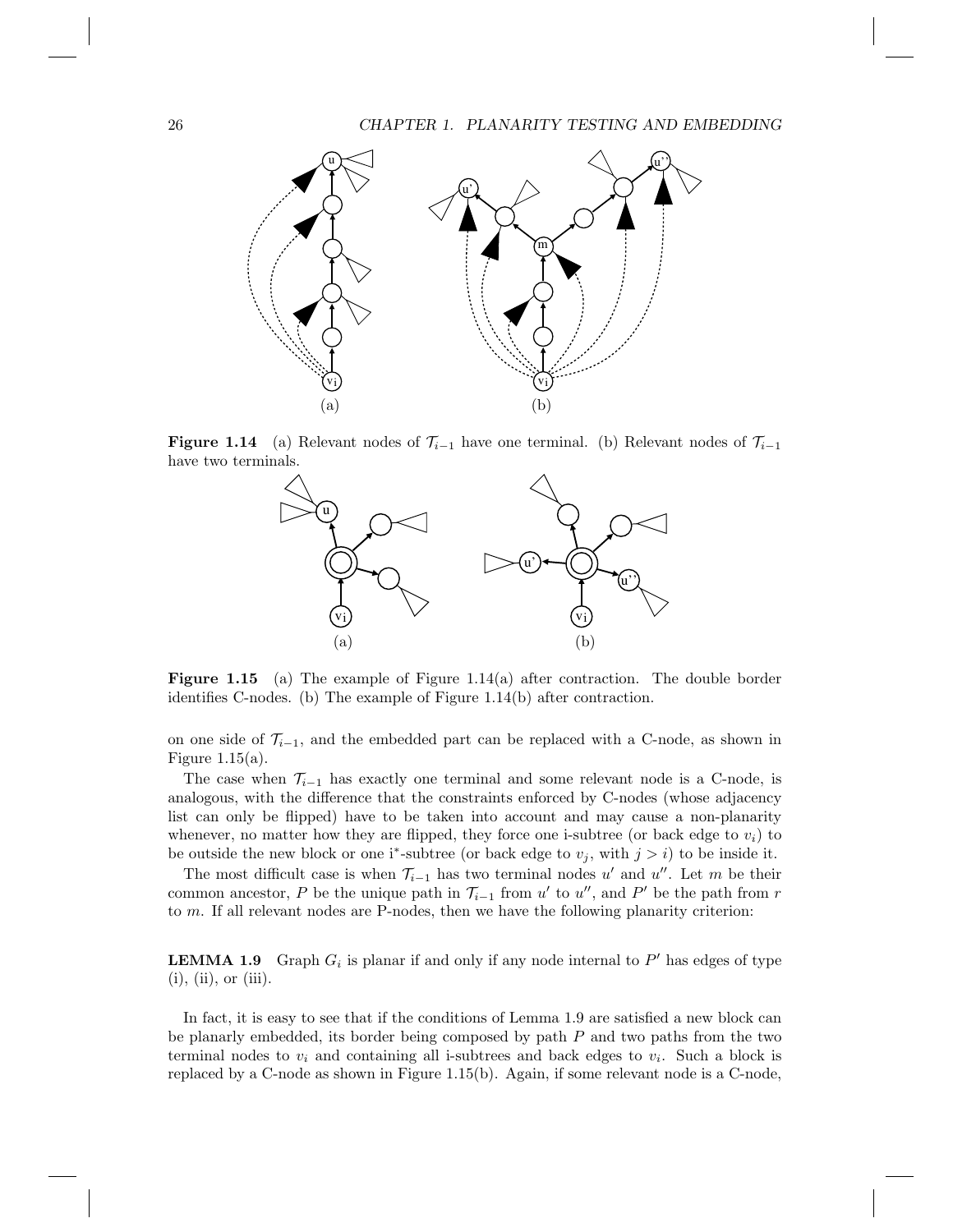

**Figure 1.14** (a) Relevant nodes of  $\mathcal{T}_{i-1}$  have one terminal. (b) Relevant nodes of  $\mathcal{T}_{i-1}$ have two terminals.



Figure 1.15 (a) The example of Figure 1.14(a) after contraction. The double border identifies C-nodes. (b) The example of Figure 1.14(b) after contraction.

on one side of  $\mathcal{T}_{i-1}$ , and the embedded part can be replaced with a C-node, as shown in Figure  $1.15(a)$ .

The case when  $\mathcal{T}_{i-1}$  has exactly one terminal and some relevant node is a C-node, is analogous, with the difference that the constraints enforced by C-nodes (whose adjacency list can only be flipped) have to be taken into account and may cause a non-planarity whenever, no matter how they are flipped, they force one i-subtree (or back edge to  $v_i$ ) to be outside the new block or one i<sup>\*</sup>-subtree (or back edge to  $v_j$ , with  $j > i$ ) to be inside it.

The most difficult case is when  $\mathcal{T}_{i-1}$  has two terminal nodes u' and u'. Let m be their common ancestor, P be the unique path in  $\mathcal{T}_{i-1}$  from u' to u'', and P' be the path from r to m. If all relevant nodes are P-nodes, then we have the following planarity criterion:

**LEMMA 1.9** Graph  $G_i$  is planar if and only if any node internal to  $P'$  has edges of type  $(i)$ ,  $(ii)$ , or  $(iii)$ .

In fact, it is easy to see that if the conditions of Lemma 1.9 are satisfied a new block can be planarly embedded, its border being composed by path  $P$  and two paths from the two terminal nodes to  $v_i$  and containing all i-subtrees and back edges to  $v_i$ . Such a block is replaced by a C-node as shown in Figure 1.15(b). Again, if some relevant node is a C-node,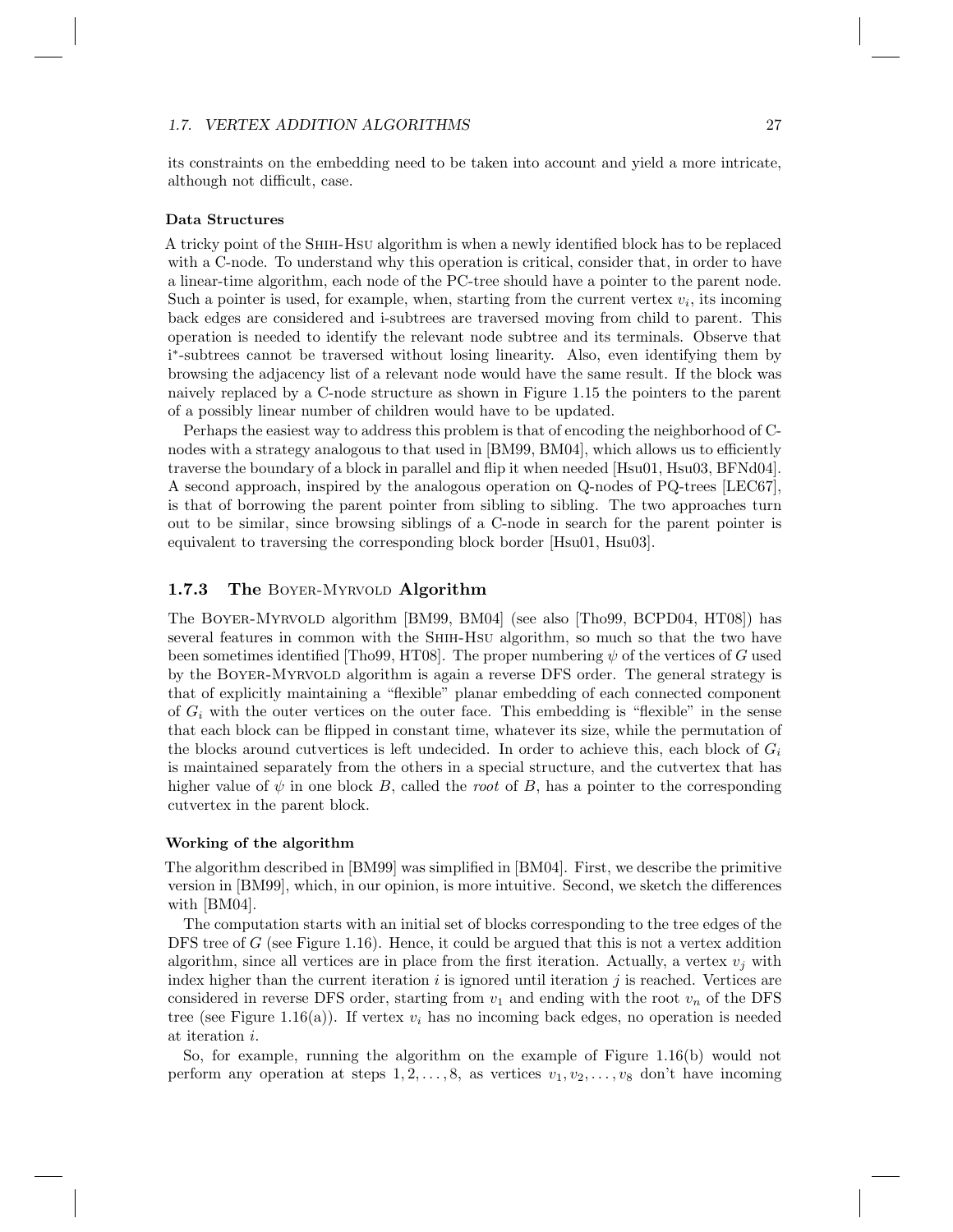#### 1.7. VERTEX ADDITION ALGORITHMS 27

its constraints on the embedding need to be taken into account and yield a more intricate, although not difficult, case.

#### Data Structures

A tricky point of the Shih-Hsu algorithm is when a newly identified block has to be replaced with a C-node. To understand why this operation is critical, consider that, in order to have a linear-time algorithm, each node of the PC-tree should have a pointer to the parent node. Such a pointer is used, for example, when, starting from the current vertex  $v_i$ , its incoming back edges are considered and i-subtrees are traversed moving from child to parent. This operation is needed to identify the relevant node subtree and its terminals. Observe that i ∗ -subtrees cannot be traversed without losing linearity. Also, even identifying them by browsing the adjacency list of a relevant node would have the same result. If the block was naively replaced by a C-node structure as shown in Figure 1.15 the pointers to the parent of a possibly linear number of children would have to be updated.

Perhaps the easiest way to address this problem is that of encoding the neighborhood of Cnodes with a strategy analogous to that used in [BM99, BM04], which allows us to efficiently traverse the boundary of a block in parallel and flip it when needed [Hsu01, Hsu03, BFNd04]. A second approach, inspired by the analogous operation on Q-nodes of PQ-trees [LEC67], is that of borrowing the parent pointer from sibling to sibling. The two approaches turn out to be similar, since browsing siblings of a C-node in search for the parent pointer is equivalent to traversing the corresponding block border [Hsu01, Hsu03].

#### 1.7.3 The BOYER-MYRVOLD Algorithm

The Boyer-Myrvold algorithm [BM99, BM04] (see also [Tho99, BCPD04, HT08]) has several features in common with the SHIH-HSU algorithm, so much so that the two have been sometimes identified [Tho99, HT08]. The proper numbering  $\psi$  of the vertices of G used by the Boyer-Myrvold algorithm is again a reverse DFS order. The general strategy is that of explicitly maintaining a "flexible" planar embedding of each connected component of  $G_i$  with the outer vertices on the outer face. This embedding is "flexible" in the sense that each block can be flipped in constant time, whatever its size, while the permutation of the blocks around cutvertices is left undecided. In order to achieve this, each block of  $G_i$ is maintained separately from the others in a special structure, and the cutvertex that has higher value of  $\psi$  in one block B, called the root of B, has a pointer to the corresponding cutvertex in the parent block.

#### Working of the algorithm

The algorithm described in [BM99] was simplified in [BM04]. First, we describe the primitive version in [BM99], which, in our opinion, is more intuitive. Second, we sketch the differences with [BM04].

The computation starts with an initial set of blocks corresponding to the tree edges of the DFS tree of  $G$  (see Figure 1.16). Hence, it could be argued that this is not a vertex addition algorithm, since all vertices are in place from the first iteration. Actually, a vertex  $v_j$  with index higher than the current iteration i is ignored until iteration j is reached. Vertices are considered in reverse DFS order, starting from  $v_1$  and ending with the root  $v_n$  of the DFS tree (see Figure 1.16(a)). If vertex  $v_i$  has no incoming back edges, no operation is needed at iteration i.

So, for example, running the algorithm on the example of Figure 1.16(b) would not perform any operation at steps  $1, 2, \ldots, 8$ , as vertices  $v_1, v_2, \ldots, v_8$  don't have incoming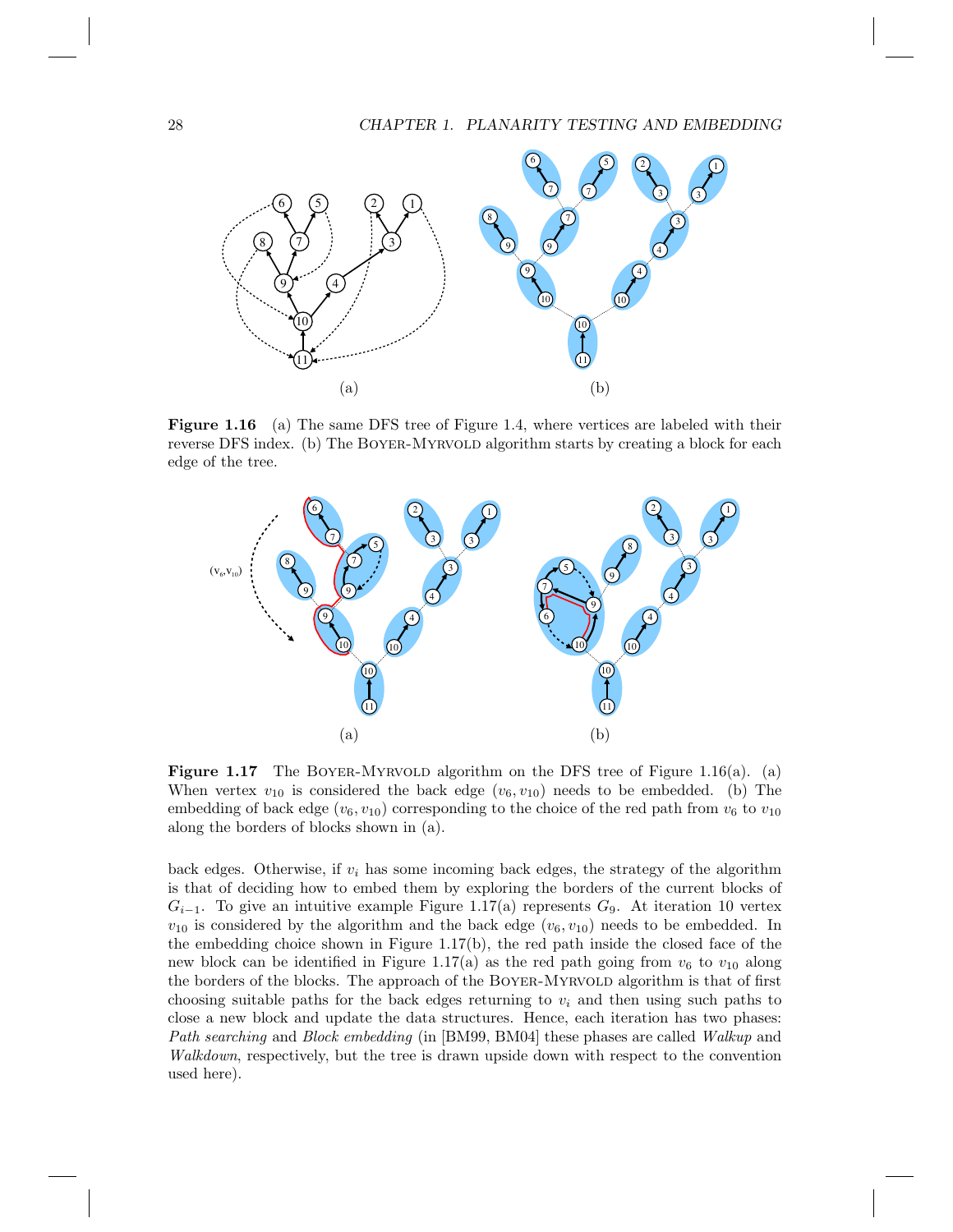

Figure 1.16 (a) The same DFS tree of Figure 1.4, where vertices are labeled with their reverse DFS index. (b) The BOYER-MYRVOLD algorithm starts by creating a block for each edge of the tree.



Figure 1.17 The BOYER-MYRVOLD algorithm on the DFS tree of Figure 1.16(a). (a) When vertex  $v_{10}$  is considered the back edge  $(v_6, v_{10})$  needs to be embedded. (b) The embedding of back edge  $(v_6, v_{10})$  corresponding to the choice of the red path from  $v_6$  to  $v_{10}$ along the borders of blocks shown in (a).

back edges. Otherwise, if  $v_i$  has some incoming back edges, the strategy of the algorithm is that of deciding how to embed them by exploring the borders of the current blocks of  $G_{i-1}$ . To give an intuitive example Figure 1.17(a) represents  $G_9$ . At iteration 10 vertex  $v_{10}$  is considered by the algorithm and the back edge  $(v_6, v_{10})$  needs to be embedded. In the embedding choice shown in Figure  $1.17(b)$ , the red path inside the closed face of the new block can be identified in Figure 1.17(a) as the red path going from  $v_6$  to  $v_{10}$  along the borders of the blocks. The approach of the BOYER-MYRVOLD algorithm is that of first choosing suitable paths for the back edges returning to  $v_i$  and then using such paths to close a new block and update the data structures. Hence, each iteration has two phases: Path searching and Block embedding (in [BM99, BM04] these phases are called Walkup and Walkdown, respectively, but the tree is drawn upside down with respect to the convention used here).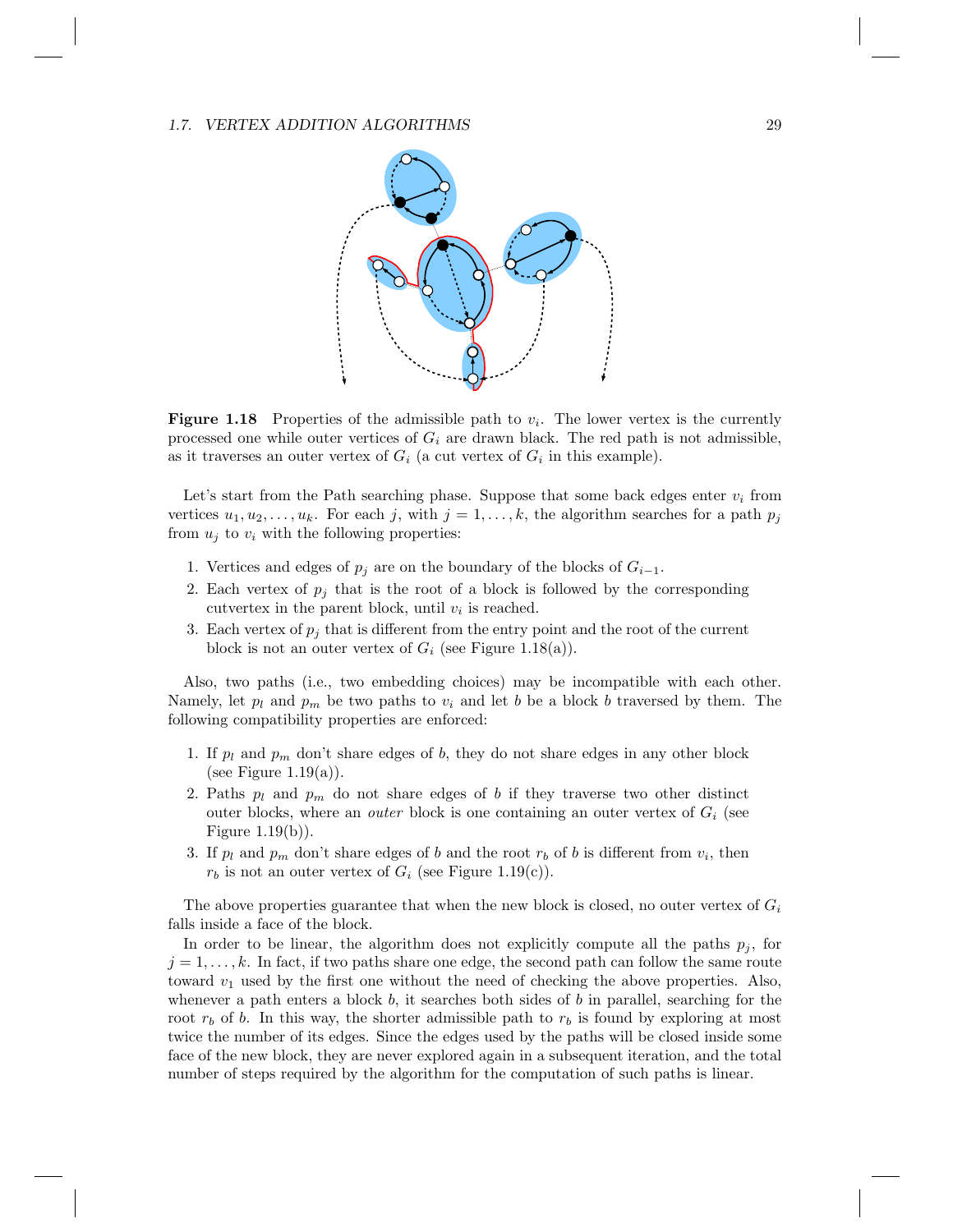#### 1.7. VERTEX ADDITION ALGORITHMS 29



**Figure 1.18** Properties of the admissible path to  $v_i$ . The lower vertex is the currently processed one while outer vertices of  $G_i$  are drawn black. The red path is not admissible, as it traverses an outer vertex of  $G_i$  (a cut vertex of  $G_i$  in this example).

Let's start from the Path searching phase. Suppose that some back edges enter  $v_i$  from vertices  $u_1, u_2, \ldots, u_k$ . For each j, with  $j = 1, \ldots, k$ , the algorithm searches for a path  $p_j$ from  $u_i$  to  $v_i$  with the following properties:

- 1. Vertices and edges of  $p_j$  are on the boundary of the blocks of  $G_{i-1}$ .
- 2. Each vertex of  $p_i$  that is the root of a block is followed by the corresponding cutvertex in the parent block, until  $v_i$  is reached.
- 3. Each vertex of  $p_j$  that is different from the entry point and the root of the current block is not an outer vertex of  $G_i$  (see Figure 1.18(a)).

Also, two paths (i.e., two embedding choices) may be incompatible with each other. Namely, let  $p_l$  and  $p_m$  be two paths to  $v_i$  and let b be a block b traversed by them. The following compatibility properties are enforced:

- 1. If  $p_l$  and  $p_m$  don't share edges of b, they do not share edges in any other block (see Figure  $1.19(a)$ ).
- 2. Paths  $p_l$  and  $p_m$  do not share edges of b if they traverse two other distinct outer blocks, where an *outer* block is one containing an outer vertex of  $G_i$  (see Figure 1.19(b)).
- 3. If  $p_l$  and  $p_m$  don't share edges of b and the root  $r_b$  of b is different from  $v_i$ , then  $r_b$  is not an outer vertex of  $G_i$  (see Figure 1.19(c)).

The above properties guarantee that when the new block is closed, no outer vertex of  $G_i$ falls inside a face of the block.

In order to be linear, the algorithm does not explicitly compute all the paths  $p_i$ , for  $j = 1, \ldots, k$ . In fact, if two paths share one edge, the second path can follow the same route toward  $v_1$  used by the first one without the need of checking the above properties. Also, whenever a path enters a block  $b$ , it searches both sides of  $b$  in parallel, searching for the root  $r_b$  of b. In this way, the shorter admissible path to  $r_b$  is found by exploring at most twice the number of its edges. Since the edges used by the paths will be closed inside some face of the new block, they are never explored again in a subsequent iteration, and the total number of steps required by the algorithm for the computation of such paths is linear.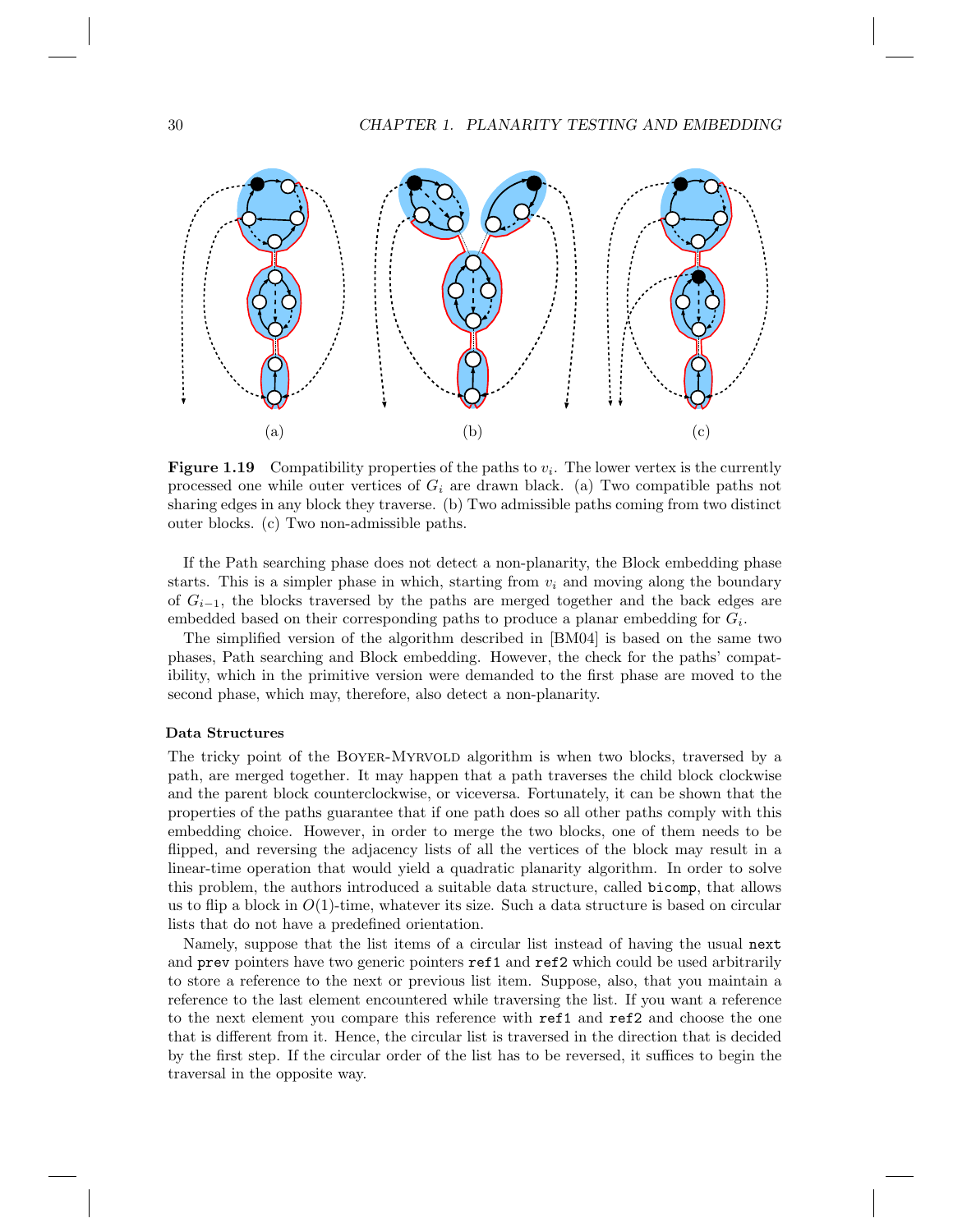

**Figure 1.19** Compatibility properties of the paths to  $v_i$ . The lower vertex is the currently processed one while outer vertices of  $G_i$  are drawn black. (a) Two compatible paths not sharing edges in any block they traverse. (b) Two admissible paths coming from two distinct outer blocks. (c) Two non-admissible paths.

If the Path searching phase does not detect a non-planarity, the Block embedding phase starts. This is a simpler phase in which, starting from  $v_i$  and moving along the boundary of  $G_{i-1}$ , the blocks traversed by the paths are merged together and the back edges are embedded based on their corresponding paths to produce a planar embedding for  $G_i$ .

The simplified version of the algorithm described in [BM04] is based on the same two phases, Path searching and Block embedding. However, the check for the paths' compatibility, which in the primitive version were demanded to the first phase are moved to the second phase, which may, therefore, also detect a non-planarity.

#### Data Structures

The tricky point of the Boyer-Myrvold algorithm is when two blocks, traversed by a path, are merged together. It may happen that a path traverses the child block clockwise and the parent block counterclockwise, or viceversa. Fortunately, it can be shown that the properties of the paths guarantee that if one path does so all other paths comply with this embedding choice. However, in order to merge the two blocks, one of them needs to be flipped, and reversing the adjacency lists of all the vertices of the block may result in a linear-time operation that would yield a quadratic planarity algorithm. In order to solve this problem, the authors introduced a suitable data structure, called bicomp, that allows us to flip a block in  $O(1)$ -time, whatever its size. Such a data structure is based on circular lists that do not have a predefined orientation.

Namely, suppose that the list items of a circular list instead of having the usual next and prev pointers have two generic pointers ref1 and ref2 which could be used arbitrarily to store a reference to the next or previous list item. Suppose, also, that you maintain a reference to the last element encountered while traversing the list. If you want a reference to the next element you compare this reference with ref1 and ref2 and choose the one that is different from it. Hence, the circular list is traversed in the direction that is decided by the first step. If the circular order of the list has to be reversed, it suffices to begin the traversal in the opposite way.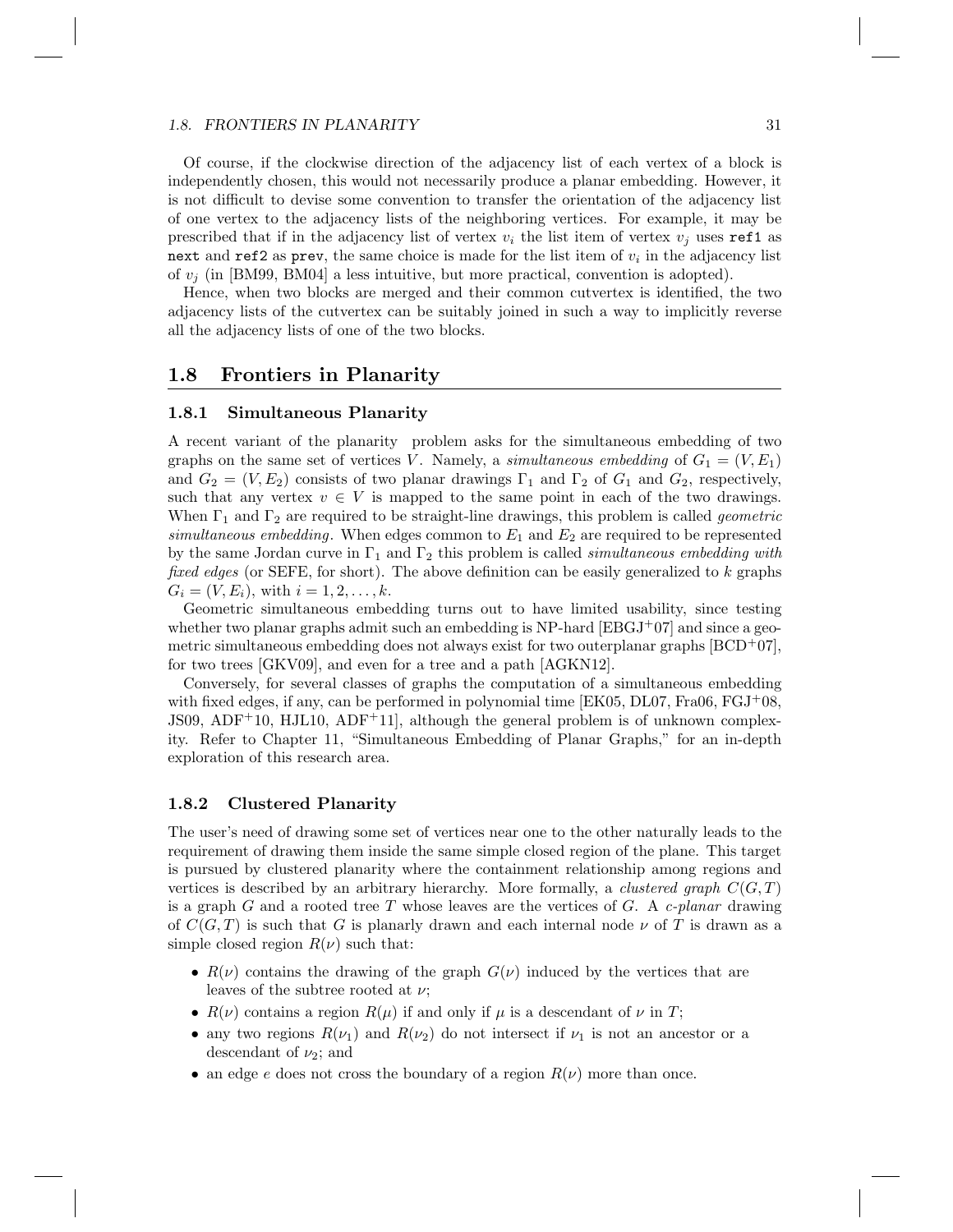#### 1.8. FRONTIERS IN PLANARITY 31

Of course, if the clockwise direction of the adjacency list of each vertex of a block is independently chosen, this would not necessarily produce a planar embedding. However, it is not difficult to devise some convention to transfer the orientation of the adjacency list of one vertex to the adjacency lists of the neighboring vertices. For example, it may be prescribed that if in the adjacency list of vertex  $v_i$  the list item of vertex  $v_j$  uses ref1 as next and ref2 as prev, the same choice is made for the list item of  $v_i$  in the adjacency list of  $v_i$  (in [BM99, BM04] a less intuitive, but more practical, convention is adopted).

Hence, when two blocks are merged and their common cutvertex is identified, the two adjacency lists of the cutvertex can be suitably joined in such a way to implicitly reverse all the adjacency lists of one of the two blocks.

#### 1.8 Frontiers in Planarity

#### 1.8.1 Simultaneous Planarity

A recent variant of the planarity problem asks for the simultaneous embedding of two graphs on the same set of vertices V. Namely, a simultaneous embedding of  $G_1 = (V, E_1)$ and  $G_2 = (V, E_2)$  consists of two planar drawings  $\Gamma_1$  and  $\Gamma_2$  of  $G_1$  and  $G_2$ , respectively, such that any vertex  $v \in V$  is mapped to the same point in each of the two drawings. When  $\Gamma_1$  and  $\Gamma_2$  are required to be straight-line drawings, this problem is called *geometric* simultaneous embedding. When edges common to  $E_1$  and  $E_2$  are required to be represented by the same Jordan curve in  $\Gamma_1$  and  $\Gamma_2$  this problem is called *simultaneous embedding with* fixed edges (or SEFE, for short). The above definition can be easily generalized to  $k$  graphs  $G_i = (V, E_i), \text{ with } i = 1, 2, \dots, k.$ 

Geometric simultaneous embedding turns out to have limited usability, since testing whether two planar graphs admit such an embedding is  $NP$ -hard  $[EBGJ^+07]$  and since a geometric simultaneous embedding does not always exist for two outerplanar graphs  $[BCD^+07]$ , for two trees [GKV09], and even for a tree and a path [AGKN12].

Conversely, for several classes of graphs the computation of a simultaneous embedding with fixed edges, if any, can be performed in polynomial time  $[EK05, DL07, Fra06, FGJ<sup>+</sup>08,$ JS09, ADF<sup>+1</sup>0, HJL10, ADF<sup>+</sup>11, although the general problem is of unknown complexity. Refer to Chapter 11, "Simultaneous Embedding of Planar Graphs," for an in-depth exploration of this research area.

#### 1.8.2 Clustered Planarity

The user's need of drawing some set of vertices near one to the other naturally leads to the requirement of drawing them inside the same simple closed region of the plane. This target is pursued by clustered planarity where the containment relationship among regions and vertices is described by an arbitrary hierarchy. More formally, a *clustered graph*  $C(G, T)$ is a graph G and a rooted tree T whose leaves are the vertices of G. A c-planar drawing of  $C(G,T)$  is such that G is planarly drawn and each internal node  $\nu$  of T is drawn as a simple closed region  $R(\nu)$  such that:

- $R(\nu)$  contains the drawing of the graph  $G(\nu)$  induced by the vertices that are leaves of the subtree rooted at  $\nu$ ;
- $R(\nu)$  contains a region  $R(\mu)$  if and only if  $\mu$  is a descendant of  $\nu$  in T;
- any two regions  $R(\nu_1)$  and  $R(\nu_2)$  do not intersect if  $\nu_1$  is not an ancestor or a descendant of  $\nu_2$ ; and
- an edge e does not cross the boundary of a region  $R(\nu)$  more than once.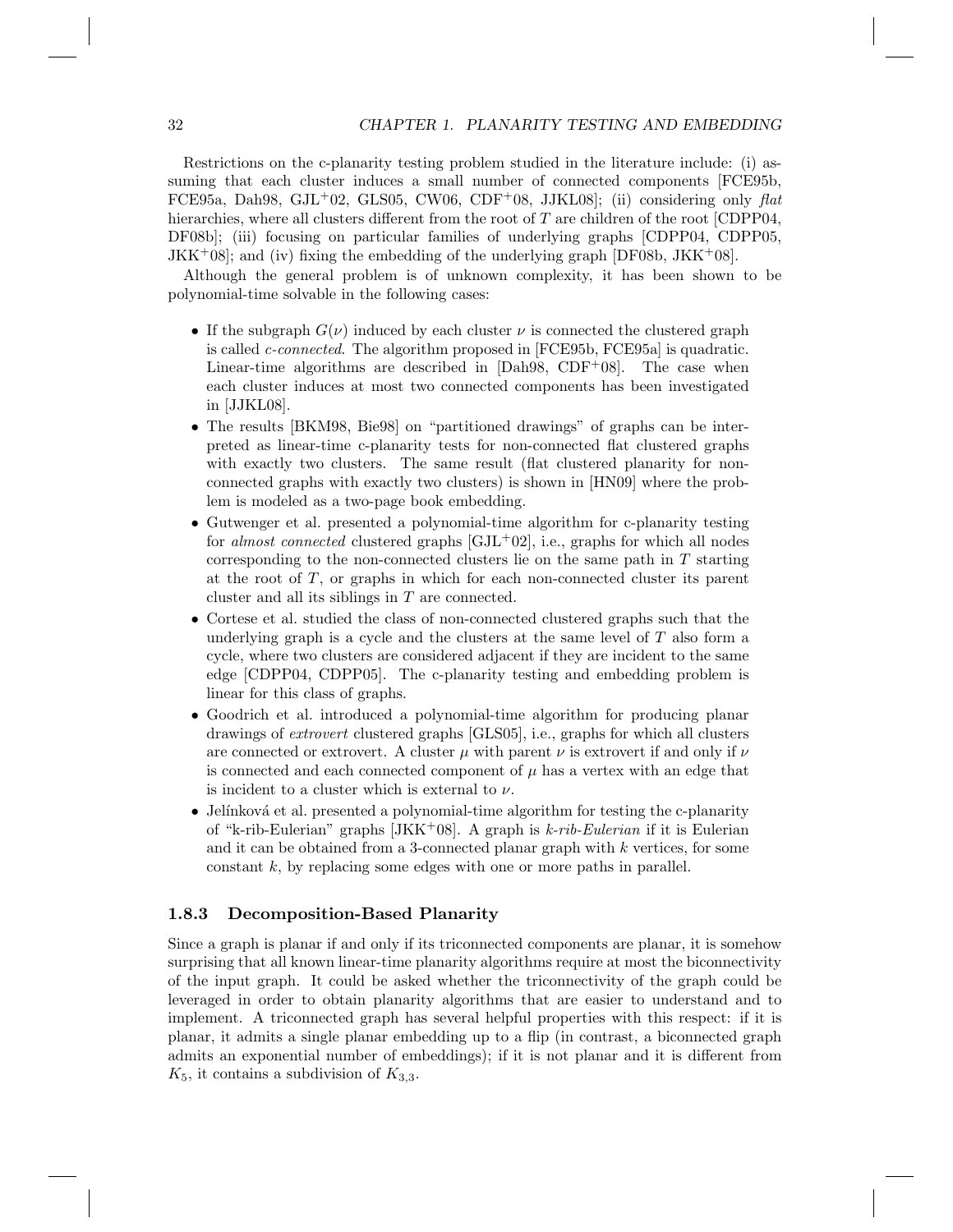Restrictions on the c-planarity testing problem studied in the literature include: (i) assuming that each cluster induces a small number of connected components [FCE95b, FCE95a, Dah98, GJL+02, GLS05, CW06, CDF+08, JJKL08; (ii) considering only flat hierarchies, where all clusters different from the root of  $T$  are children of the root [CDPP04, DF08b]; (iii) focusing on particular families of underlying graphs [CDPP04, CDPP05,  $JKK^+08$ ; and (iv) fixing the embedding of the underlying graph [DF08b, J $KK^+08$ ].

Although the general problem is of unknown complexity, it has been shown to be polynomial-time solvable in the following cases:

- If the subgraph  $G(\nu)$  induced by each cluster  $\nu$  is connected the clustered graph is called c-connected. The algorithm proposed in [FCE95b, FCE95a] is quadratic. Linear-time algorithms are described in  $[Dah98, CDF^+08]$ . The case when each cluster induces at most two connected components has been investigated in [JJKL08].
- The results [BKM98, Bie98] on "partitioned drawings" of graphs can be interpreted as linear-time c-planarity tests for non-connected flat clustered graphs with exactly two clusters. The same result (flat clustered planarity for nonconnected graphs with exactly two clusters) is shown in [HN09] where the problem is modeled as a two-page book embedding.
- Gutwenger et al. presented a polynomial-time algorithm for c-planarity testing for almost connected clustered graphs  $[GJ<sub>L</sub>+02]$ , i.e., graphs for which all nodes corresponding to the non-connected clusters lie on the same path in  $T$  starting at the root of T, or graphs in which for each non-connected cluster its parent cluster and all its siblings in T are connected.
- Cortese et al. studied the class of non-connected clustered graphs such that the underlying graph is a cycle and the clusters at the same level of  $T$  also form a cycle, where two clusters are considered adjacent if they are incident to the same edge [CDPP04, CDPP05]. The c-planarity testing and embedding problem is linear for this class of graphs.
- Goodrich et al. introduced a polynomial-time algorithm for producing planar drawings of extrovert clustered graphs [GLS05], i.e., graphs for which all clusters are connected or extrovert. A cluster  $\mu$  with parent  $\nu$  is extrovert if and only if  $\nu$ is connected and each connected component of  $\mu$  has a vertex with an edge that is incident to a cluster which is external to  $\nu$ .
- $\bullet$  Jelínková et al. presented a polynomial-time algorithm for testing the c-planarity of "k-rib-Eulerian" graphs [JKK+08]. A graph is  $k$ -rib-Eulerian if it is Eulerian and it can be obtained from a 3-connected planar graph with  $k$  vertices, for some constant k, by replacing some edges with one or more paths in parallel.

#### 1.8.3 Decomposition-Based Planarity

Since a graph is planar if and only if its triconnected components are planar, it is somehow surprising that all known linear-time planarity algorithms require at most the biconnectivity of the input graph. It could be asked whether the triconnectivity of the graph could be leveraged in order to obtain planarity algorithms that are easier to understand and to implement. A triconnected graph has several helpful properties with this respect: if it is planar, it admits a single planar embedding up to a flip (in contrast, a biconnected graph admits an exponential number of embeddings); if it is not planar and it is different from  $K_5$ , it contains a subdivision of  $K_{3,3}$ .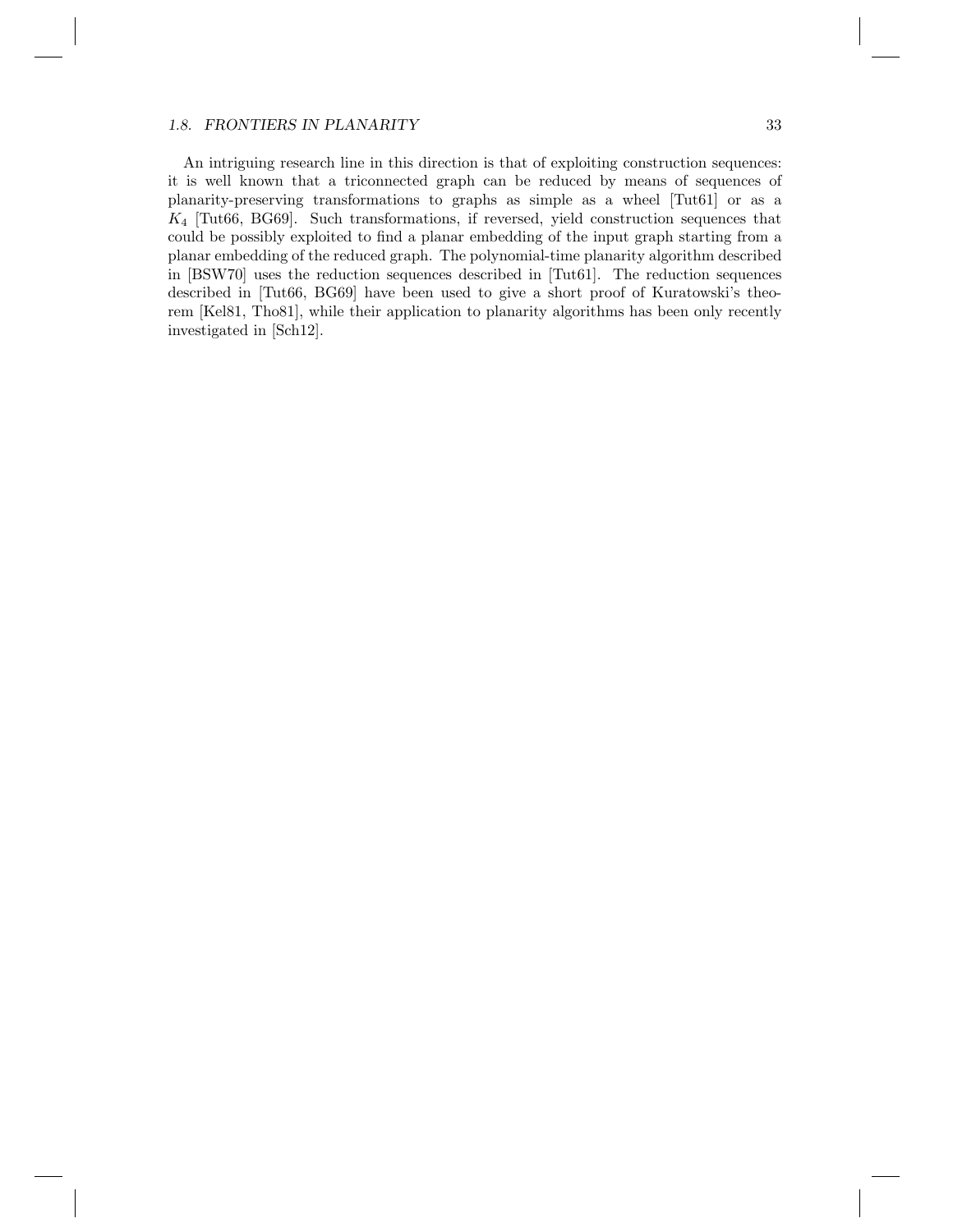#### 1.8. FRONTIERS IN PLANARITY 33

An intriguing research line in this direction is that of exploiting construction sequences: it is well known that a triconnected graph can be reduced by means of sequences of planarity-preserving transformations to graphs as simple as a wheel [Tut61] or as a  $K_4$  [Tut66, BG69]. Such transformations, if reversed, yield construction sequences that could be possibly exploited to find a planar embedding of the input graph starting from a planar embedding of the reduced graph. The polynomial-time planarity algorithm described in [BSW70] uses the reduction sequences described in [Tut61]. The reduction sequences described in [Tut66, BG69] have been used to give a short proof of Kuratowski's theorem [Kel81, Tho81], while their application to planarity algorithms has been only recently investigated in [Sch12].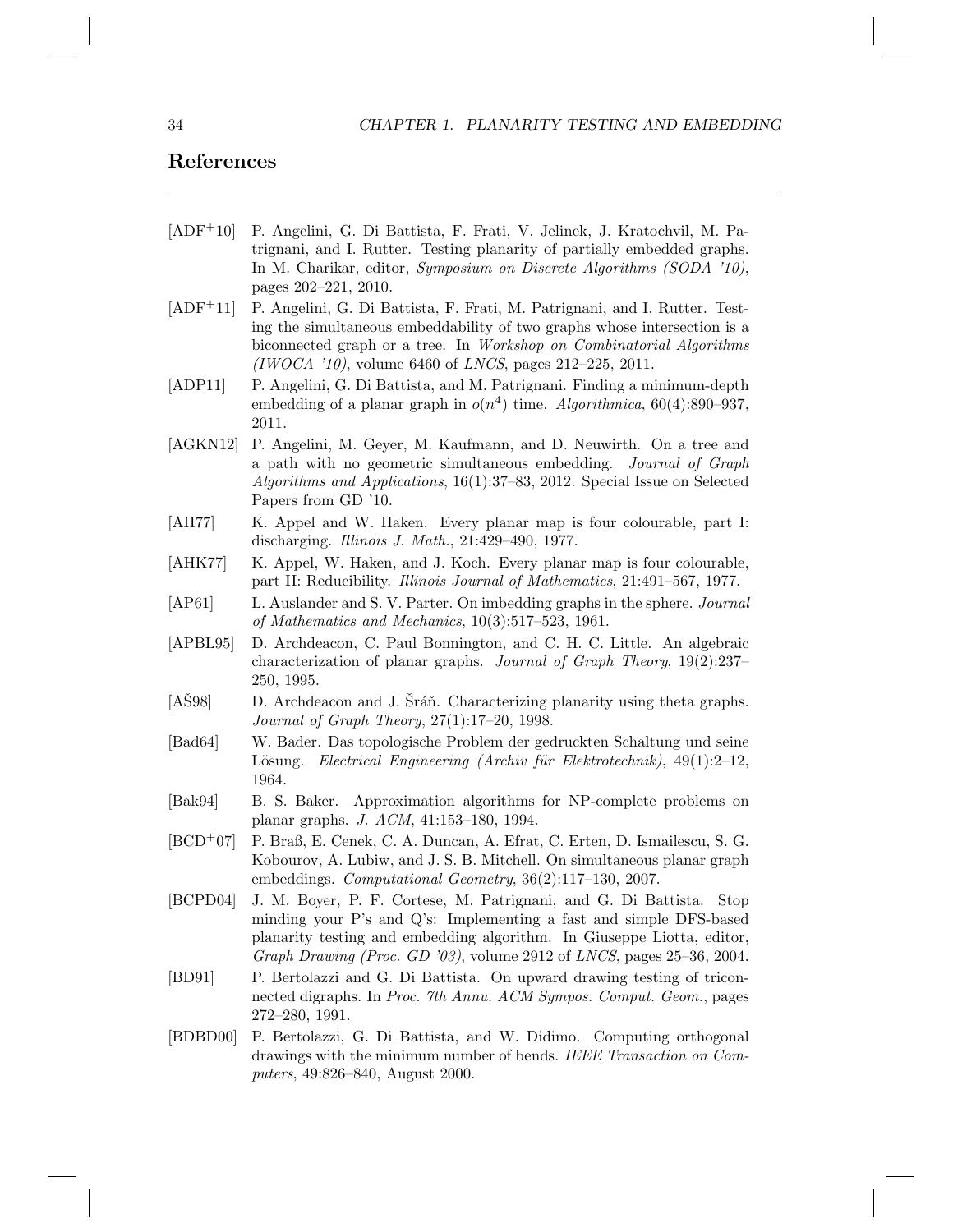#### References

- [ADF+10] P. Angelini, G. Di Battista, F. Frati, V. Jelinek, J. Kratochvil, M. Patrignani, and I. Rutter. Testing planarity of partially embedded graphs. In M. Charikar, editor, *Symposium on Discrete Algorithms (SODA '10)*, pages 202–221, 2010.
- [ADF+11] P. Angelini, G. Di Battista, F. Frati, M. Patrignani, and I. Rutter. Testing the simultaneous embeddability of two graphs whose intersection is a biconnected graph or a tree. In Workshop on Combinatorial Algorithms  $(IWOCA \t'10)$ , volume 6460 of *LNCS*, pages 212–225, 2011.
- [ADP11] P. Angelini, G. Di Battista, and M. Patrignani. Finding a minimum-depth embedding of a planar graph in  $o(n^4)$  time. Algorithmica, 60(4):890–937, 2011.
- [AGKN12] P. Angelini, M. Geyer, M. Kaufmann, and D. Neuwirth. On a tree and a path with no geometric simultaneous embedding. Journal of Graph Algorithms and Applications, 16(1):37–83, 2012. Special Issue on Selected Papers from GD '10.
- [AH77] K. Appel and W. Haken. Every planar map is four colourable, part I: discharging. Illinois J. Math., 21:429–490, 1977.
- [AHK77] K. Appel, W. Haken, and J. Koch. Every planar map is four colourable, part II: Reducibility. Illinois Journal of Mathematics, 21:491–567, 1977.
- [AP61] L. Auslander and S. V. Parter. On imbedding graphs in the sphere. *Journal* of Mathematics and Mechanics, 10(3):517–523, 1961.
- [APBL95] D. Archdeacon, C. Paul Bonnington, and C. H. C. Little. An algebraic characterization of planar graphs. Journal of Graph Theory, 19(2):237– 250, 1995.
- [AS98] D. Archdeacon and J. Srán. Characterizing planarity using theta graphs. Journal of Graph Theory, 27(1):17–20, 1998.
- [Bad64] W. Bader. Das topologische Problem der gedruckten Schaltung und seine Lösung. Electrical Engineering (Archiv für Elektrotechnik), 49(1):2-12, 1964.
- [Bak94] B. S. Baker. Approximation algorithms for NP-complete problems on planar graphs. J. ACM, 41:153–180, 1994.
- [BCD+07] P. Braß, E. Cenek, C. A. Duncan, A. Efrat, C. Erten, D. Ismailescu, S. G. Kobourov, A. Lubiw, and J. S. B. Mitchell. On simultaneous planar graph embeddings. Computational Geometry, 36(2):117–130, 2007.
- [BCPD04] J. M. Boyer, P. F. Cortese, M. Patrignani, and G. Di Battista. Stop minding your P's and Q's: Implementing a fast and simple DFS-based planarity testing and embedding algorithm. In Giuseppe Liotta, editor, Graph Drawing (Proc. GD '03), volume 2912 of LNCS, pages 25–36, 2004.
- [BD91] P. Bertolazzi and G. Di Battista. On upward drawing testing of triconnected digraphs. In Proc. 7th Annu. ACM Sympos. Comput. Geom., pages 272–280, 1991.
- [BDBD00] P. Bertolazzi, G. Di Battista, and W. Didimo. Computing orthogonal drawings with the minimum number of bends. IEEE Transaction on Computers, 49:826–840, August 2000.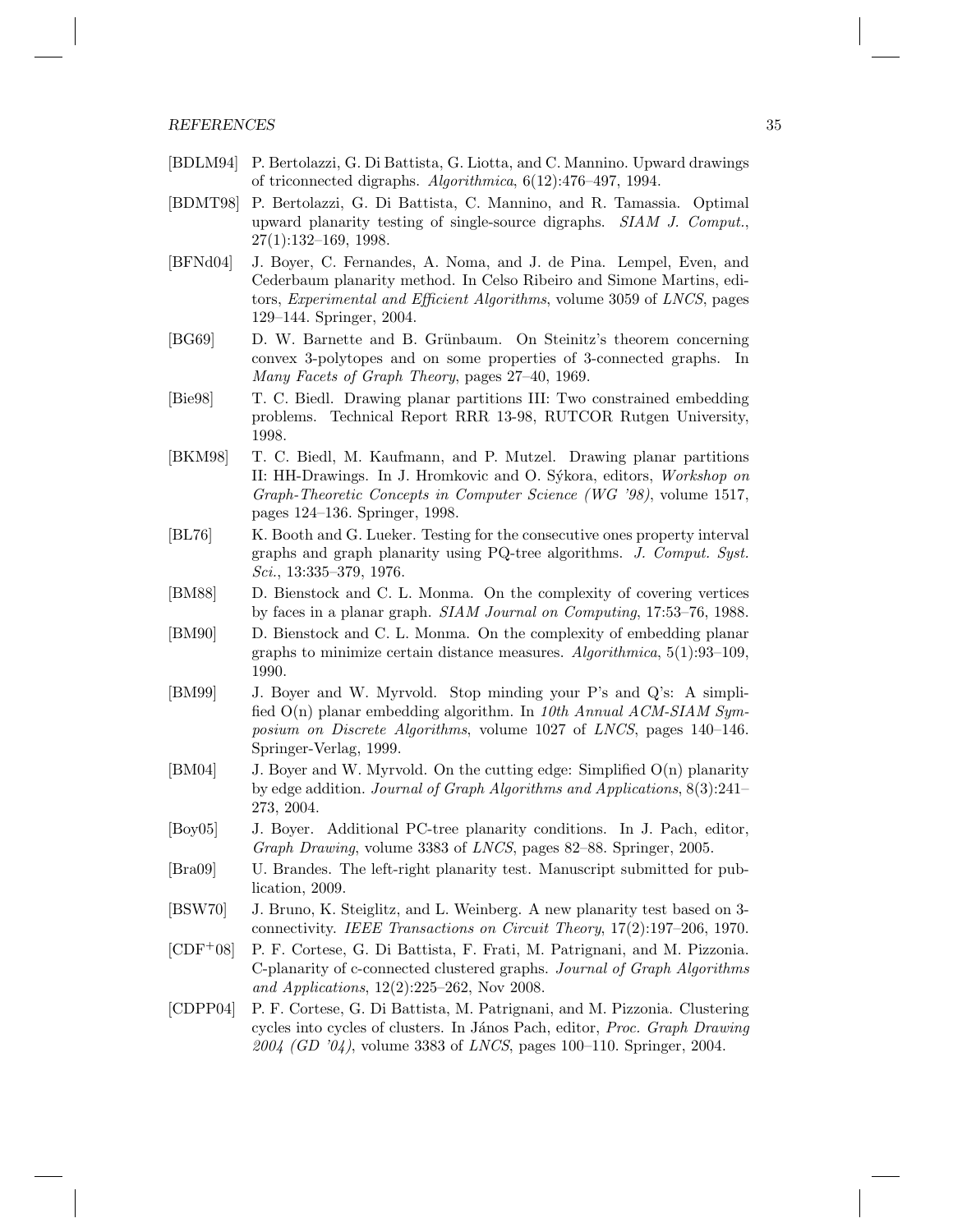#### REFERENCES 35

- [BDLM94] P. Bertolazzi, G. Di Battista, G. Liotta, and C. Mannino. Upward drawings of triconnected digraphs. Algorithmica, 6(12):476–497, 1994.
- [BDMT98] P. Bertolazzi, G. Di Battista, C. Mannino, and R. Tamassia. Optimal upward planarity testing of single-source digraphs. SIAM J. Comput., 27(1):132–169, 1998.
- [BFNd04] J. Boyer, C. Fernandes, A. Noma, and J. de Pina. Lempel, Even, and Cederbaum planarity method. In Celso Ribeiro and Simone Martins, editors, Experimental and Efficient Algorithms, volume 3059 of LNCS, pages 129–144. Springer, 2004.
- [BG69] D. W. Barnette and B. Grünbaum. On Steinitz's theorem concerning convex 3-polytopes and on some properties of 3-connected graphs. In Many Facets of Graph Theory, pages 27–40, 1969.
- [Bie98] T. C. Biedl. Drawing planar partitions III: Two constrained embedding problems. Technical Report RRR 13-98, RUTCOR Rutgen University, 1998.
- [BKM98] T. C. Biedl, M. Kaufmann, and P. Mutzel. Drawing planar partitions II: HH-Drawings. In J. Hromkovic and O. Sýkora, editors, *Workshop on* Graph-Theoretic Concepts in Computer Science (WG '98), volume 1517, pages 124–136. Springer, 1998.
- [BL76] K. Booth and G. Lueker. Testing for the consecutive ones property interval graphs and graph planarity using PQ-tree algorithms. J. Comput. Syst. Sci., 13:335–379, 1976.
- [BM88] D. Bienstock and C. L. Monma. On the complexity of covering vertices by faces in a planar graph. SIAM Journal on Computing, 17:53–76, 1988.
- [BM90] D. Bienstock and C. L. Monma. On the complexity of embedding planar graphs to minimize certain distance measures. Algorithmica, 5(1):93–109, 1990.
- [BM99] J. Boyer and W. Myrvold. Stop minding your P's and Q's: A simplified  $O(n)$  planar embedding algorithm. In 10th Annual ACM-SIAM Symposium on Discrete Algorithms, volume 1027 of LNCS, pages 140–146. Springer-Verlag, 1999.
- [BM04] J. Boyer and W. Myrvold. On the cutting edge: Simplified  $O(n)$  planarity by edge addition. Journal of Graph Algorithms and Applications, 8(3):241– 273, 2004.
- [Boy05] J. Boyer. Additional PC-tree planarity conditions. In J. Pach, editor, Graph Drawing, volume 3383 of LNCS, pages 82–88. Springer, 2005.
- [Bra09] U. Brandes. The left-right planarity test. Manuscript submitted for publication, 2009.
- [BSW70] J. Bruno, K. Steiglitz, and L. Weinberg. A new planarity test based on 3 connectivity. IEEE Transactions on Circuit Theory, 17(2):197–206, 1970.
- [CDF+08] P. F. Cortese, G. Di Battista, F. Frati, M. Patrignani, and M. Pizzonia. C-planarity of c-connected clustered graphs. Journal of Graph Algorithms and Applications, 12(2):225–262, Nov 2008.
- [CDPP04] P. F. Cortese, G. Di Battista, M. Patrignani, and M. Pizzonia. Clustering cycles into cycles of clusters. In János Pach, editor, Proc. Graph Drawing  $2004$  (GD  $04$ ), volume 3383 of LNCS, pages 100–110. Springer, 2004.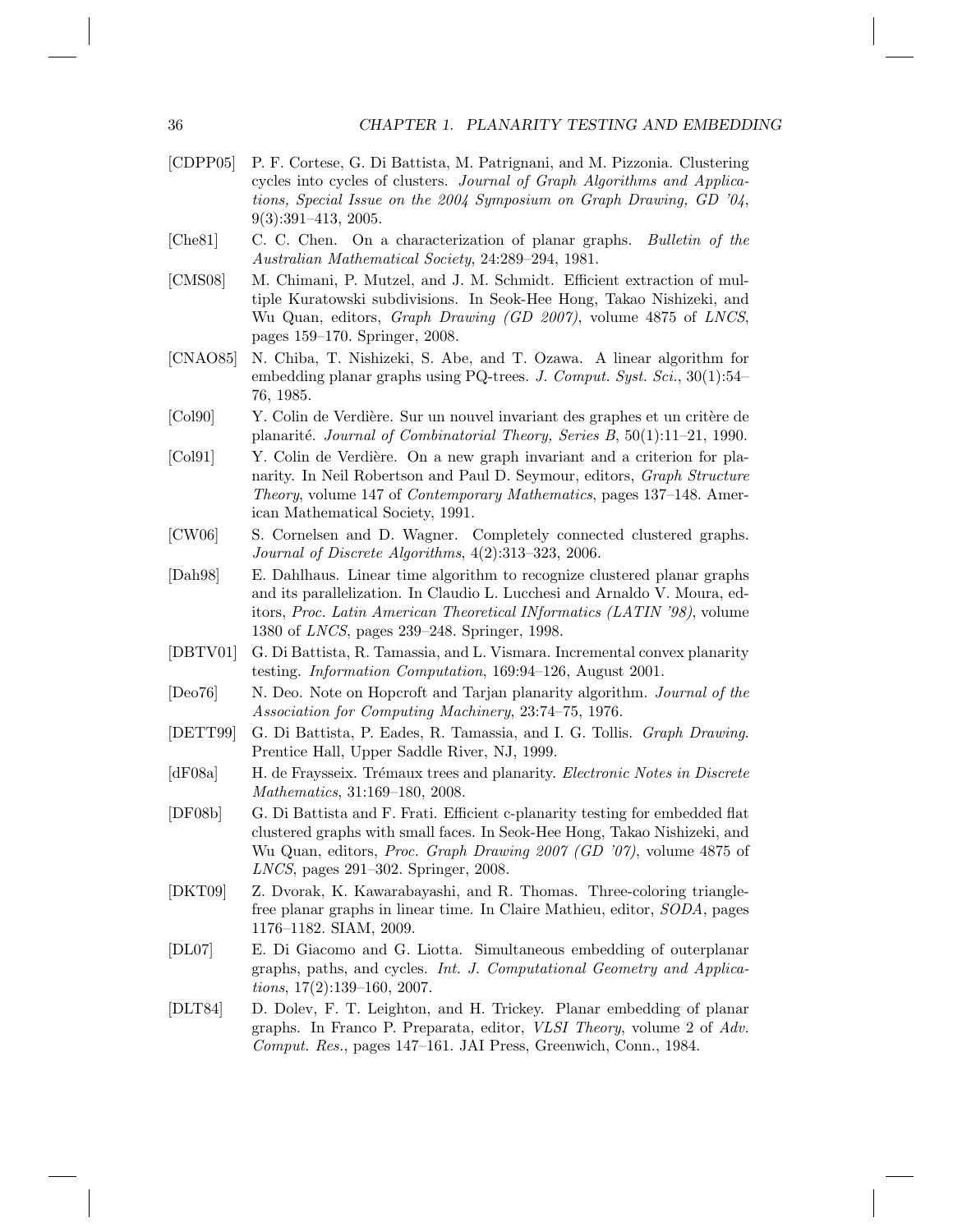- [CDPP05] P. F. Cortese, G. Di Battista, M. Patrignani, and M. Pizzonia. Clustering cycles into cycles of clusters. Journal of Graph Algorithms and Applications, Special Issue on the 2004 Symposium on Graph Drawing, GD '04, 9(3):391–413, 2005.
- [Che81] C. C. Chen. On a characterization of planar graphs. Bulletin of the Australian Mathematical Society, 24:289–294, 1981.
- [CMS08] M. Chimani, P. Mutzel, and J. M. Schmidt. Efficient extraction of multiple Kuratowski subdivisions. In Seok-Hee Hong, Takao Nishizeki, and Wu Quan, editors, Graph Drawing (GD 2007), volume 4875 of LNCS, pages 159–170. Springer, 2008.
- [CNAO85] N. Chiba, T. Nishizeki, S. Abe, and T. Ozawa. A linear algorithm for embedding planar graphs using PQ-trees. J. Comput. Syst. Sci., 30(1):54– 76, 1985.
- [Col90] Y. Colin de Verdière. Sur un nouvel invariant des graphes et un critère de planarité. Journal of Combinatorial Theory, Series B, 50(1):11–21, 1990.
- [Col91] Y. Colin de Verdière. On a new graph invariant and a criterion for planarity. In Neil Robertson and Paul D. Seymour, editors, Graph Structure Theory, volume 147 of Contemporary Mathematics, pages 137–148. American Mathematical Society, 1991.
- [CW06] S. Cornelsen and D. Wagner. Completely connected clustered graphs. Journal of Discrete Algorithms, 4(2):313–323, 2006.
- [Dah98] E. Dahlhaus. Linear time algorithm to recognize clustered planar graphs and its parallelization. In Claudio L. Lucchesi and Arnaldo V. Moura, editors, Proc. Latin American Theoretical INformatics (LATIN '98), volume 1380 of LNCS, pages 239–248. Springer, 1998.
- [DBTV01] G. Di Battista, R. Tamassia, and L. Vismara. Incremental convex planarity testing. Information Computation, 169:94–126, August 2001.
- [Deo76] N. Deo. Note on Hopcroft and Tarjan planarity algorithm. Journal of the Association for Computing Machinery, 23:74–75, 1976.
- [DETT99] G. Di Battista, P. Eades, R. Tamassia, and I. G. Tollis. Graph Drawing. Prentice Hall, Upper Saddle River, NJ, 1999.
- [dF08a] H. de Fraysseix. Trémaux trees and planarity. *Electronic Notes in Discrete* Mathematics, 31:169–180, 2008.
- [DF08b] G. Di Battista and F. Frati. Efficient c-planarity testing for embedded flat clustered graphs with small faces. In Seok-Hee Hong, Takao Nishizeki, and Wu Quan, editors, Proc. Graph Drawing 2007 (GD '07), volume 4875 of LNCS, pages 291–302. Springer, 2008.
- [DKT09] Z. Dvorak, K. Kawarabayashi, and R. Thomas. Three-coloring trianglefree planar graphs in linear time. In Claire Mathieu, editor, SODA, pages 1176–1182. SIAM, 2009.
- [DL07] E. Di Giacomo and G. Liotta. Simultaneous embedding of outerplanar graphs, paths, and cycles. Int. J. Computational Geometry and Applications, 17(2):139–160, 2007.
- [DLT84] D. Dolev, F. T. Leighton, and H. Trickey. Planar embedding of planar graphs. In Franco P. Preparata, editor, VLSI Theory, volume 2 of Adv. Comput. Res., pages 147–161. JAI Press, Greenwich, Conn., 1984.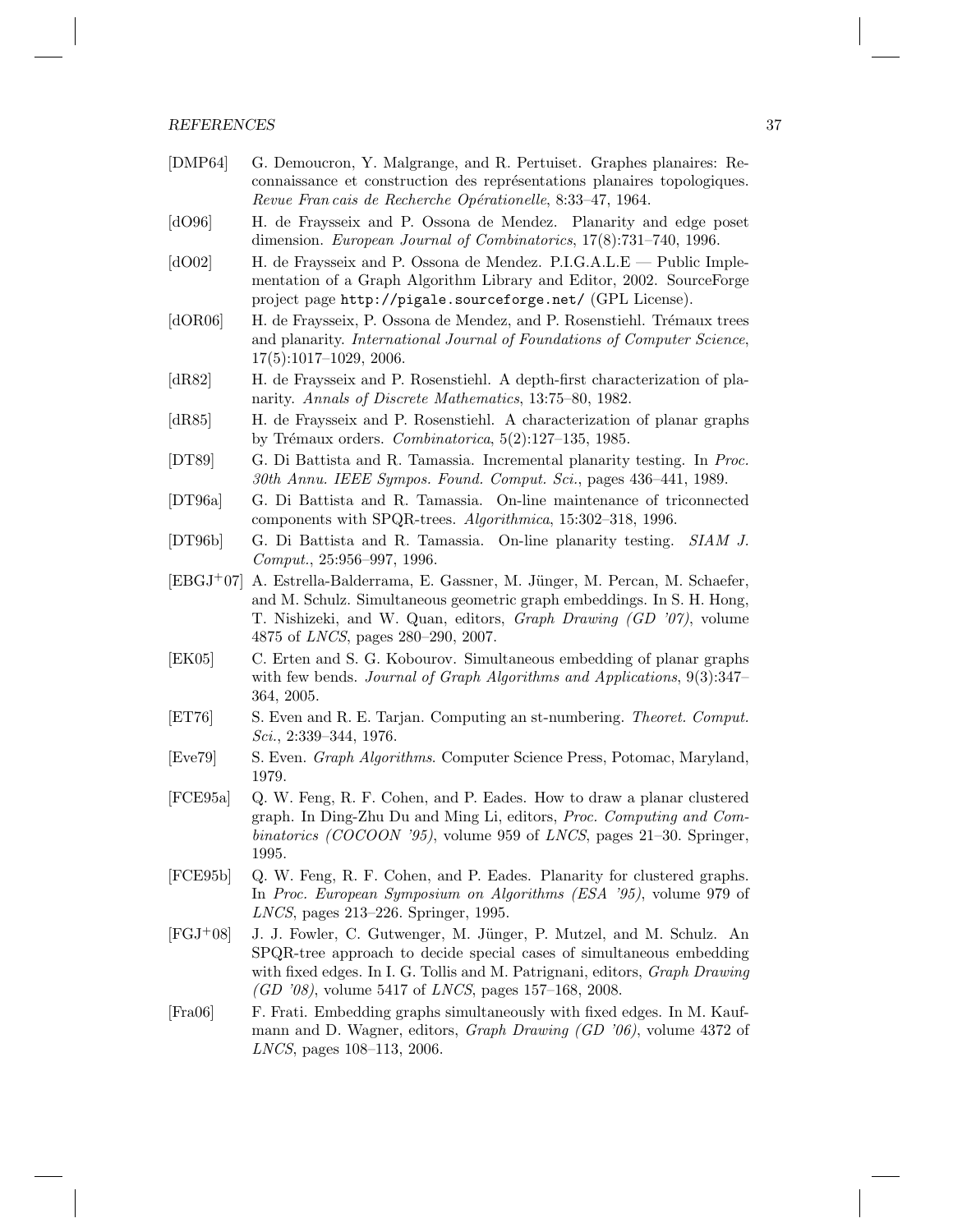#### REFERENCES 37

- [DMP64] G. Demoucron, Y. Malgrange, and R. Pertuiset. Graphes planaires: Reconnaissance et construction des représentations planaires topologiques. Revue Fran cais de Recherche Opérationelle, 8:33-47, 1964.
- [dO96] H. de Fraysseix and P. Ossona de Mendez. Planarity and edge poset dimension. European Journal of Combinatorics, 17(8):731–740, 1996.
- [dO02] H. de Fraysseix and P. Ossona de Mendez. P.I.G.A.L.E Public Implementation of a Graph Algorithm Library and Editor, 2002. SourceForge project page http://pigale.sourceforge.net/ (GPL License).
- [dOR06] H. de Fraysseix, P. Ossona de Mendez, and P. Rosenstiehl. Trémaux trees and planarity. International Journal of Foundations of Computer Science, 17(5):1017–1029, 2006.
- [dR82] H. de Fraysseix and P. Rosenstiehl. A depth-first characterization of planarity. Annals of Discrete Mathematics, 13:75–80, 1982.
- [dR85] H. de Fraysseix and P. Rosenstiehl. A characterization of planar graphs by Trémaux orders. Combinatorica,  $5(2):127-135$ , 1985.
- [DT89] G. Di Battista and R. Tamassia. Incremental planarity testing. In Proc. 30th Annu. IEEE Sympos. Found. Comput. Sci., pages 436–441, 1989.
- [DT96a] G. Di Battista and R. Tamassia. On-line maintenance of triconnected components with SPQR-trees. Algorithmica, 15:302–318, 1996.
- [DT96b] G. Di Battista and R. Tamassia. On-line planarity testing. SIAM J. Comput., 25:956–997, 1996.
- $[EBGJ<sup>+</sup>07]$  A. Estrella-Balderrama, E. Gassner, M. Jünger, M. Percan, M. Schaefer, and M. Schulz. Simultaneous geometric graph embeddings. In S. H. Hong, T. Nishizeki, and W. Quan, editors, Graph Drawing (GD '07), volume 4875 of LNCS, pages 280–290, 2007.
- [EK05] C. Erten and S. G. Kobourov. Simultaneous embedding of planar graphs with few bends. Journal of Graph Algorithms and Applications, 9(3):347– 364, 2005.
- [ET76] S. Even and R. E. Tarjan. Computing an st-numbering. Theoret. Comput. Sci., 2:339–344, 1976.
- [Eve79] S. Even. Graph Algorithms. Computer Science Press, Potomac, Maryland, 1979.
- [FCE95a] Q. W. Feng, R. F. Cohen, and P. Eades. How to draw a planar clustered graph. In Ding-Zhu Du and Ming Li, editors, Proc. Computing and Combinatorics (COCOON '95), volume 959 of LNCS, pages 21–30. Springer, 1995.
- [FCE95b] Q. W. Feng, R. F. Cohen, and P. Eades. Planarity for clustered graphs. In Proc. European Symposium on Algorithms (ESA '95), volume 979 of LNCS, pages 213–226. Springer, 1995.
- [FGJ+08] J. J. Fowler, C. Gutwenger, M. J¨unger, P. Mutzel, and M. Schulz. An SPQR-tree approach to decide special cases of simultaneous embedding with fixed edges. In I. G. Tollis and M. Patrignani, editors, *Graph Drawing*  $(GD'08)$ , volume 5417 of *LNCS*, pages 157–168, 2008.
- [Fra06] F. Frati. Embedding graphs simultaneously with fixed edges. In M. Kaufmann and D. Wagner, editors, Graph Drawing (GD '06), volume 4372 of LNCS, pages 108–113, 2006.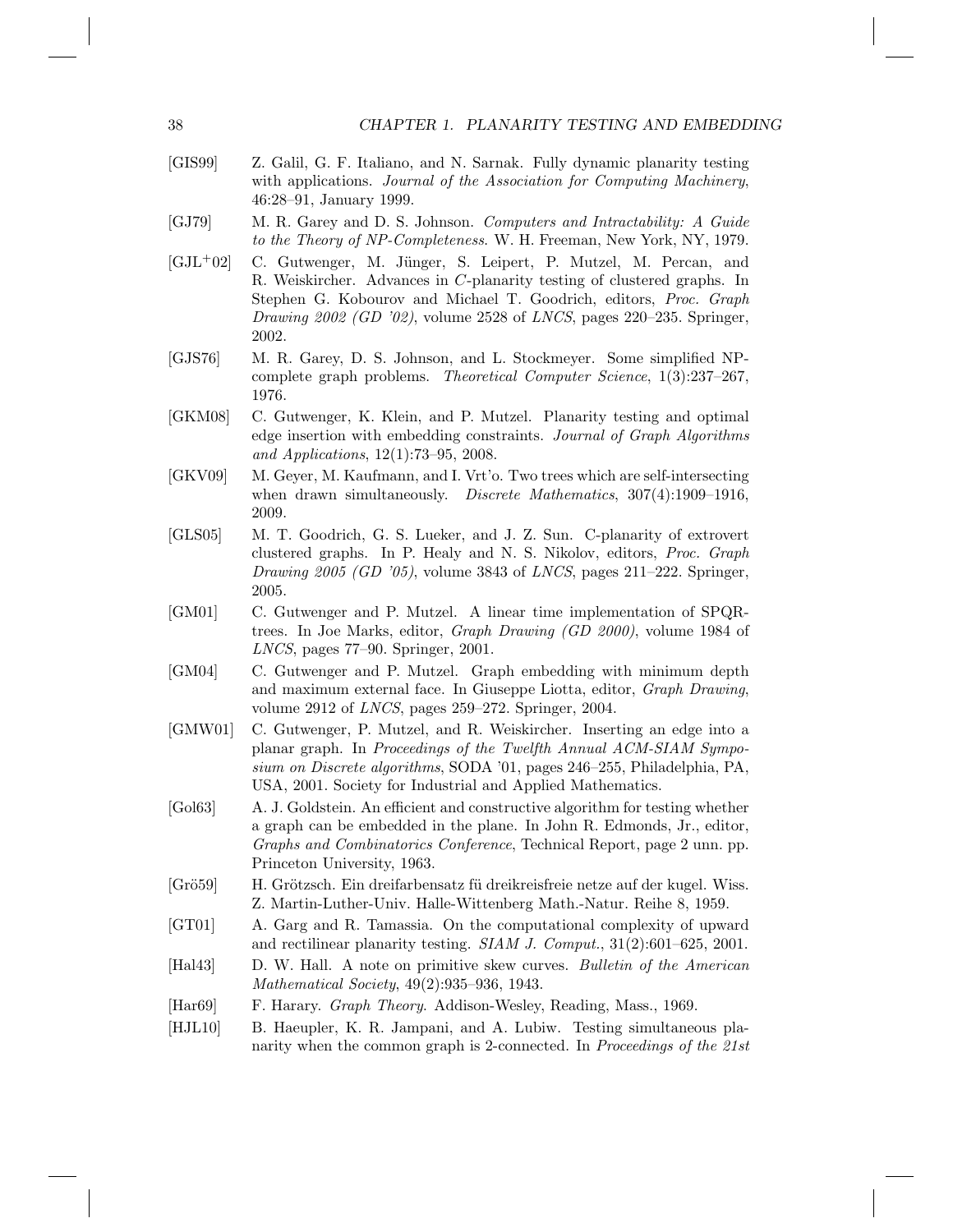- [GIS99] Z. Galil, G. F. Italiano, and N. Sarnak. Fully dynamic planarity testing with applications. Journal of the Association for Computing Machinery, 46:28–91, January 1999.
- [GJ79] M. R. Garey and D. S. Johnson. Computers and Intractability: A Guide to the Theory of NP-Completeness. W. H. Freeman, New York, NY, 1979.
- [GJL+02] C. Gutwenger, M. J¨unger, S. Leipert, P. Mutzel, M. Percan, and R. Weiskircher. Advances in C-planarity testing of clustered graphs. In Stephen G. Kobourov and Michael T. Goodrich, editors, Proc. Graph Drawing 2002 (GD '02), volume 2528 of LNCS, pages 220–235. Springer, 2002.
- [GJS76] M. R. Garey, D. S. Johnson, and L. Stockmeyer. Some simplified NPcomplete graph problems. Theoretical Computer Science, 1(3):237–267, 1976.
- [GKM08] C. Gutwenger, K. Klein, and P. Mutzel. Planarity testing and optimal edge insertion with embedding constraints. Journal of Graph Algorithms and Applications, 12(1):73–95, 2008.
- [GKV09] M. Geyer, M. Kaufmann, and I. Vrt'o. Two trees which are self-intersecting when drawn simultaneously. *Discrete Mathematics*, 307(4):1909–1916, 2009.
- [GLS05] M. T. Goodrich, G. S. Lueker, and J. Z. Sun. C-planarity of extrovert clustered graphs. In P. Healy and N. S. Nikolov, editors, Proc. Graph Drawing 2005 (GD '05), volume 3843 of LNCS, pages 211–222. Springer, 2005.
- [GM01] C. Gutwenger and P. Mutzel. A linear time implementation of SPQRtrees. In Joe Marks, editor, Graph Drawing (GD 2000), volume 1984 of LNCS, pages 77–90. Springer, 2001.
- [GM04] C. Gutwenger and P. Mutzel. Graph embedding with minimum depth and maximum external face. In Giuseppe Liotta, editor, Graph Drawing, volume 2912 of LNCS, pages 259–272. Springer, 2004.
- [GMW01] C. Gutwenger, P. Mutzel, and R. Weiskircher. Inserting an edge into a planar graph. In Proceedings of the Twelfth Annual ACM-SIAM Symposium on Discrete algorithms, SODA '01, pages 246–255, Philadelphia, PA, USA, 2001. Society for Industrial and Applied Mathematics.
- [Gol63] A. J. Goldstein. An efficient and constructive algorithm for testing whether a graph can be embedded in the plane. In John R. Edmonds, Jr., editor, Graphs and Combinatorics Conference, Technical Report, page 2 unn. pp. Princeton University, 1963.
- [Grö59] H. Grötzsch. Ein dreifarbensatz fü dreikreisfreie netze auf der kugel. Wiss. Z. Martin-Luther-Univ. Halle-Wittenberg Math.-Natur. Reihe 8, 1959.
- [GT01] A. Garg and R. Tamassia. On the computational complexity of upward and rectilinear planarity testing.  $SIAM J. Comput.$  31(2):601–625, 2001.
- [Hal43] D. W. Hall. A note on primitive skew curves. Bulletin of the American Mathematical Society, 49(2):935–936, 1943.
- [Har69] F. Harary. Graph Theory. Addison-Wesley, Reading, Mass., 1969.
- [HJL10] B. Haeupler, K. R. Jampani, and A. Lubiw. Testing simultaneous planarity when the common graph is 2-connected. In Proceedings of the 21st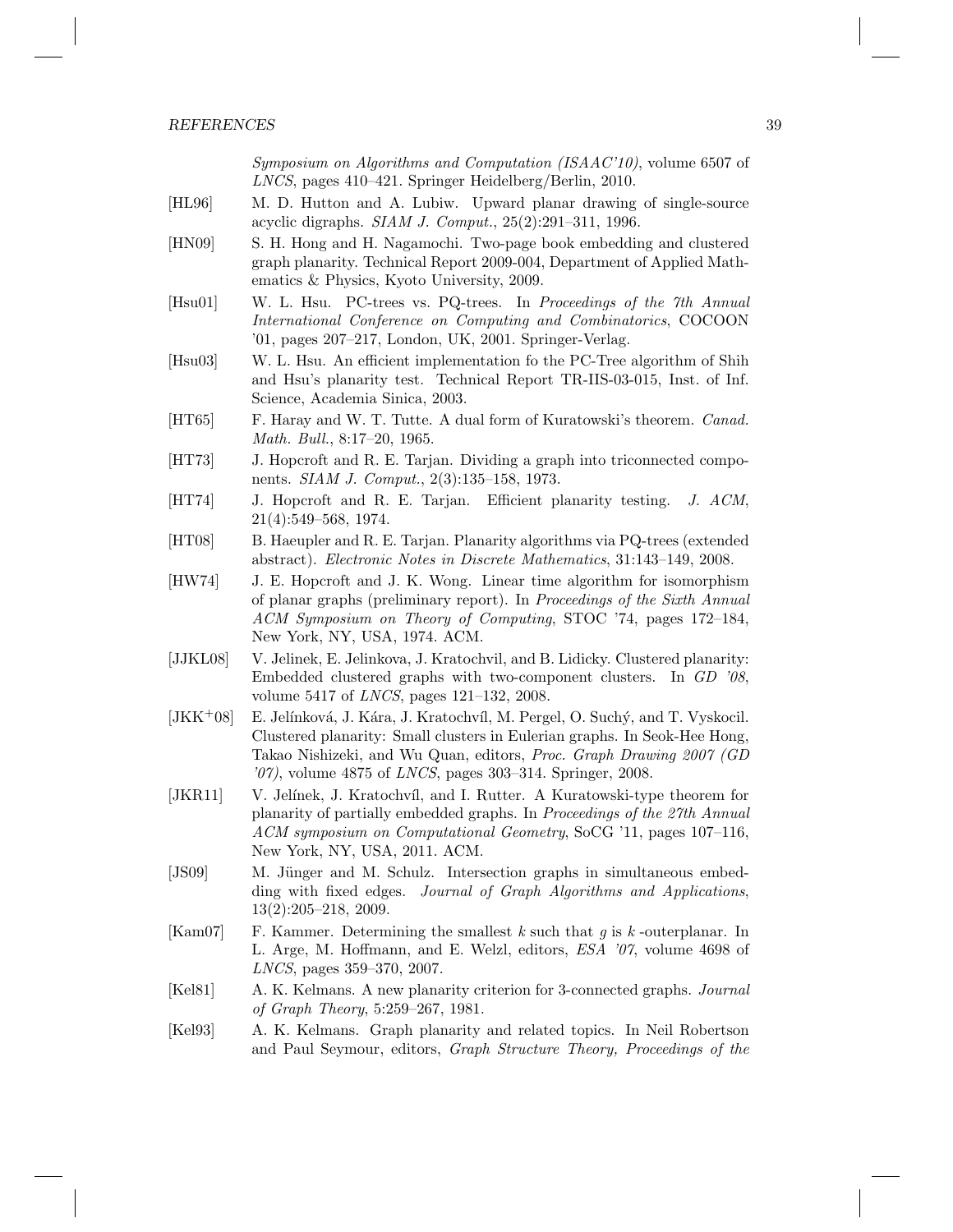Symposium on Algorithms and Computation (ISAAC'10), volume 6507 of LNCS, pages 410–421. Springer Heidelberg/Berlin, 2010.

- [HL96] M. D. Hutton and A. Lubiw. Upward planar drawing of single-source acyclic digraphs. SIAM J. Comput., 25(2):291–311, 1996.
- [HN09] S. H. Hong and H. Nagamochi. Two-page book embedding and clustered graph planarity. Technical Report 2009-004, Department of Applied Mathematics & Physics, Kyoto University, 2009.
- [Hsu01] W. L. Hsu. PC-trees vs. PQ-trees. In Proceedings of the 7th Annual International Conference on Computing and Combinatorics, COCOON '01, pages 207–217, London, UK, 2001. Springer-Verlag.
- [Hsu03] W. L. Hsu. An efficient implementation fo the PC-Tree algorithm of Shih and Hsu's planarity test. Technical Report TR-IIS-03-015, Inst. of Inf. Science, Academia Sinica, 2003.
- [HT65] F. Haray and W. T. Tutte. A dual form of Kuratowski's theorem. *Canad.* Math. Bull., 8:17–20, 1965.
- [HT73] J. Hopcroft and R. E. Tarjan. Dividing a graph into triconnected components. SIAM J. Comput., 2(3):135–158, 1973.
- [HT74] J. Hopcroft and R. E. Tarjan. Efficient planarity testing. J. ACM, 21(4):549–568, 1974.
- [HT08] B. Haeupler and R. E. Tarjan. Planarity algorithms via PQ-trees (extended abstract). Electronic Notes in Discrete Mathematics, 31:143–149, 2008.
- [HW74] J. E. Hopcroft and J. K. Wong. Linear time algorithm for isomorphism of planar graphs (preliminary report). In Proceedings of the Sixth Annual ACM Symposium on Theory of Computing, STOC '74, pages 172–184, New York, NY, USA, 1974. ACM.
- [JJKL08] V. Jelinek, E. Jelinkova, J. Kratochvil, and B. Lidicky. Clustered planarity: Embedded clustered graphs with two-component clusters. In GD '08, volume 5417 of LNCS, pages 121–132, 2008.
- [JKK<sup>+</sup>08] E. Jelínková, J. Kára, J. Kratochvíl, M. Pergel, O. Suchý, and T. Vyskocil. Clustered planarity: Small clusters in Eulerian graphs. In Seok-Hee Hong, Takao Nishizeki, and Wu Quan, editors, Proc. Graph Drawing 2007 (GD '07), volume 4875 of LNCS, pages 303–314. Springer, 2008.
- [JKR11] V. Jelínek, J. Kratochvíl, and I. Rutter. A Kuratowski-type theorem for planarity of partially embedded graphs. In Proceedings of the 27th Annual ACM symposium on Computational Geometry, SoCG '11, pages 107–116, New York, NY, USA, 2011. ACM.
- [JS09] M. Jünger and M. Schulz. Intersection graphs in simultaneous embedding with fixed edges. Journal of Graph Algorithms and Applications, 13(2):205–218, 2009.
- $[Kam07]$  F. Kammer. Determining the smallest k such that g is k-outerplanar. In L. Arge, M. Hoffmann, and E. Welzl, editors, ESA '07, volume 4698 of LNCS, pages 359–370, 2007.
- [Kel81] A. K. Kelmans. A new planarity criterion for 3-connected graphs. Journal of Graph Theory, 5:259–267, 1981.
- [Kel93] A. K. Kelmans. Graph planarity and related topics. In Neil Robertson and Paul Seymour, editors, Graph Structure Theory, Proceedings of the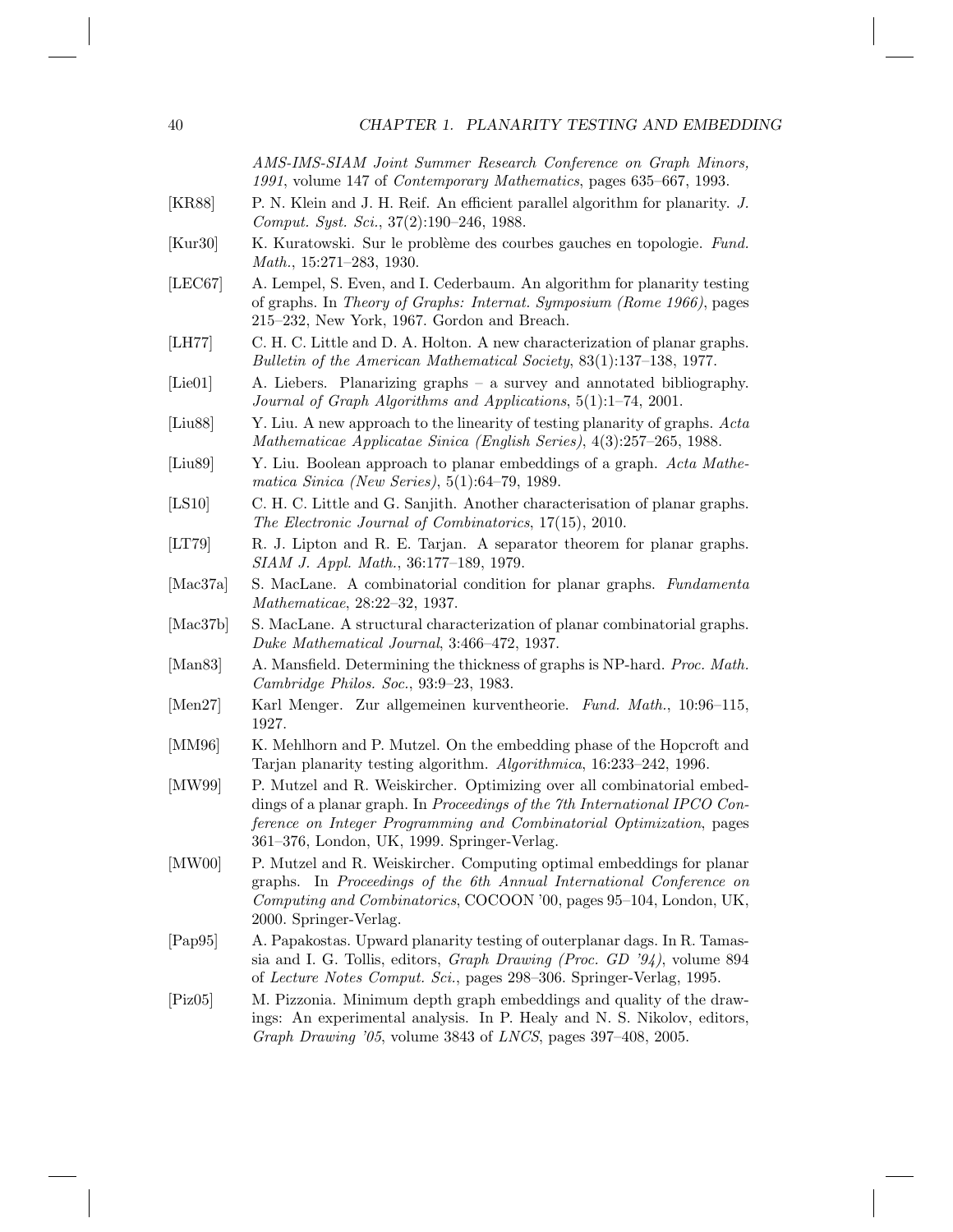AMS-IMS-SIAM Joint Summer Research Conference on Graph Minors, 1991, volume 147 of Contemporary Mathematics, pages 635–667, 1993.

- [KR88] P. N. Klein and J. H. Reif. An efficient parallel algorithm for planarity. J. Comput. Syst. Sci., 37(2):190–246, 1988.
- [Kur30] K. Kuratowski. Sur le problème des courbes gauches en topologie. Fund. Math., 15:271–283, 1930.
- [LEC67] A. Lempel, S. Even, and I. Cederbaum. An algorithm for planarity testing of graphs. In Theory of Graphs: Internat. Symposium (Rome 1966), pages 215–232, New York, 1967. Gordon and Breach.
- [LH77] C. H. C. Little and D. A. Holton. A new characterization of planar graphs. Bulletin of the American Mathematical Society, 83(1):137–138, 1977.
- [Lie01] A. Liebers. Planarizing graphs a survey and annotated bibliography. Journal of Graph Algorithms and Applications, 5(1):1–74, 2001.
- [Liu88] Y. Liu. A new approach to the linearity of testing planarity of graphs. Acta Mathematicae Applicatae Sinica (English Series), 4(3):257–265, 1988.
- [Liu89] Y. Liu. Boolean approach to planar embeddings of a graph. Acta Mathematica Sinica (New Series), 5(1):64–79, 1989.
- [LS10] C. H. C. Little and G. Sanjith. Another characterisation of planar graphs. The Electronic Journal of Combinatorics, 17(15), 2010.
- [LT79] R. J. Lipton and R. E. Tarjan. A separator theorem for planar graphs. SIAM J. Appl. Math., 36:177–189, 1979.
- [Mac37a] S. MacLane. A combinatorial condition for planar graphs. Fundamenta Mathematicae, 28:22–32, 1937.
- [Mac37b] S. MacLane. A structural characterization of planar combinatorial graphs. Duke Mathematical Journal, 3:466–472, 1937.
- [Man83] A. Mansfield. Determining the thickness of graphs is NP-hard. *Proc. Math.* Cambridge Philos. Soc., 93:9–23, 1983.
- [Men27] Karl Menger. Zur allgemeinen kurventheorie. Fund. Math., 10:96–115, 1927.
- [MM96] K. Mehlhorn and P. Mutzel. On the embedding phase of the Hopcroft and Tarjan planarity testing algorithm. Algorithmica, 16:233–242, 1996.
- [MW99] P. Mutzel and R. Weiskircher. Optimizing over all combinatorial embeddings of a planar graph. In Proceedings of the 7th International IPCO Conference on Integer Programming and Combinatorial Optimization, pages 361–376, London, UK, 1999. Springer-Verlag.
- [MW00] P. Mutzel and R. Weiskircher. Computing optimal embeddings for planar graphs. In Proceedings of the 6th Annual International Conference on Computing and Combinatorics, COCOON '00, pages 95–104, London, UK, 2000. Springer-Verlag.
- [Pap95] A. Papakostas. Upward planarity testing of outerplanar dags. In R. Tamassia and I. G. Tollis, editors, Graph Drawing (Proc. GD '94), volume 894 of Lecture Notes Comput. Sci., pages 298–306. Springer-Verlag, 1995.
- [Piz05] M. Pizzonia. Minimum depth graph embeddings and quality of the drawings: An experimental analysis. In P. Healy and N. S. Nikolov, editors, Graph Drawing '05, volume 3843 of LNCS, pages 397–408, 2005.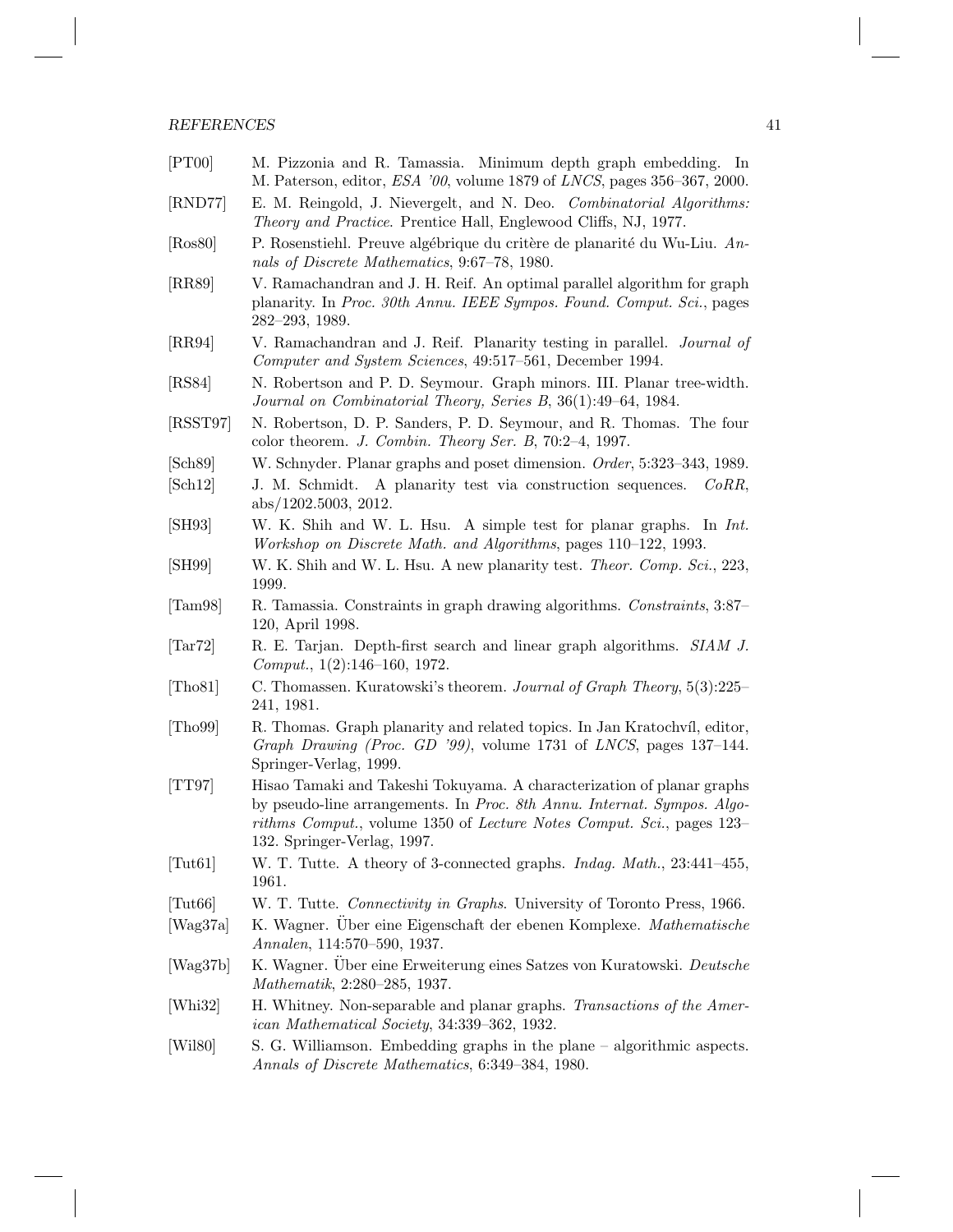#### REFERENCES 41

- [PT00] M. Pizzonia and R. Tamassia. Minimum depth graph embedding. In M. Paterson, editor, ESA '00, volume 1879 of LNCS, pages 356–367, 2000. [RND77] E. M. Reingold, J. Nievergelt, and N. Deo. Combinatorial Algorithms: Theory and Practice. Prentice Hall, Englewood Cliffs, NJ, 1977. [Ros80] P. Rosenstiehl. Preuve algébrique du critère de planarité du Wu-Liu.  $An$ nals of Discrete Mathematics, 9:67–78, 1980. [RR89] V. Ramachandran and J. H. Reif. An optimal parallel algorithm for graph planarity. In Proc. 30th Annu. IEEE Sympos. Found. Comput. Sci., pages 282–293, 1989. [RR94] V. Ramachandran and J. Reif. Planarity testing in parallel. Journal of Computer and System Sciences, 49:517–561, December 1994. [RS84] N. Robertson and P. D. Seymour. Graph minors. III. Planar tree-width. Journal on Combinatorial Theory, Series B, 36(1):49–64, 1984. [RSST97] N. Robertson, D. P. Sanders, P. D. Seymour, and R. Thomas. The four color theorem. J. Combin. Theory Ser. B, 70:2–4, 1997. [Sch89] W. Schnyder. Planar graphs and poset dimension. Order, 5:323–343, 1989. [Sch12] J. M. Schmidt. A planarity test via construction sequences. CoRR, abs/1202.5003, 2012. [SH93] W. K. Shih and W. L. Hsu. A simple test for planar graphs. In Int. Workshop on Discrete Math. and Algorithms, pages 110–122, 1993. [SH99] W. K. Shih and W. L. Hsu. A new planarity test. Theor. Comp. Sci., 223, 1999. [Tam98] R. Tamassia. Constraints in graph drawing algorithms. Constraints, 3:87– 120, April 1998. [Tar72] R. E. Tarjan. Depth-first search and linear graph algorithms. SIAM J. Comput., 1(2):146–160, 1972. [Tho81] C. Thomassen. Kuratowski's theorem. Journal of Graph Theory, 5(3):225– 241, 1981. [Tho99] R. Thomas. Graph planarity and related topics. In Jan Kratochv´ıl, editor, Graph Drawing (Proc. GD '99), volume 1731 of LNCS, pages 137–144. Springer-Verlag, 1999. [TT97] Hisao Tamaki and Takeshi Tokuyama. A characterization of planar graphs by pseudo-line arrangements. In Proc. 8th Annu. Internat. Sympos. Algorithms Comput., volume 1350 of Lecture Notes Comput. Sci., pages 123– 132. Springer-Verlag, 1997. [Tut61] W. T. Tutte. A theory of 3-connected graphs. Indag. Math., 23:441–455, 1961. [Tut66] W. T. Tutte. Connectivity in Graphs. University of Toronto Press, 1966. [Wag37a] K. Wagner. Über eine Eigenschaft der ebenen Komplexe. Mathematische Annalen, 114:570–590, 1937. [Wag37b] K. Wagner. Über eine Erweiterung eines Satzes von Kuratowski. Deutsche Mathematik, 2:280–285, 1937.
- [Whi32] H. Whitney. Non-separable and planar graphs. Transactions of the American Mathematical Society, 34:339–362, 1932.
- [Wil80] S. G. Williamson. Embedding graphs in the plane algorithmic aspects. Annals of Discrete Mathematics, 6:349–384, 1980.